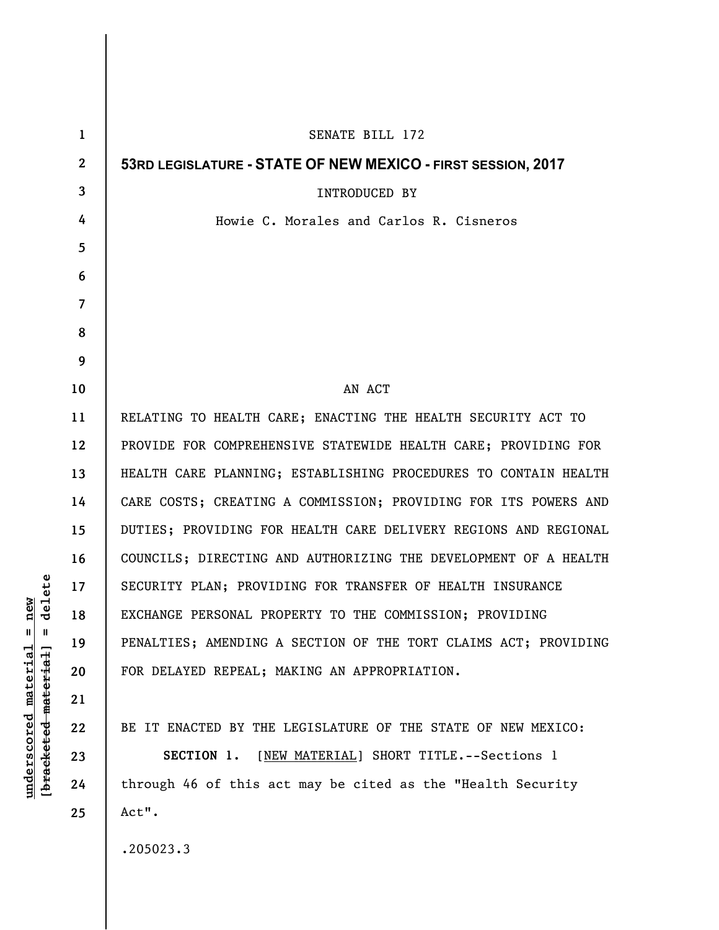| $\mathbf{1}$   | SENATE BILL 172                                                 |
|----------------|-----------------------------------------------------------------|
| $\mathbf{2}$   | 53RD LEGISLATURE - STATE OF NEW MEXICO - FIRST SESSION, 2017    |
| 3              | <b>INTRODUCED BY</b>                                            |
| 4              | Howie C. Morales and Carlos R. Cisneros                         |
| 5              |                                                                 |
| 6              |                                                                 |
| $\overline{7}$ |                                                                 |
| 8              |                                                                 |
| 9              |                                                                 |
| 10             | AN ACT                                                          |
| 11             | RELATING TO HEALTH CARE; ENACTING THE HEALTH SECURITY ACT TO    |
| 12             | PROVIDE FOR COMPREHENSIVE STATEWIDE HEALTH CARE; PROVIDING FOR  |
| 13             | HEALTH CARE PLANNING; ESTABLISHING PROCEDURES TO CONTAIN HEALTH |
| 14             | CARE COSTS; CREATING A COMMISSION; PROVIDING FOR ITS POWERS AND |
| 15             | DUTIES; PROVIDING FOR HEALTH CARE DELIVERY REGIONS AND REGIONAL |
| 16             | COUNCILS; DIRECTING AND AUTHORIZING THE DEVELOPMENT OF A HEALTH |
| 17             | SECURITY PLAN; PROVIDING FOR TRANSFER OF HEALTH INSURANCE       |
| 18             | EXCHANGE PERSONAL PROPERTY TO THE COMMISSION; PROVIDING         |
| 19             | PENALTIES; AMENDING A SECTION OF THE TORT CLAIMS ACT; PROVIDING |
| 20             | FOR DELAYED REPEAL; MAKING AN APPROPRIATION.                    |
| 21             |                                                                 |
| 22             | BE IT ENACTED BY THE LEGISLATURE OF THE STATE OF NEW MEXICO:    |
| 23             | SECTION 1. [NEW MATERIAL] SHORT TITLE. -- Sections 1            |
| 24             | through 46 of this act may be cited as the "Health Security     |
| 25             | Act".                                                           |
|                | .205023.3                                                       |

 $[**bracket eted metert et**] = **del et e**$ **[bracketed material] = delete**  $underscored material = new$ **underscored material = new**

 $\overline{\phantom{a}}$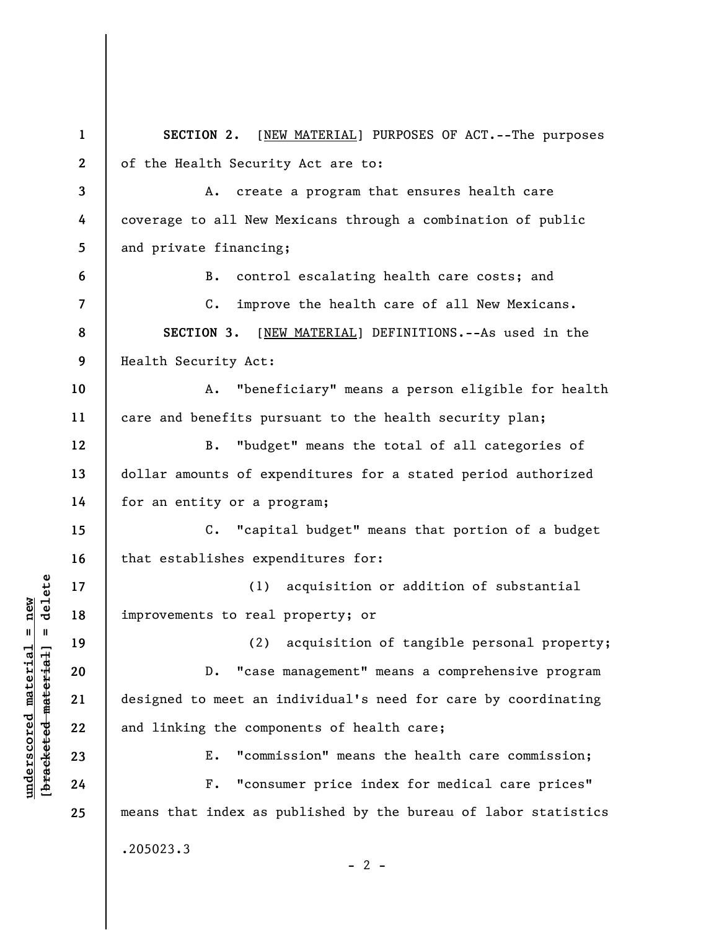**1 2 3 4 5 6 7 8 9 10 11 12 13 14 15 16 17 18 19 20 21 22 23 24 25 SECTION 2.** [NEW MATERIAL] PURPOSES OF ACT.--The purposes of the Health Security Act are to: A. create a program that ensures health care coverage to all New Mexicans through a combination of public and private financing; B. control escalating health care costs; and C. improve the health care of all New Mexicans. **SECTION 3.** [NEW MATERIAL] DEFINITIONS.--As used in the Health Security Act: A. "beneficiary" means a person eligible for health care and benefits pursuant to the health security plan; B. "budget" means the total of all categories of dollar amounts of expenditures for a stated period authorized for an entity or a program; C. "capital budget" means that portion of a budget that establishes expenditures for: (1) acquisition or addition of substantial improvements to real property; or (2) acquisition of tangible personal property; D. "case management" means a comprehensive program designed to meet an individual's need for care by coordinating and linking the components of health care; E. "commission" means the health care commission; F. "consumer price index for medical care prices" means that index as published by the bureau of labor statistics .205023.3  $- 2 -$ 

**underscored material = new [bracketed material] = delete**

 $\frac{1}{2}$  intereted material = delete  $underscored material = new$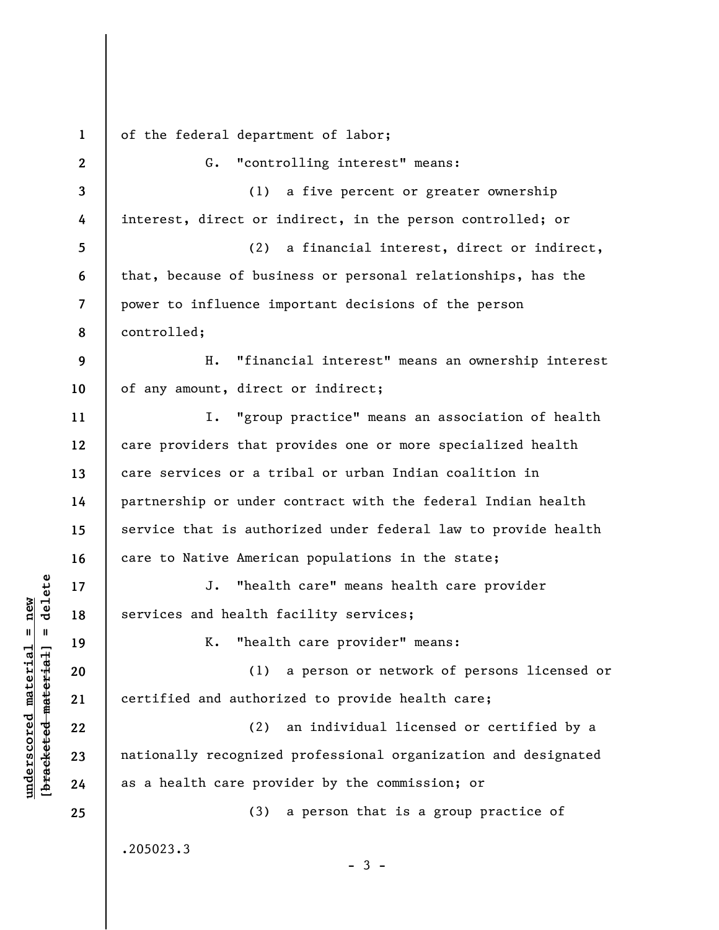**1 2 3 4 5 6 7 8 9 10 11 12 13 14 15 16 17 18 19 20 21 22 23 24 25**  of the federal department of labor; G. "controlling interest" means: (1) a five percent or greater ownership interest, direct or indirect, in the person controlled; or (2) a financial interest, direct or indirect, that, because of business or personal relationships, has the power to influence important decisions of the person controlled; H. "financial interest" means an ownership interest of any amount, direct or indirect; I. "group practice" means an association of health care providers that provides one or more specialized health care services or a tribal or urban Indian coalition in partnership or under contract with the federal Indian health service that is authorized under federal law to provide health care to Native American populations in the state; J. "health care" means health care provider services and health facility services; K. "health care provider" means: (1) a person or network of persons licensed or certified and authorized to provide health care; (2) an individual licensed or certified by a nationally recognized professional organization and designated as a health care provider by the commission; or (3) a person that is a group practice of .205023.3  $-3 -$ 

**underscored material = new [bracketed material] = delete**

 $\frac{1}{2}$  intereted material = delete  $underscored material = new$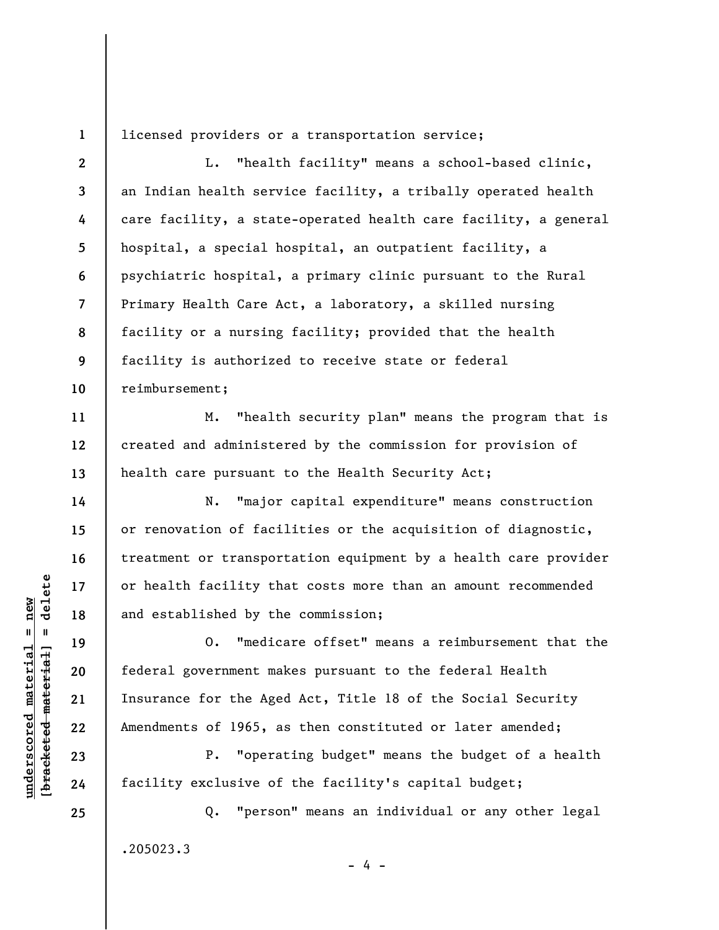**1**  licensed providers or a transportation service;

**2 3 4 5 6 7 8 9 10**  L. "health facility" means a school-based clinic, an Indian health service facility, a tribally operated health care facility, a state-operated health care facility, a general hospital, a special hospital, an outpatient facility, a psychiatric hospital, a primary clinic pursuant to the Rural Primary Health Care Act, a laboratory, a skilled nursing facility or a nursing facility; provided that the health facility is authorized to receive state or federal reimbursement;

M. "health security plan" means the program that is created and administered by the commission for provision of health care pursuant to the Health Security Act;

N. "major capital expenditure" means construction or renovation of facilities or the acquisition of diagnostic, treatment or transportation equipment by a health care provider or health facility that costs more than an amount recommended and established by the commission;

O. "medicare offset" means a reimbursement that the federal government makes pursuant to the federal Health Insurance for the Aged Act, Title 18 of the Social Security Amendments of 1965, as then constituted or later amended;

P. "operating budget" means the budget of a health facility exclusive of the facility's capital budget;

Q. "person" means an individual or any other legal .205023.3

- 4 -

 $\frac{1}{2}$  intereted material = delete **[bracketed material] = delete**  $underscored material = new$ **underscored material = new**

**25** 

**11** 

**12** 

**13** 

**14** 

**15** 

**16** 

**17** 

**18** 

**19** 

**20** 

**21** 

**22** 

**23**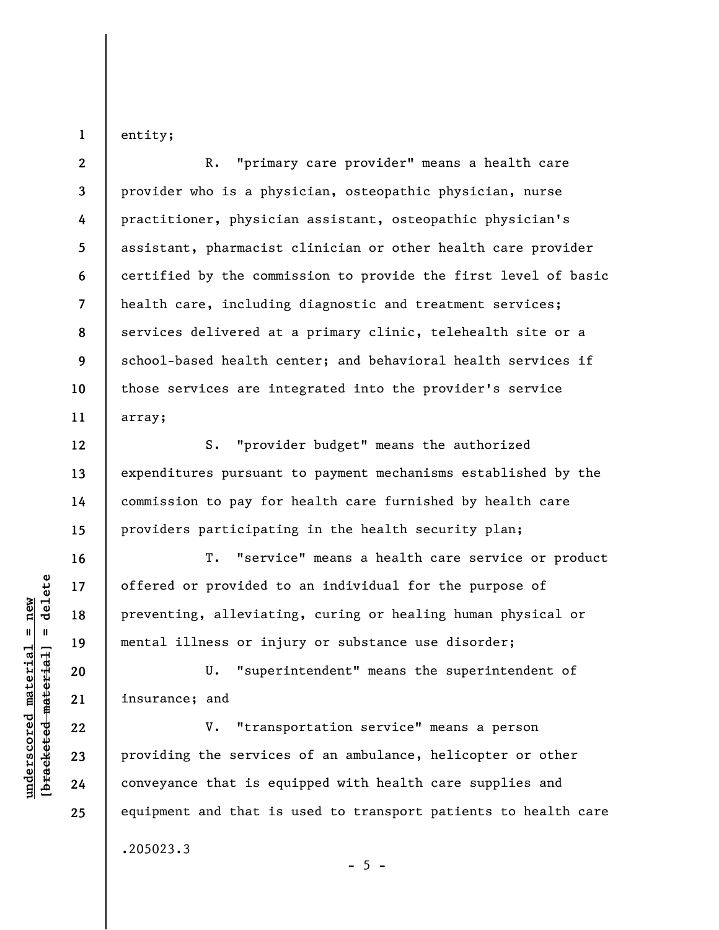entity;

**1** 

**12** 

**13** 

**14** 

**15** 

**16** 

**17** 

**18** 

**19** 

**20** 

**21** 

**22** 

**23** 

**24** 

**25** 

**2 3 4 5 6 7 8 9 10 11**  R. "primary care provider" means a health care provider who is a physician, osteopathic physician, nurse practitioner, physician assistant, osteopathic physician's assistant, pharmacist clinician or other health care provider certified by the commission to provide the first level of basic health care, including diagnostic and treatment services; services delivered at a primary clinic, telehealth site or a school-based health center; and behavioral health services if those services are integrated into the provider's service array;

S. "provider budget" means the authorized expenditures pursuant to payment mechanisms established by the commission to pay for health care furnished by health care providers participating in the health security plan;

T. "service" means a health care service or product offered or provided to an individual for the purpose of preventing, alleviating, curing or healing human physical or mental illness or injury or substance use disorder;

U. "superintendent" means the superintendent of insurance; and

V. "transportation service" means a person providing the services of an ambulance, helicopter or other conveyance that is equipped with health care supplies and equipment and that is used to transport patients to health care .205023.3

 $b$ racketed material] = delete **[bracketed material] = delete**  $underscored material = new$ **underscored material = new**

 $- 5 -$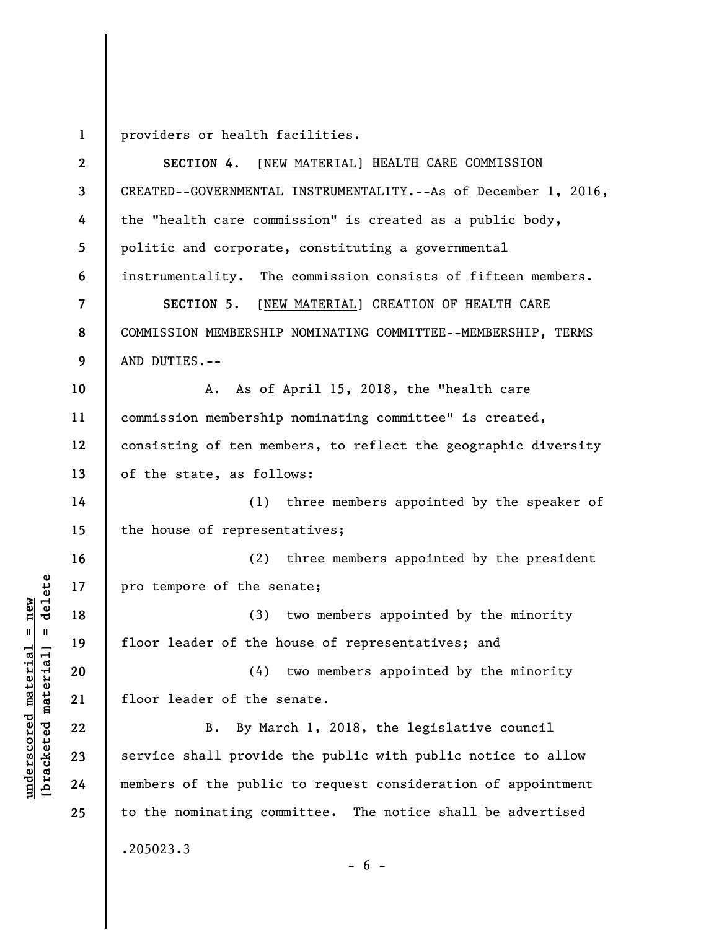**1**  providers or health facilities.

**2 3 4 5 6 7 8 9 10 11 12 13 14 15 16 17 18 19 20 21 22 23 24 25 SECTION 4.** [NEW MATERIAL] HEALTH CARE COMMISSION CREATED--GOVERNMENTAL INSTRUMENTALITY.--As of December 1, 2016, the "health care commission" is created as a public body, politic and corporate, constituting a governmental instrumentality. The commission consists of fifteen members. **SECTION 5.** [NEW MATERIAL] CREATION OF HEALTH CARE COMMISSION MEMBERSHIP NOMINATING COMMITTEE--MEMBERSHIP, TERMS AND DUTIES.-- A. As of April 15, 2018, the "health care commission membership nominating committee" is created, consisting of ten members, to reflect the geographic diversity of the state, as follows: (1) three members appointed by the speaker of the house of representatives; (2) three members appointed by the president pro tempore of the senate; (3) two members appointed by the minority floor leader of the house of representatives; and (4) two members appointed by the minority floor leader of the senate. B. By March 1, 2018, the legislative council service shall provide the public with public notice to allow members of the public to request consideration of appointment to the nominating committee. The notice shall be advertised .205023.3

 $\frac{1}{2}$  of  $\frac{1}{2}$  and  $\frac{1}{2}$  and  $\frac{1}{2}$  and  $\frac{1}{2}$  and  $\frac{1}{2}$  and  $\frac{1}{2}$  and  $\frac{1}{2}$  and  $\frac{1}{2}$  and  $\frac{1}{2}$  and  $\frac{1}{2}$  and  $\frac{1}{2}$  and  $\frac{1}{2}$  and  $\frac{1}{2}$  and  $\frac{1}{2}$  and  $\frac{1}{2}$  an **[bracketed material] = delete**  $underscored material = new$ **underscored material = new**

 $- 6 -$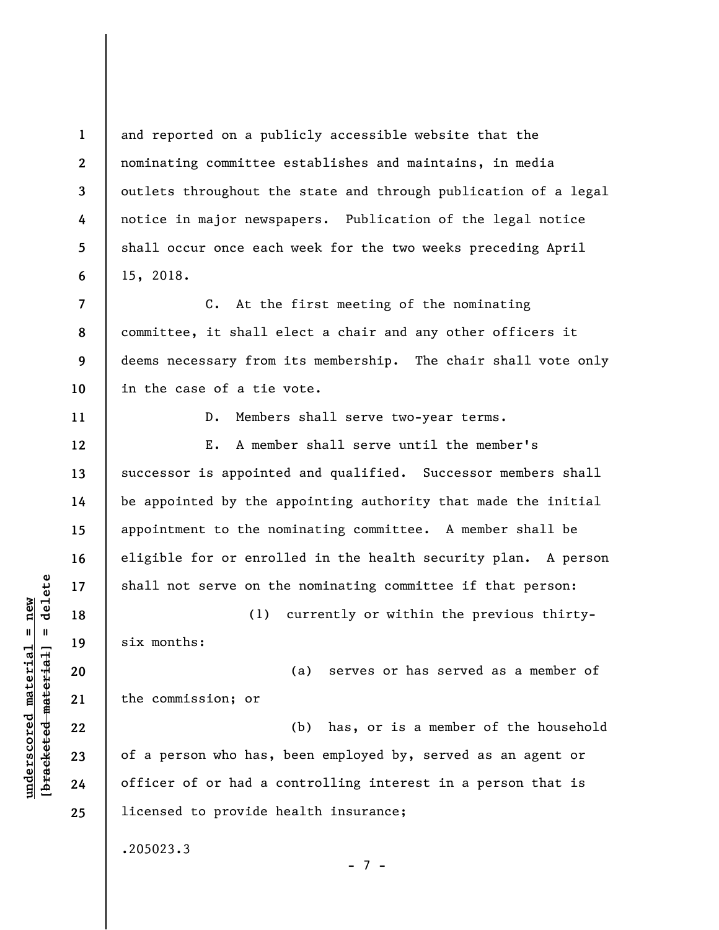**1 2 3 4 5 6 7 8 9 10 11 12 13 14 15 16 17 18 19 20 21 22 23 24 25**  and reported on a publicly accessible website that the nominating committee establishes and maintains, in media outlets throughout the state and through publication of a legal notice in major newspapers. Publication of the legal notice shall occur once each week for the two weeks preceding April 15, 2018. C. At the first meeting of the nominating committee, it shall elect a chair and any other officers it deems necessary from its membership. The chair shall vote only in the case of a tie vote. D. Members shall serve two-year terms. E. A member shall serve until the member's successor is appointed and qualified. Successor members shall be appointed by the appointing authority that made the initial appointment to the nominating committee. A member shall be eligible for or enrolled in the health security plan. A person shall not serve on the nominating committee if that person: (1) currently or within the previous thirtysix months: (a) serves or has served as a member of the commission; or (b) has, or is a member of the household of a person who has, been employed by, served as an agent or officer of or had a controlling interest in a person that is licensed to provide health insurance; .205023.3 - 7 -

 $b$ racketed material] = delete **[bracketed material] = delete**  $underscored material = new$ **underscored material = new**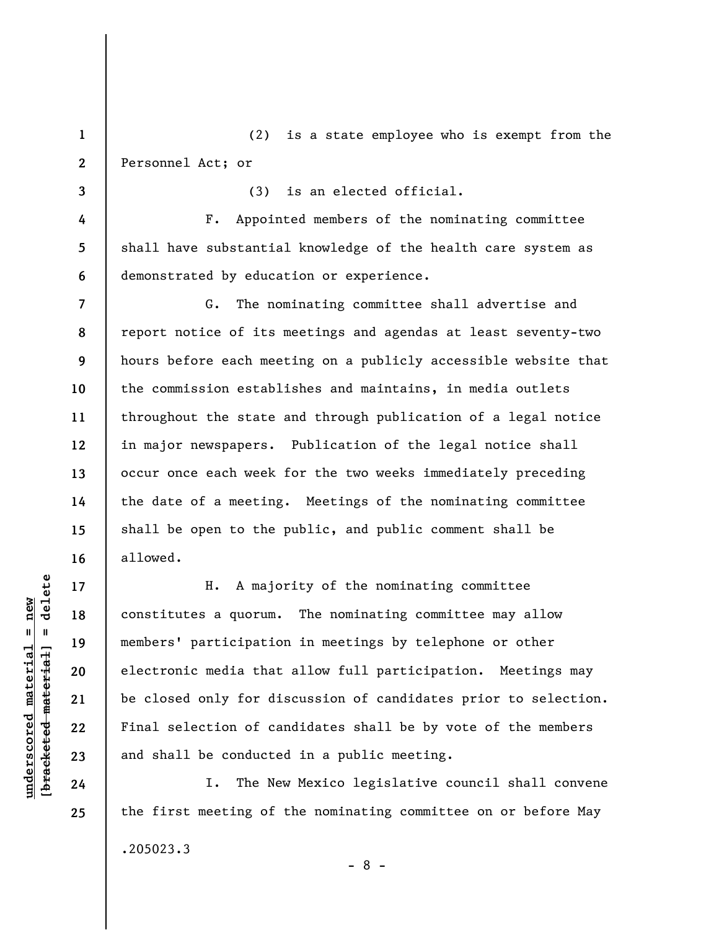**1 2**  (2) is a state employee who is exempt from the Personnel Act; or

(3) is an elected official.

F. Appointed members of the nominating committee shall have substantial knowledge of the health care system as demonstrated by education or experience.

G. The nominating committee shall advertise and report notice of its meetings and agendas at least seventy-two hours before each meeting on a publicly accessible website that the commission establishes and maintains, in media outlets throughout the state and through publication of a legal notice in major newspapers. Publication of the legal notice shall occur once each week for the two weeks immediately preceding the date of a meeting. Meetings of the nominating committee shall be open to the public, and public comment shall be allowed.

H. A majority of the nominating committee constitutes a quorum. The nominating committee may allow members' participation in meetings by telephone or other electronic media that allow full participation. Meetings may be closed only for discussion of candidates prior to selection. Final selection of candidates shall be by vote of the members and shall be conducted in a public meeting.

I. The New Mexico legislative council shall convene the first meeting of the nominating committee on or before May .205023.3 - 8 -

 $\frac{1}{2}$  intereted material = delete **[bracketed material] = delete**  $underscored material = new$ **underscored material = new**

**3** 

**4** 

**5** 

**6** 

**7** 

**8** 

**9** 

**10** 

**11** 

**12** 

**13** 

**14** 

**15** 

**16** 

**17** 

**18** 

**19** 

**20** 

**21** 

**22** 

**23** 

**24**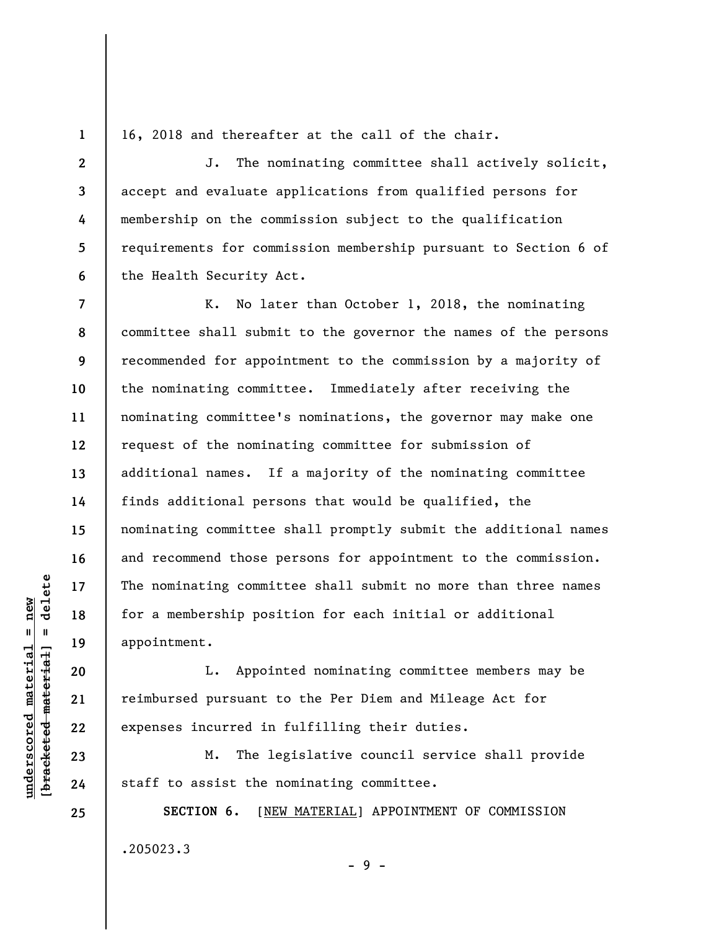**1 2** 

**3** 

**4** 

**5** 

**6** 

16, 2018 and thereafter at the call of the chair.

J. The nominating committee shall actively solicit, accept and evaluate applications from qualified persons for membership on the commission subject to the qualification requirements for commission membership pursuant to Section 6 of the Health Security Act.

**7 8 9 10 11 12 13 14 15 16 17 18 19**  K. No later than October 1, 2018, the nominating committee shall submit to the governor the names of the persons recommended for appointment to the commission by a majority of the nominating committee. Immediately after receiving the nominating committee's nominations, the governor may make one request of the nominating committee for submission of additional names. If a majority of the nominating committee finds additional persons that would be qualified, the nominating committee shall promptly submit the additional names and recommend those persons for appointment to the commission. The nominating committee shall submit no more than three names for a membership position for each initial or additional appointment.

L. Appointed nominating committee members may be reimbursed pursuant to the Per Diem and Mileage Act for expenses incurred in fulfilling their duties.

M. The legislative council service shall provide staff to assist the nominating committee.

**SECTION 6.** [NEW MATERIAL] APPOINTMENT OF COMMISSION .205023.3

- 9 -

 $\frac{1}{2}$  intereted material = delete **[bracketed material] = delete**  $underscored material = new$ **underscored material = new**

**20** 

**21** 

**22** 

**23** 

**24**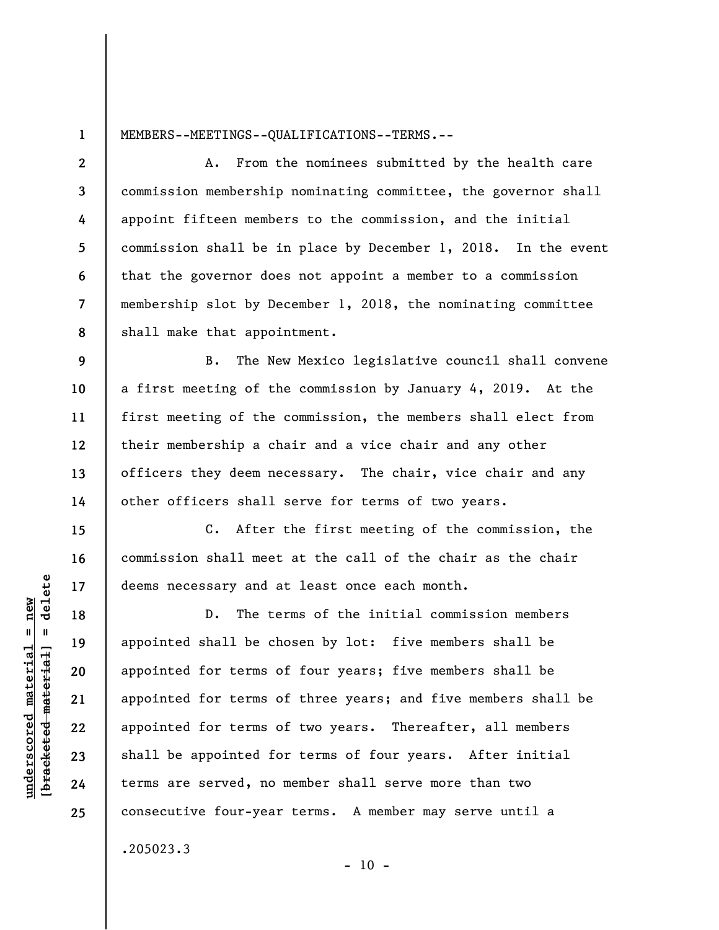**1** 

**9** 

**10** 

**11** 

**12** 

**13** 

**14** 

**15** 

**16** 

**17** 

**18** 

**19** 

**20** 

**21** 

**22** 

**23** 

**24** 

**25** 

MEMBERS--MEETINGS--QUALIFICATIONS--TERMS.--

**2 3 4 5 6 7 8**  A. From the nominees submitted by the health care commission membership nominating committee, the governor shall appoint fifteen members to the commission, and the initial commission shall be in place by December 1, 2018. In the event that the governor does not appoint a member to a commission membership slot by December 1, 2018, the nominating committee shall make that appointment.

B. The New Mexico legislative council shall convene a first meeting of the commission by January 4, 2019. At the first meeting of the commission, the members shall elect from their membership a chair and a vice chair and any other officers they deem necessary. The chair, vice chair and any other officers shall serve for terms of two years.

C. After the first meeting of the commission, the commission shall meet at the call of the chair as the chair deems necessary and at least once each month.

D. The terms of the initial commission members appointed shall be chosen by lot: five members shall be appointed for terms of four years; five members shall be appointed for terms of three years; and five members shall be appointed for terms of two years. Thereafter, all members shall be appointed for terms of four years. After initial terms are served, no member shall serve more than two consecutive four-year terms. A member may serve until a .205023.3

 $- 10 -$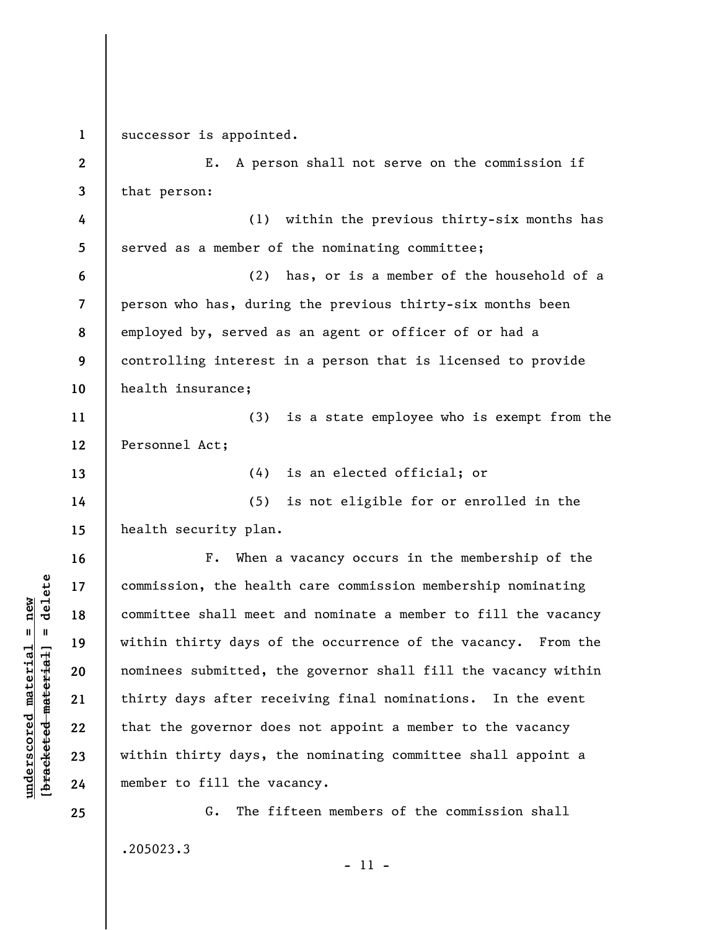**1**  successor is appointed.

**2 3 4 5 6 7 8 9 10 11 12 13 14 15 16 17 18 19 20 21 22 23 24**  E. A person shall not serve on the commission if that person: (1) within the previous thirty-six months has served as a member of the nominating committee; (2) has, or is a member of the household of a person who has, during the previous thirty-six months been employed by, served as an agent or officer of or had a controlling interest in a person that is licensed to provide health insurance; (3) is a state employee who is exempt from the Personnel Act; (4) is an elected official; or (5) is not eligible for or enrolled in the health security plan. F. When a vacancy occurs in the membership of the commission, the health care commission membership nominating committee shall meet and nominate a member to fill the vacancy within thirty days of the occurrence of the vacancy. From the nominees submitted, the governor shall fill the vacancy within thirty days after receiving final nominations. In the event that the governor does not appoint a member to the vacancy within thirty days, the nominating committee shall appoint a member to fill the vacancy.

G. The fifteen members of the commission shall .205023.3

- 11 -

 $\frac{1}{2}$  intereted material = delete **[bracketed material] = delete**  $underscored material = new$ **underscored material = new**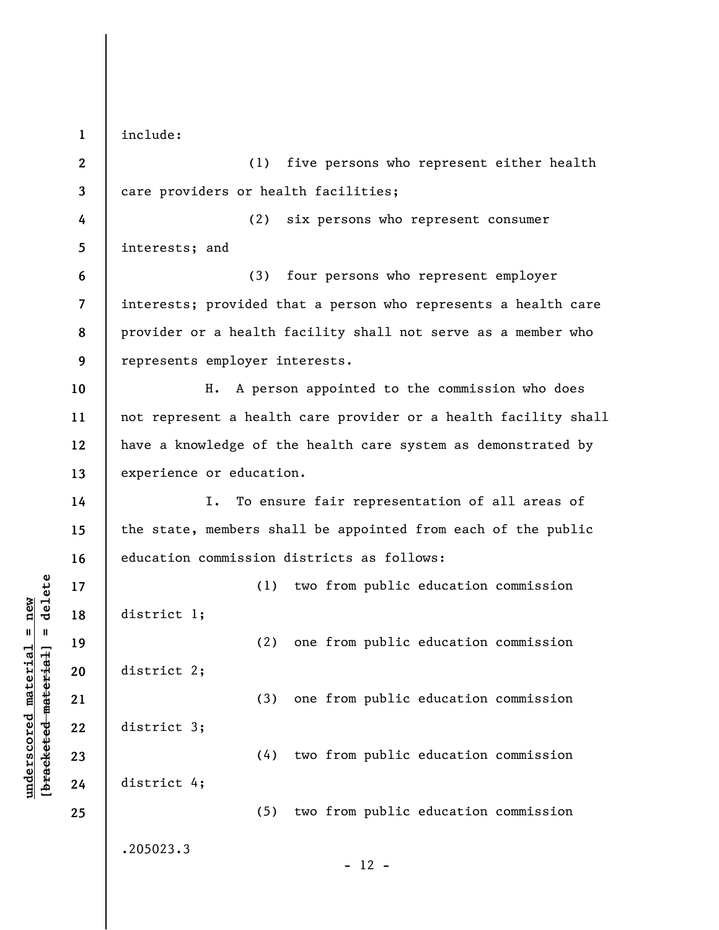**1 2 3 4 5 6 7 8 9 10 11 12 13 14 15 16 17 18 19 20 21 22 23 24 25**  include: (1) five persons who represent either health care providers or health facilities; (2) six persons who represent consumer interests; and (3) four persons who represent employer interests; provided that a person who represents a health care provider or a health facility shall not serve as a member who represents employer interests. H. A person appointed to the commission who does not represent a health care provider or a health facility shall have a knowledge of the health care system as demonstrated by experience or education. I. To ensure fair representation of all areas of the state, members shall be appointed from each of the public education commission districts as follows: (1) two from public education commission district 1; (2) one from public education commission district 2; (3) one from public education commission district 3; (4) two from public education commission district 4; (5) two from public education commission .205023.3  $- 12 -$ 

**underscored material = new [bracketed material] = delete**

 $b$ racketed material = delete  $underscored material = new$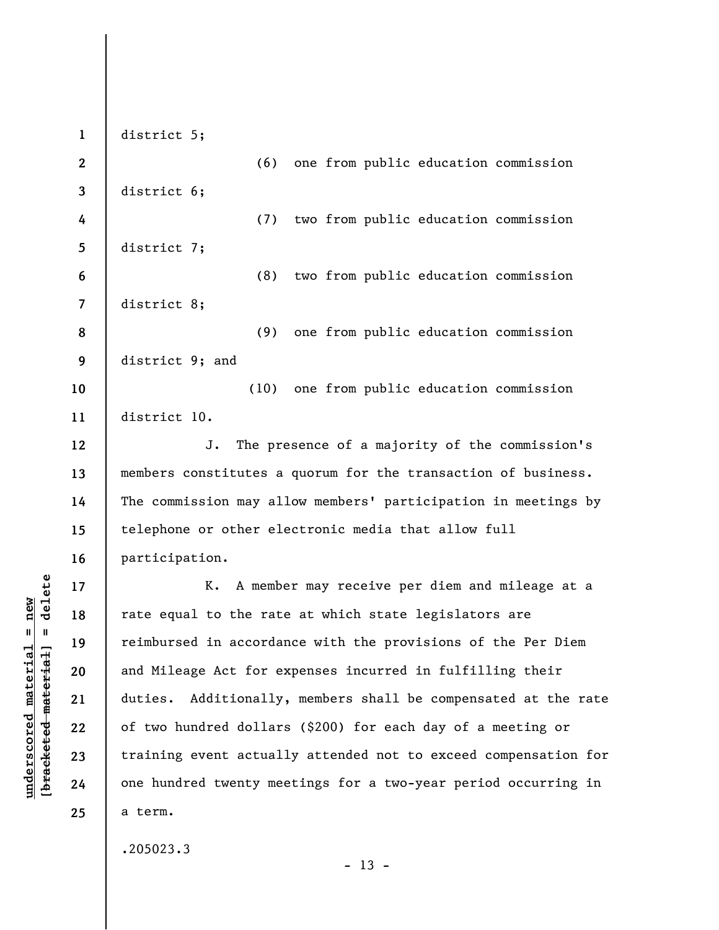**1 2 3 4 5 6 7 8 9 10 11 12 13 14 15 16 17 18 19 20 21 22 23 24 25**  district 5; (6) one from public education commission district 6; (7) two from public education commission district 7; (8) two from public education commission district 8; (9) one from public education commission district 9; and (10) one from public education commission district 10. J. The presence of a majority of the commission's members constitutes a quorum for the transaction of business. The commission may allow members' participation in meetings by telephone or other electronic media that allow full participation. K. A member may receive per diem and mileage at a rate equal to the rate at which state legislators are reimbursed in accordance with the provisions of the Per Diem and Mileage Act for expenses incurred in fulfilling their duties. Additionally, members shall be compensated at the rate of two hundred dollars (\$200) for each day of a meeting or training event actually attended not to exceed compensation for one hundred twenty meetings for a two-year period occurring in a term.

 $- 13 -$ 

.205023.3

 $b$ racketed material] = delete **[bracketed material] = delete**  $underscored material = new$ **underscored material = new**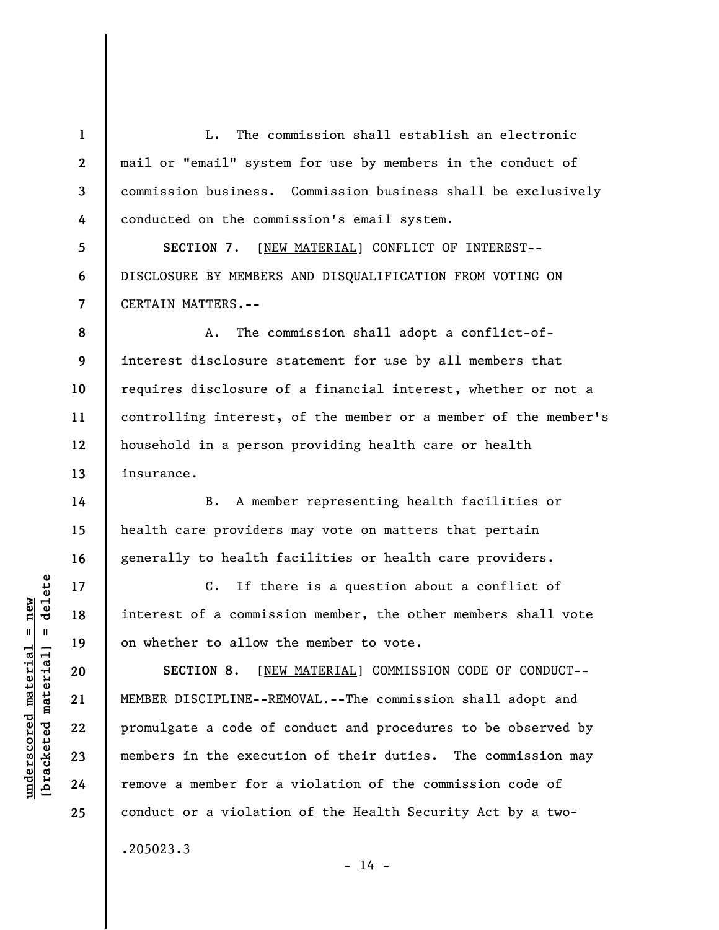L. The commission shall establish an electronic mail or "email" system for use by members in the conduct of commission business. Commission business shall be exclusively conducted on the commission's email system.

**5 6 7 SECTION 7**. [NEW MATERIAL] CONFLICT OF INTEREST-- DISCLOSURE BY MEMBERS AND DISQUALIFICATION FROM VOTING ON CERTAIN MATTERS.--

**8 9 10 11 12 13**  A. The commission shall adopt a conflict-ofinterest disclosure statement for use by all members that requires disclosure of a financial interest, whether or not a controlling interest, of the member or a member of the member's household in a person providing health care or health insurance.

B. A member representing health facilities or health care providers may vote on matters that pertain generally to health facilities or health care providers.

C. If there is a question about a conflict of interest of a commission member, the other members shall vote on whether to allow the member to vote.

**SECTION 8**. [NEW MATERIAL] COMMISSION CODE OF CONDUCT-- MEMBER DISCIPLINE--REMOVAL.--The commission shall adopt and promulgate a code of conduct and procedures to be observed by members in the execution of their duties. The commission may remove a member for a violation of the commission code of conduct or a violation of the Health Security Act by a two-

 $- 14 -$ 

.205023.3

 $\frac{1}{2}$  intereted material = delete **[bracketed material] = delete**  $underscored material = new$ **underscored material = new**

**1** 

**2** 

**3** 

**4** 

**14** 

**15** 

**16** 

**17** 

**18** 

**19** 

**20** 

**21** 

**22** 

**23** 

**24**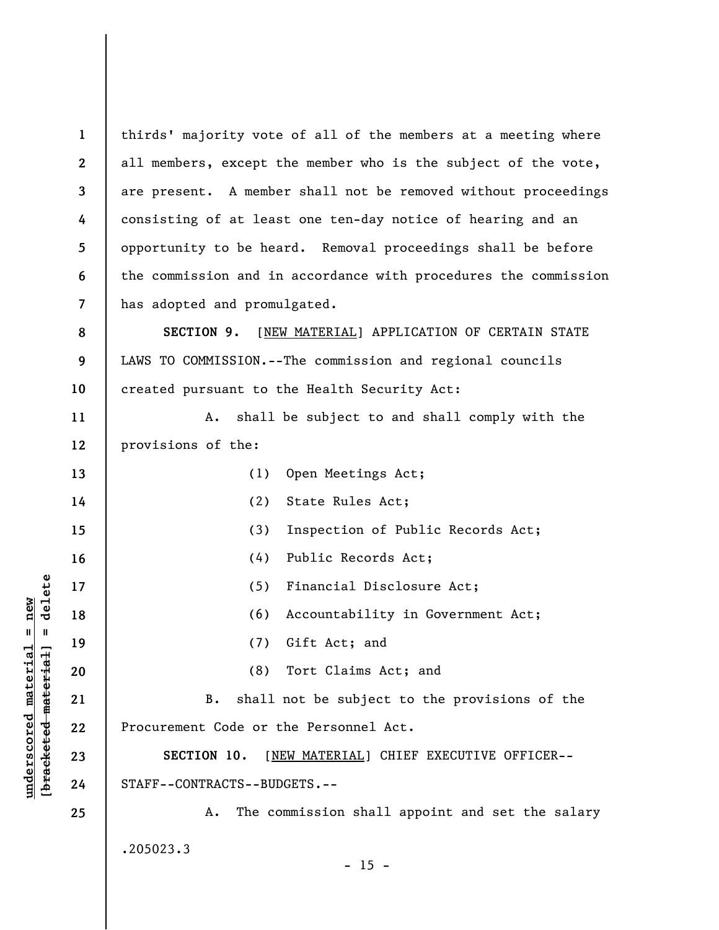| $\mathbf{1}$             | thirds' majority vote of all of the members at a meeting where  |
|--------------------------|-----------------------------------------------------------------|
| $\mathbf{2}$             | all members, except the member who is the subject of the vote,  |
| $\mathbf{3}$             | are present. A member shall not be removed without proceedings  |
| 4                        | consisting of at least one ten-day notice of hearing and an     |
| 5                        | opportunity to be heard. Removal proceedings shall be before    |
| 6                        | the commission and in accordance with procedures the commission |
| $\overline{\phantom{a}}$ | has adopted and promulgated.                                    |
| 8                        | SECTION 9.<br>[NEW MATERIAL] APPLICATION OF CERTAIN STATE       |
| 9                        | LAWS TO COMMISSION.--The commission and regional councils       |
| 10                       | created pursuant to the Health Security Act:                    |
| 11                       | shall be subject to and shall comply with the<br>Α.             |
| 12                       | provisions of the:                                              |
| 13                       | Open Meetings Act;<br>(1)                                       |
| 14                       | State Rules Act;<br>(2)                                         |
| 15                       | (3)<br>Inspection of Public Records Act;                        |
| 16                       | (4)<br>Public Records Act;                                      |
| 17                       | (5)<br>Financial Disclosure Act;                                |
| 18                       | (6)<br>Accountability in Government Act;                        |
| 19                       | Gift Act; and<br>(7)                                            |
| 20                       | (8) Tort Claims Act; and                                        |
| 21                       | shall not be subject to the provisions of the<br>B.             |
| 22                       | Procurement Code or the Personnel Act.                          |
| 23                       | SECTION 10.<br>[NEW MATERIAL] CHIEF EXECUTIVE OFFICER--         |
| 24                       | STAFF--CONTRACTS--BUDGETS.--                                    |
| 25                       | The commission shall appoint and set the salary<br>А.           |
|                          | .205023.3<br>$-15 -$                                            |
|                          |                                                                 |

 $[**bracket eted metert et**] = **del et e**$ **[bracketed material] = delete**  $underscored material = new$ **underscored material = new**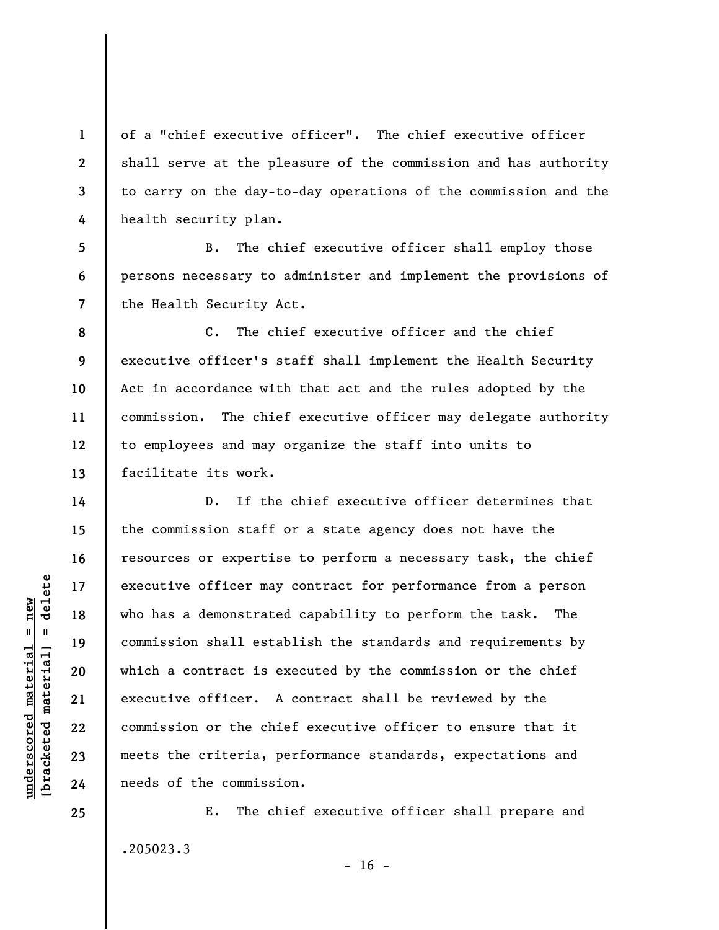of a "chief executive officer". The chief executive officer shall serve at the pleasure of the commission and has authority to carry on the day-to-day operations of the commission and the health security plan.

**5 7**  B. The chief executive officer shall employ those persons necessary to administer and implement the provisions of the Health Security Act.

**8 9 10 11 12 13**  C. The chief executive officer and the chief executive officer's staff shall implement the Health Security Act in accordance with that act and the rules adopted by the commission. The chief executive officer may delegate authority to employees and may organize the staff into units to facilitate its work.

D. If the chief executive officer determines that the commission staff or a state agency does not have the resources or expertise to perform a necessary task, the chief executive officer may contract for performance from a person who has a demonstrated capability to perform the task. The commission shall establish the standards and requirements by which a contract is executed by the commission or the chief executive officer. A contract shall be reviewed by the commission or the chief executive officer to ensure that it meets the criteria, performance standards, expectations and needs of the commission.

E. The chief executive officer shall prepare and .205023.3

 $\frac{1}{2}$  intereted material = delete **[bracketed material] = delete**  $underscored material = new$ **underscored material = new**

**1** 

**2** 

**3** 

**4** 

**6** 

**14** 

**15** 

**16** 

**17** 

**18** 

**19** 

**20** 

**21** 

**22** 

**23** 

**24** 

**25** 

 $- 16 -$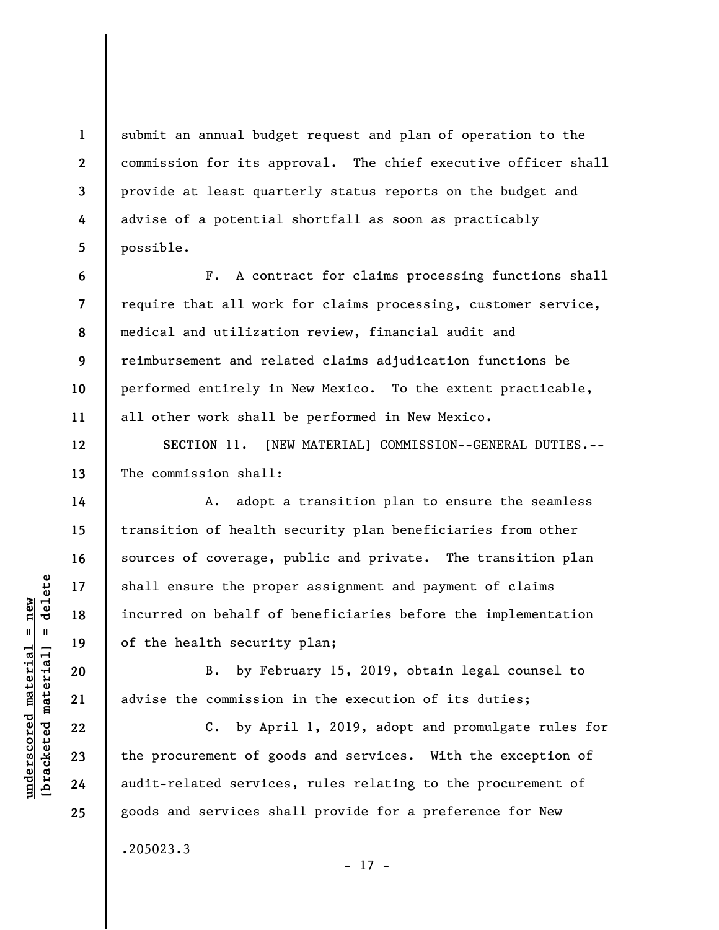submit an annual budget request and plan of operation to the commission for its approval. The chief executive officer shall provide at least quarterly status reports on the budget and advise of a potential shortfall as soon as practicably possible.

**8**  F. A contract for claims processing functions shall require that all work for claims processing, customer service, medical and utilization review, financial audit and reimbursement and related claims adjudication functions be performed entirely in New Mexico. To the extent practicable, all other work shall be performed in New Mexico.

**SECTION 11.** [NEW MATERIAL] COMMISSION--GENERAL DUTIES.-- The commission shall:

A. adopt a transition plan to ensure the seamless transition of health security plan beneficiaries from other sources of coverage, public and private. The transition plan shall ensure the proper assignment and payment of claims incurred on behalf of beneficiaries before the implementation of the health security plan;

B. by February 15, 2019, obtain legal counsel to advise the commission in the execution of its duties;

C. by April 1, 2019, adopt and promulgate rules for the procurement of goods and services. With the exception of audit-related services, rules relating to the procurement of goods and services shall provide for a preference for New

 $\frac{1}{2}$  intereted material = delete **[bracketed material] = delete**  $underscored material = new$ **underscored material = new**

**1** 

**2** 

**3** 

**4** 

**5** 

**6** 

**7** 

**9** 

**10** 

**11** 

**12** 

**13** 

**14** 

**15** 

**16** 

**17** 

**18** 

**19** 

**20** 

**21** 

**22** 

**23** 

**24** 

**25** 

.205023.3

- 17 -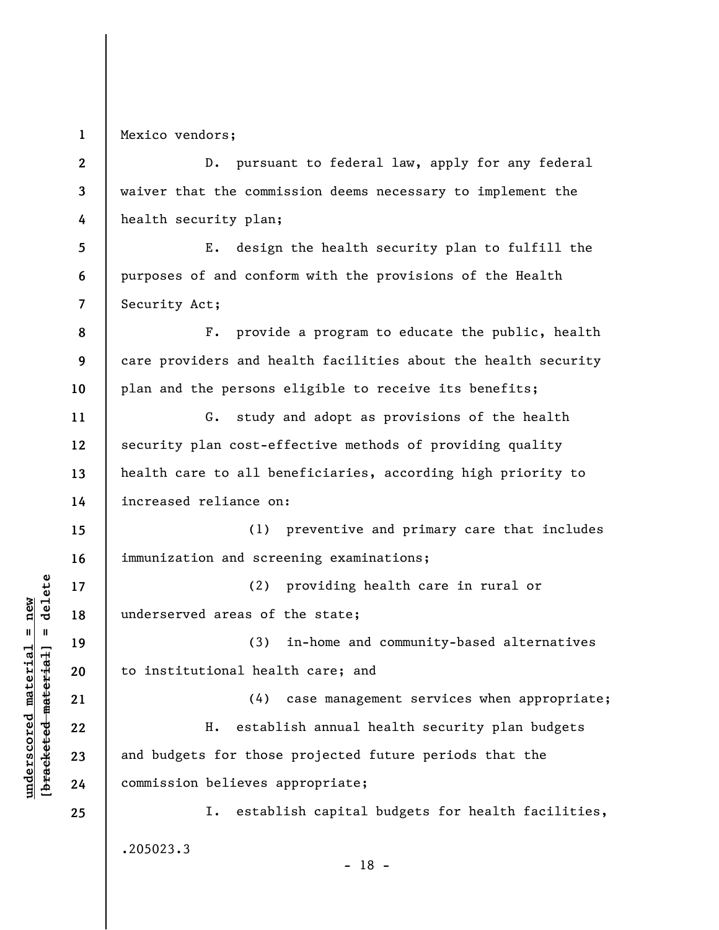**1**  Mexico vendors;

**2 3 4**  D. pursuant to federal law, apply for any federal waiver that the commission deems necessary to implement the health security plan;

**5 6 7**  E. design the health security plan to fulfill the purposes of and conform with the provisions of the Health Security Act;

**8 9 10**  F. provide a program to educate the public, health care providers and health facilities about the health security plan and the persons eligible to receive its benefits;

G. study and adopt as provisions of the health security plan cost-effective methods of providing quality health care to all beneficiaries, according high priority to increased reliance on:

**15 16**  (1) preventive and primary care that includes immunization and screening examinations;

**17 18**  (2) providing health care in rural or underserved areas of the state;

(3) in-home and community-based alternatives to institutional health care; and

(4) case management services when appropriate; H. establish annual health security plan budgets and budgets for those projected future periods that the commission believes appropriate;

I. establish capital budgets for health facilities, .205023.3

 $\frac{1}{2}$  intereted material = delete **[bracketed material] = delete**  $underscored material = new$ **underscored material = new**

**11** 

**12** 

**13** 

**14** 

**19** 

**20** 

**21** 

**22** 

**23** 

**24**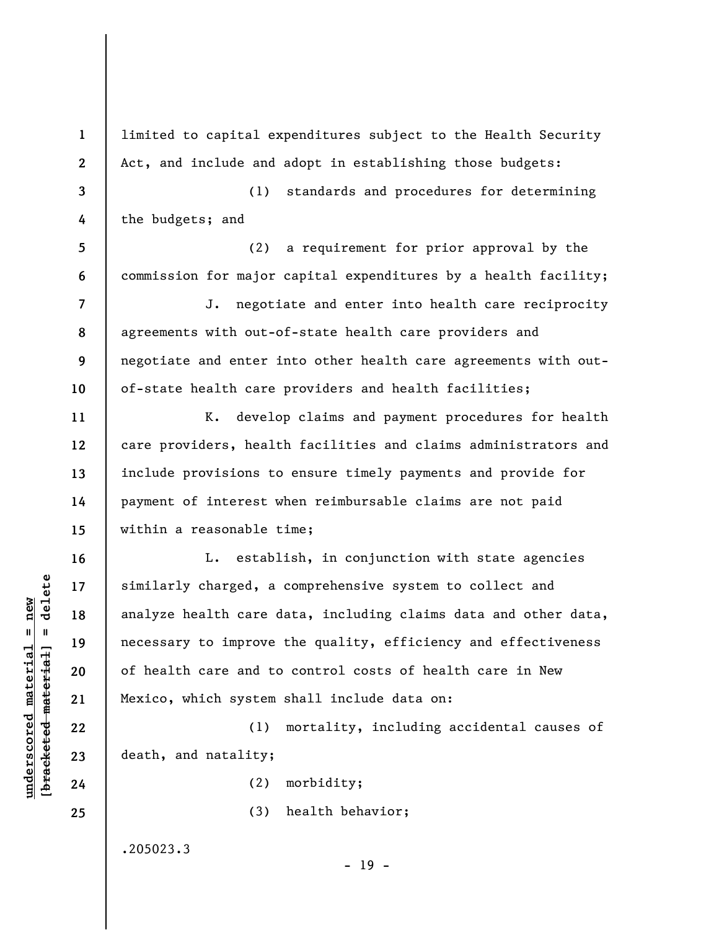**1 2 3 4 5 6 7 8 9 10 11 12 13 14 15 16 17 18 19 20 21 22 23 24 25**  limited to capital expenditures subject to the Health Security Act, and include and adopt in establishing those budgets: (1) standards and procedures for determining the budgets; and (2) a requirement for prior approval by the commission for major capital expenditures by a health facility; J. negotiate and enter into health care reciprocity agreements with out-of-state health care providers and negotiate and enter into other health care agreements with outof-state health care providers and health facilities; K. develop claims and payment procedures for health care providers, health facilities and claims administrators and include provisions to ensure timely payments and provide for payment of interest when reimbursable claims are not paid within a reasonable time; L. establish, in conjunction with state agencies similarly charged, a comprehensive system to collect and analyze health care data, including claims data and other data, necessary to improve the quality, efficiency and effectiveness of health care and to control costs of health care in New Mexico, which system shall include data on: (1) mortality, including accidental causes of death, and natality; (2) morbidity; (3) health behavior;

.205023.3

**underscored material = new [bracketed material] = delete**

 $\frac{1}{2}$  intereted material = delete  $underscored material = new$ 

- 19 -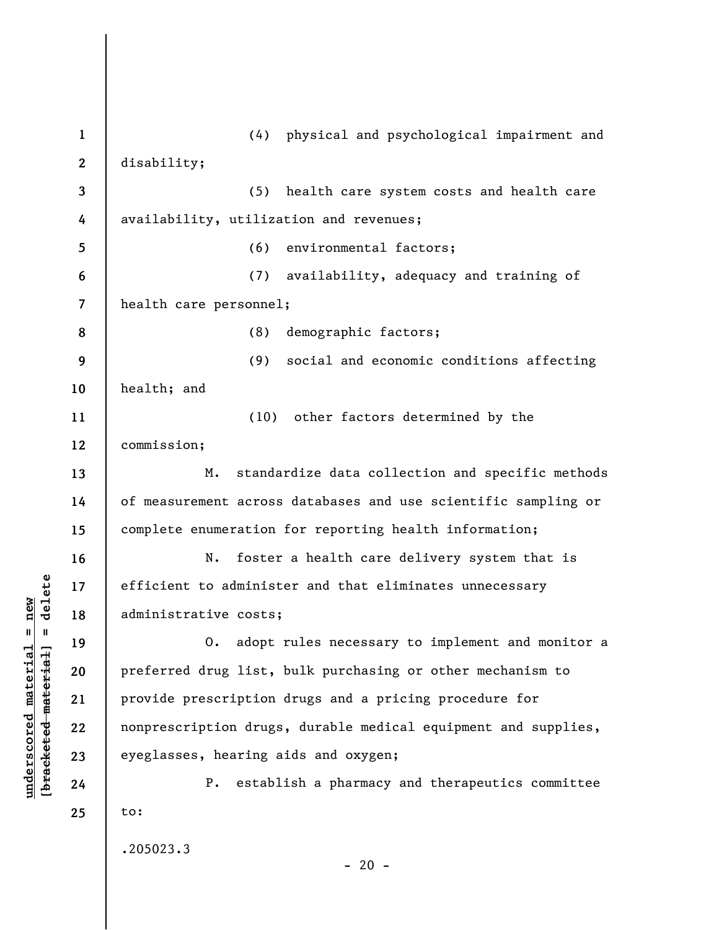**1 2 3 4 5 6 7 8 9 10 11 12 13 14 15 16 17 18 19 20 21 22 23 24 25**  (4) physical and psychological impairment and disability; (5) health care system costs and health care availability, utilization and revenues; (6) environmental factors; (7) availability, adequacy and training of health care personnel; (8) demographic factors; (9) social and economic conditions affecting health; and (10) other factors determined by the commission; M. standardize data collection and specific methods of measurement across databases and use scientific sampling or complete enumeration for reporting health information; N. foster a health care delivery system that is efficient to administer and that eliminates unnecessary administrative costs; O. adopt rules necessary to implement and monitor a preferred drug list, bulk purchasing or other mechanism to provide prescription drugs and a pricing procedure for nonprescription drugs, durable medical equipment and supplies, eyeglasses, hearing aids and oxygen; P. establish a pharmacy and therapeutics committee to: .205023.3  $- 20 -$ 

**underscored material = new [bracketed material] = delete**

 $b$ racketed material] = delete  $underscored material = new$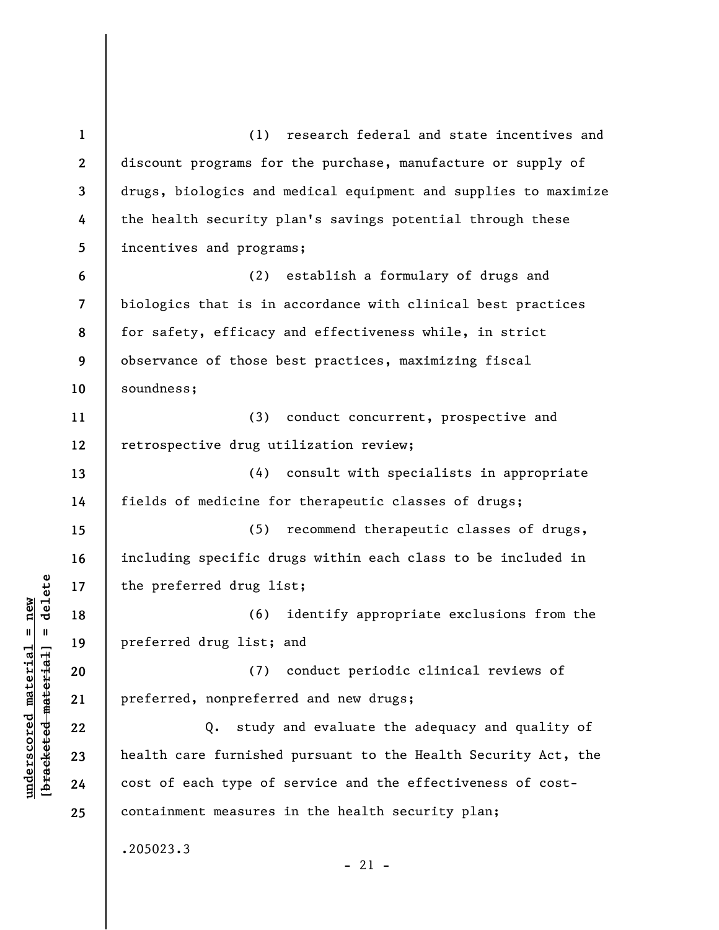**1 2 3 4 5 6 7 8 9 10 11 12 13 14 15 16 17 18 19 20 21 22 23 24 25**  (1) research federal and state incentives and discount programs for the purchase, manufacture or supply of drugs, biologics and medical equipment and supplies to maximize the health security plan's savings potential through these incentives and programs; (2) establish a formulary of drugs and biologics that is in accordance with clinical best practices for safety, efficacy and effectiveness while, in strict observance of those best practices, maximizing fiscal soundness; (3) conduct concurrent, prospective and retrospective drug utilization review; (4) consult with specialists in appropriate fields of medicine for therapeutic classes of drugs; (5) recommend therapeutic classes of drugs, including specific drugs within each class to be included in the preferred drug list; (6) identify appropriate exclusions from the preferred drug list; and (7) conduct periodic clinical reviews of preferred, nonpreferred and new drugs; Q. study and evaluate the adequacy and quality of health care furnished pursuant to the Health Security Act, the cost of each type of service and the effectiveness of costcontainment measures in the health security plan; .205023.3  $-21 -$ 

**underscored material = new [bracketed material] = delete**

 $\frac{1}{2}$  intereted material = delete  $underscored material = new$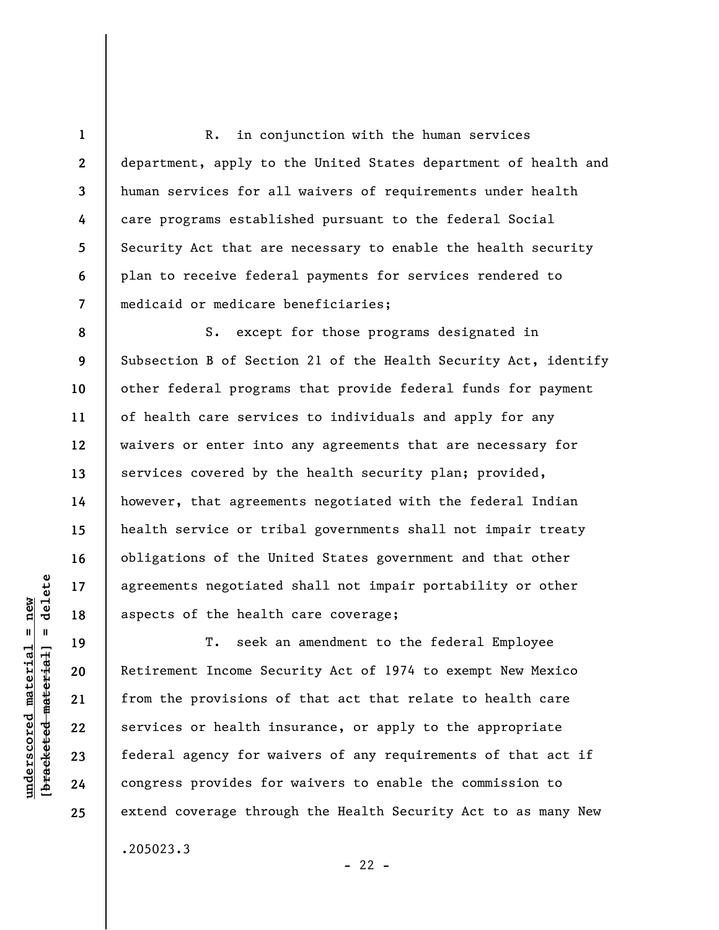R. in conjunction with the human services department, apply to the United States department of health and human services for all waivers of requirements under health care programs established pursuant to the federal Social Security Act that are necessary to enable the health security plan to receive federal payments for services rendered to medicaid or medicare beneficiaries;

**8 9 10 11 12 13 14 15 16 17 18**  S. except for those programs designated in Subsection B of Section 21 of the Health Security Act, identify other federal programs that provide federal funds for payment of health care services to individuals and apply for any waivers or enter into any agreements that are necessary for services covered by the health security plan; provided, however, that agreements negotiated with the federal Indian health service or tribal governments shall not impair treaty obligations of the United States government and that other agreements negotiated shall not impair portability or other aspects of the health care coverage;

T. seek an amendment to the federal Employee Retirement Income Security Act of 1974 to exempt New Mexico from the provisions of that act that relate to health care services or health insurance, or apply to the appropriate federal agency for waivers of any requirements of that act if congress provides for waivers to enable the commission to extend coverage through the Health Security Act to as many New .205023.3

 $- 22 -$ 

 $\frac{1}{2}$  intereted material = delete **[bracketed material] = delete**  $underscored material = new$ **underscored material = new**

**19** 

**20** 

**21** 

**22** 

**23** 

**24** 

**25** 

**1** 

**2** 

**3** 

**4** 

**5** 

**6**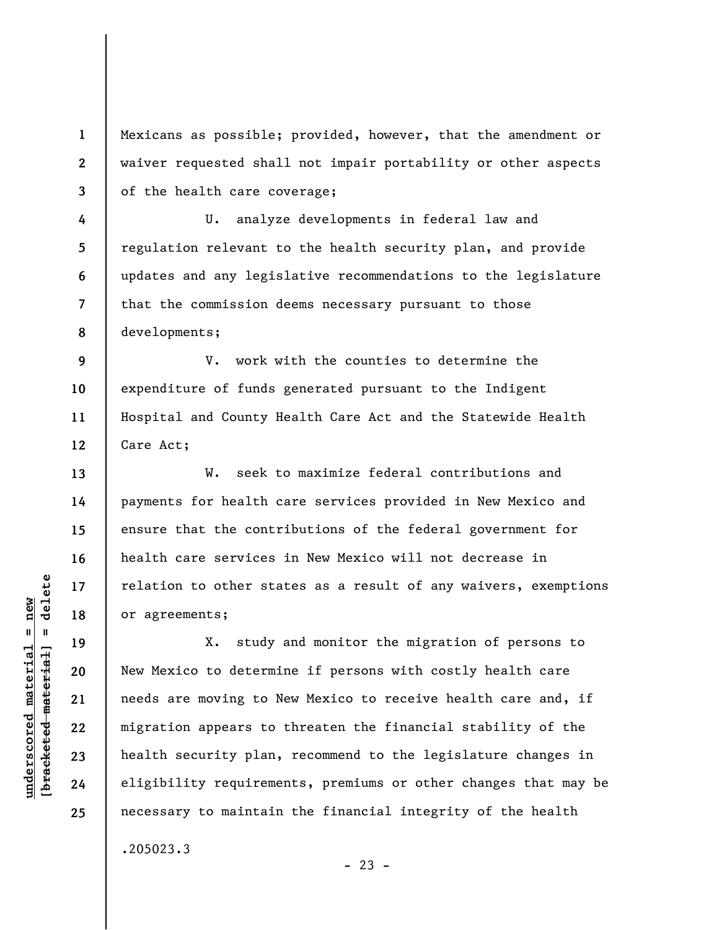Mexicans as possible; provided, however, that the amendment or waiver requested shall not impair portability or other aspects of the health care coverage;

U. analyze developments in federal law and regulation relevant to the health security plan, and provide updates and any legislative recommendations to the legislature that the commission deems necessary pursuant to those developments;

**12**  V. work with the counties to determine the expenditure of funds generated pursuant to the Indigent Hospital and County Health Care Act and the Statewide Health Care Act;

W. seek to maximize federal contributions and payments for health care services provided in New Mexico and ensure that the contributions of the federal government for health care services in New Mexico will not decrease in relation to other states as a result of any waivers, exemptions or agreements;

X. study and monitor the migration of persons to New Mexico to determine if persons with costly health care needs are moving to New Mexico to receive health care and, if migration appears to threaten the financial stability of the health security plan, recommend to the legislature changes in eligibility requirements, premiums or other changes that may be necessary to maintain the financial integrity of the health

.205023.3

 $b$ racketed material] = delete **[bracketed material] = delete**  $underscored material = new$ **underscored material = new**

**1** 

**2** 

**3** 

**4** 

**5** 

**6** 

**7** 

**8** 

**9** 

**10** 

**11** 

**13** 

**14** 

**15** 

**16** 

**17** 

**18** 

**19** 

**20** 

**21** 

**22** 

**23** 

**24**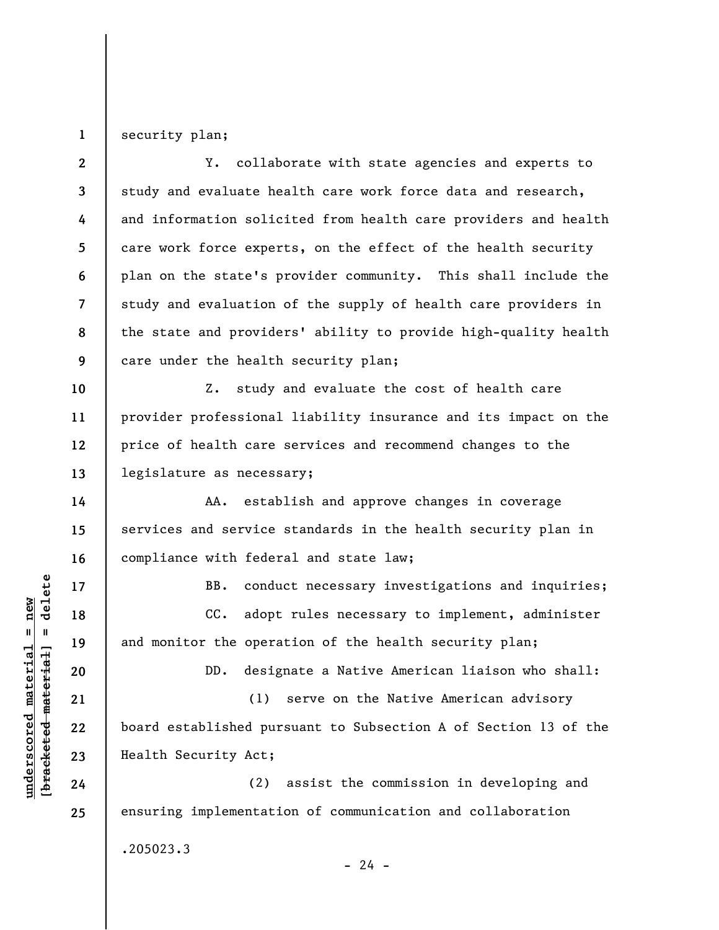**1**  security plan;

**2 3 4 5 6 7 8 9 10 11 12 13 14 15 16 17 18 19 20 21 22 23 24 25**  Y. collaborate with state agencies and experts to study and evaluate health care work force data and research, and information solicited from health care providers and health care work force experts, on the effect of the health security plan on the state's provider community. This shall include the study and evaluation of the supply of health care providers in the state and providers' ability to provide high-quality health care under the health security plan; Z. study and evaluate the cost of health care provider professional liability insurance and its impact on the price of health care services and recommend changes to the legislature as necessary; AA. establish and approve changes in coverage services and service standards in the health security plan in compliance with federal and state law; BB. conduct necessary investigations and inquiries; CC. adopt rules necessary to implement, administer and monitor the operation of the health security plan; DD. designate a Native American liaison who shall: (1) serve on the Native American advisory board established pursuant to Subsection A of Section 13 of the Health Security Act; (2) assist the commission in developing and ensuring implementation of communication and collaboration

.205023.3

**underscored material = new [bracketed material] = delete**

 $\frac{1}{2}$  bracketed material = delete  $underscored material = new$ 

 $- 24 -$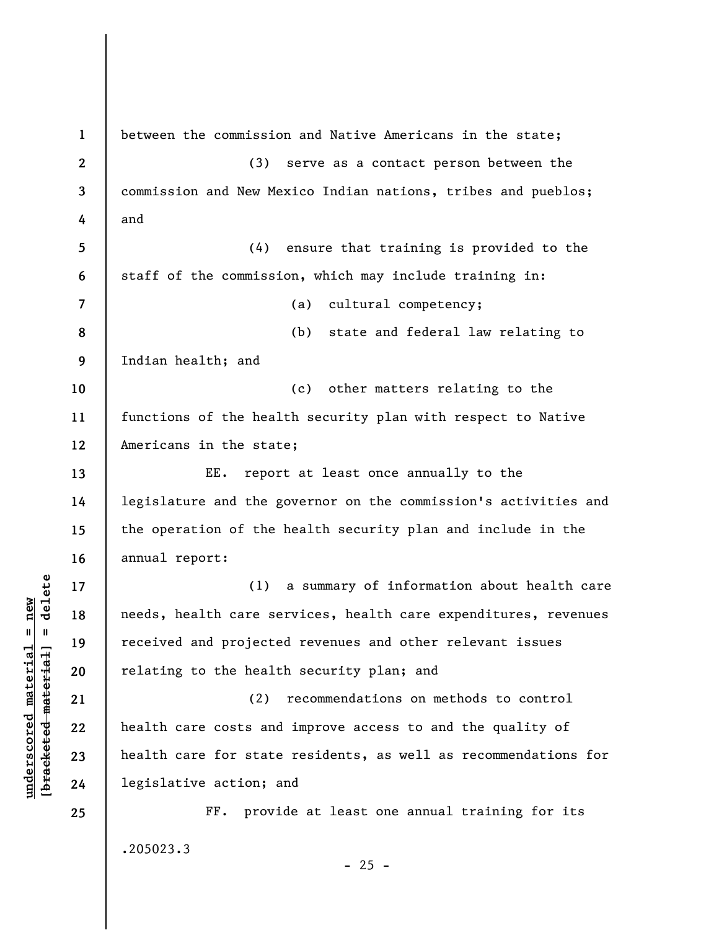**1 2 3 4 5 6 7 8 9 10 11 12 13 14 15 16 17 18 19 20 21 22 23 24 25**  between the commission and Native Americans in the state; (3) serve as a contact person between the commission and New Mexico Indian nations, tribes and pueblos; and (4) ensure that training is provided to the staff of the commission, which may include training in: (a) cultural competency; (b) state and federal law relating to Indian health; and (c) other matters relating to the functions of the health security plan with respect to Native Americans in the state; EE. report at least once annually to the legislature and the governor on the commission's activities and the operation of the health security plan and include in the annual report: (1) a summary of information about health care needs, health care services, health care expenditures, revenues received and projected revenues and other relevant issues relating to the health security plan; and (2) recommendations on methods to control health care costs and improve access to and the quality of health care for state residents, as well as recommendations for legislative action; and FF. provide at least one annual training for its .205023.3  $- 25 -$ 

 $b$ racketed material] = delete **[bracketed material] = delete**  $underscored material = new$ **underscored material = new**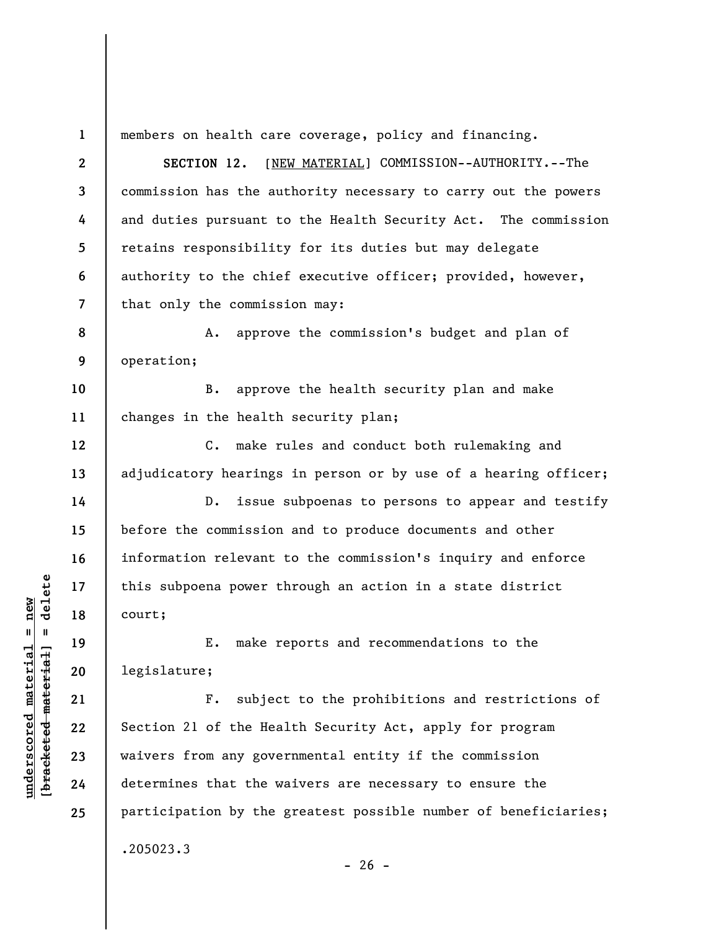**1**  members on health care coverage, policy and financing.

**2 3 4 5 6 7 SECTION 12.** [NEW MATERIAL] COMMISSION--AUTHORITY.--The commission has the authority necessary to carry out the powers and duties pursuant to the Health Security Act. The commission retains responsibility for its duties but may delegate authority to the chief executive officer; provided, however, that only the commission may:

**8 9**  A. approve the commission's budget and plan of operation;

**10 11**  B. approve the health security plan and make changes in the health security plan;

**12 13**  C. make rules and conduct both rulemaking and adjudicatory hearings in person or by use of a hearing officer;

D. issue subpoenas to persons to appear and testify before the commission and to produce documents and other information relevant to the commission's inquiry and enforce this subpoena power through an action in a state district court;

E. make reports and recommendations to the legislature;

F. subject to the prohibitions and restrictions of Section 21 of the Health Security Act, apply for program waivers from any governmental entity if the commission determines that the waivers are necessary to ensure the participation by the greatest possible number of beneficiaries; .205023.3

 $\frac{1}{2}$  bracketed material = delete **[bracketed material] = delete**  $underscored material = new$ **underscored material = new**

**14** 

**15** 

**16** 

**17** 

**18** 

**19** 

**20** 

**21** 

**22** 

**23** 

**24** 

**25** 

 $- 26 -$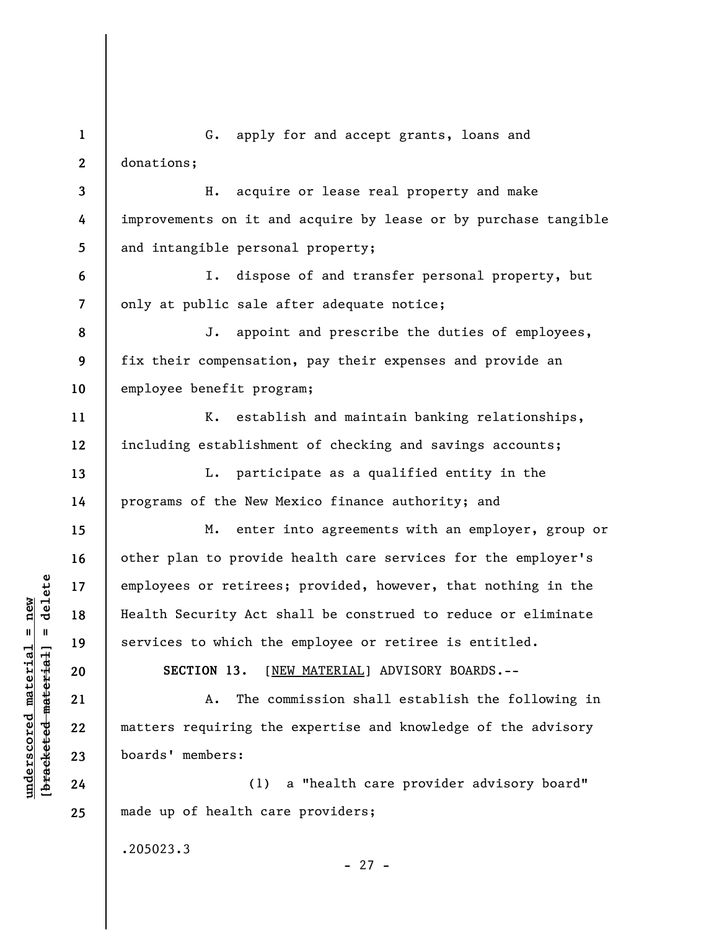**1 2 3**  G. apply for and accept grants, loans and donations; H. acquire or lease real property and make

**4 5**  improvements on it and acquire by lease or by purchase tangible and intangible personal property;

I. dispose of and transfer personal property, but only at public sale after adequate notice;

J. appoint and prescribe the duties of employees, fix their compensation, pay their expenses and provide an employee benefit program;

K. establish and maintain banking relationships, including establishment of checking and savings accounts;

L. participate as a qualified entity in the programs of the New Mexico finance authority; and

M. enter into agreements with an employer, group or other plan to provide health care services for the employer's employees or retirees; provided, however, that nothing in the Health Security Act shall be construed to reduce or eliminate services to which the employee or retiree is entitled.

**SECTION 13.** [NEW MATERIAL] ADVISORY BOARDS.--

A. The commission shall establish the following in matters requiring the expertise and knowledge of the advisory boards' members:

(1) a "health care provider advisory board" made up of health care providers;

- 27 -

.205023.3

 $\frac{1}{2}$  intereted material = delete **[bracketed material] = delete**  $underscored material = new$ **underscored material = new**

**6** 

**7** 

**8** 

**9** 

**10** 

**11** 

**12** 

**13** 

**14** 

**15** 

**16** 

**17** 

**18** 

**19** 

**20** 

**21** 

**22** 

**23** 

**24**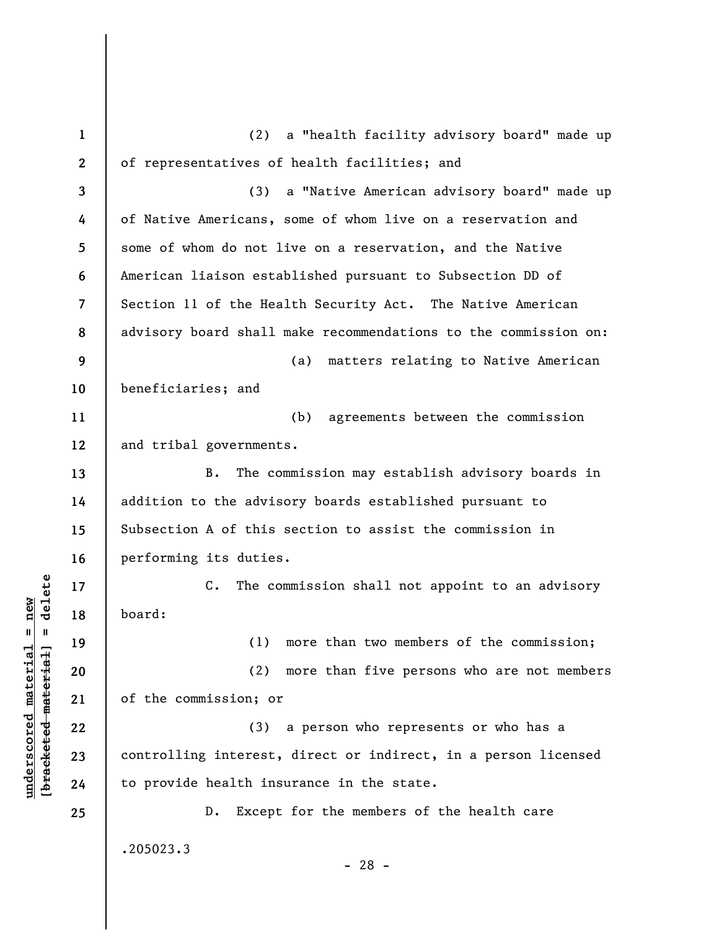**1 2 3 4 5 6 7 8 9 10 11 12 13 14 15 16 17 18 19 20 21 22 23 24 25**  (2) a "health facility advisory board" made up of representatives of health facilities; and (3) a "Native American advisory board" made up of Native Americans, some of whom live on a reservation and some of whom do not live on a reservation, and the Native American liaison established pursuant to Subsection DD of Section 11 of the Health Security Act. The Native American advisory board shall make recommendations to the commission on: (a) matters relating to Native American beneficiaries; and (b) agreements between the commission and tribal governments. B. The commission may establish advisory boards in addition to the advisory boards established pursuant to Subsection A of this section to assist the commission in performing its duties. C. The commission shall not appoint to an advisory board: (1) more than two members of the commission; (2) more than five persons who are not members of the commission; or (3) a person who represents or who has a controlling interest, direct or indirect, in a person licensed to provide health insurance in the state. D. Except for the members of the health care .205023.3 - 28 -

**underscored material = new [bracketed material] = delete**

 $\frac{1}{2}$  intereted material = delete  $underscored material = new$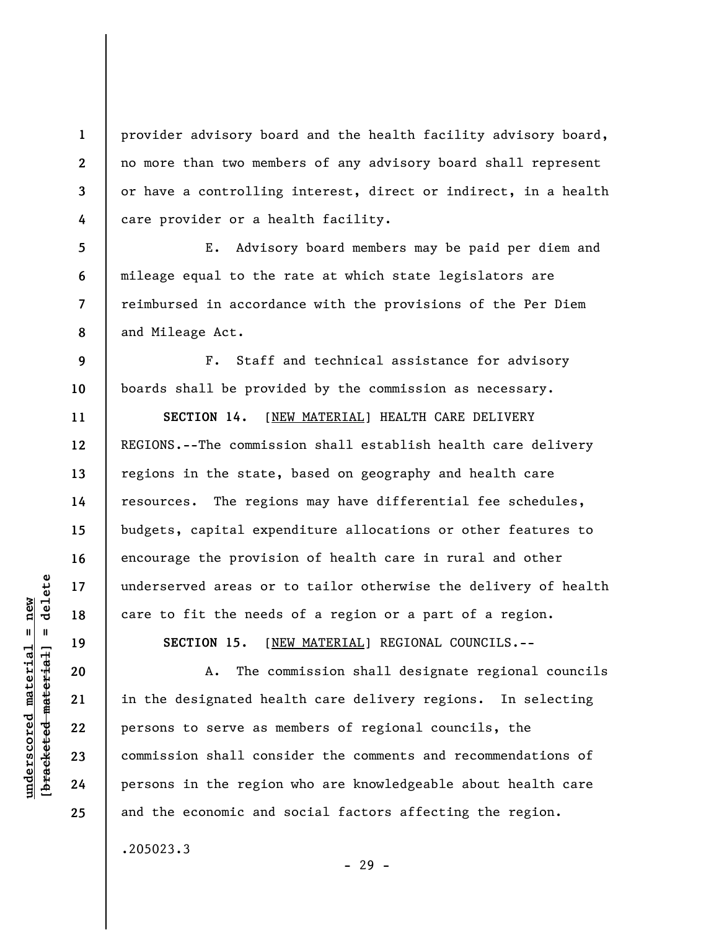provider advisory board and the health facility advisory board, no more than two members of any advisory board shall represent or have a controlling interest, direct or indirect, in a health care provider or a health facility.

E. Advisory board members may be paid per diem and mileage equal to the rate at which state legislators are reimbursed in accordance with the provisions of the Per Diem and Mileage Act.

F. Staff and technical assistance for advisory boards shall be provided by the commission as necessary.

**SECTION 14.** [NEW MATERIAL] HEALTH CARE DELIVERY REGIONS.--The commission shall establish health care delivery regions in the state, based on geography and health care resources. The regions may have differential fee schedules, budgets, capital expenditure allocations or other features to encourage the provision of health care in rural and other underserved areas or to tailor otherwise the delivery of health care to fit the needs of a region or a part of a region.

**SECTION 15.** [NEW MATERIAL] REGIONAL COUNCILS.--

A. The commission shall designate regional councils in the designated health care delivery regions. In selecting persons to serve as members of regional councils, the commission shall consider the comments and recommendations of persons in the region who are knowledgeable about health care and the economic and social factors affecting the region.

.205023.3

 $\frac{1}{2}$  bracketed material = delete **[bracketed material] = delete**  $underscored material = new$ **underscored material = new**

**1** 

**2** 

**3** 

**4** 

**5** 

**6** 

**7** 

**8** 

**9** 

**10** 

**11** 

**12** 

**13** 

**14** 

**15** 

**16** 

**17** 

**18** 

**19** 

**20** 

**21** 

**22** 

**23** 

**24** 

**25** 

- 29 -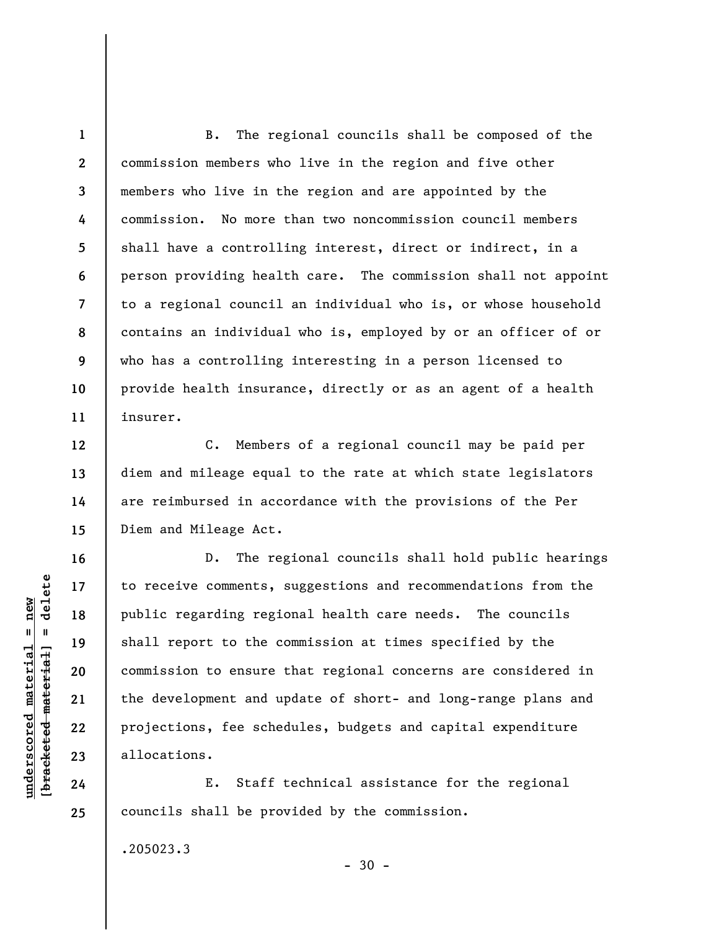**1 2 3 4 5 6 7 8 9 10 11**  B. The regional councils shall be composed of the commission members who live in the region and five other members who live in the region and are appointed by the commission. No more than two noncommission council members shall have a controlling interest, direct or indirect, in a person providing health care. The commission shall not appoint to a regional council an individual who is, or whose household contains an individual who is, employed by or an officer of or who has a controlling interesting in a person licensed to provide health insurance, directly or as an agent of a health insurer.

C. Members of a regional council may be paid per diem and mileage equal to the rate at which state legislators are reimbursed in accordance with the provisions of the Per Diem and Mileage Act.

D. The regional councils shall hold public hearings to receive comments, suggestions and recommendations from the public regarding regional health care needs. The councils shall report to the commission at times specified by the commission to ensure that regional concerns are considered in the development and update of short- and long-range plans and projections, fee schedules, budgets and capital expenditure allocations.

E. Staff technical assistance for the regional councils shall be provided by the commission.

 $-30 -$ 

.205023.3

 $\frac{1}{2}$  intereted material = delete **[bracketed material] = delete**  $underscored material = new$ **underscored material = new**

**12** 

**13** 

**14** 

**15** 

**16** 

**17** 

**18** 

**19** 

**20** 

**21** 

**22** 

**23** 

**24**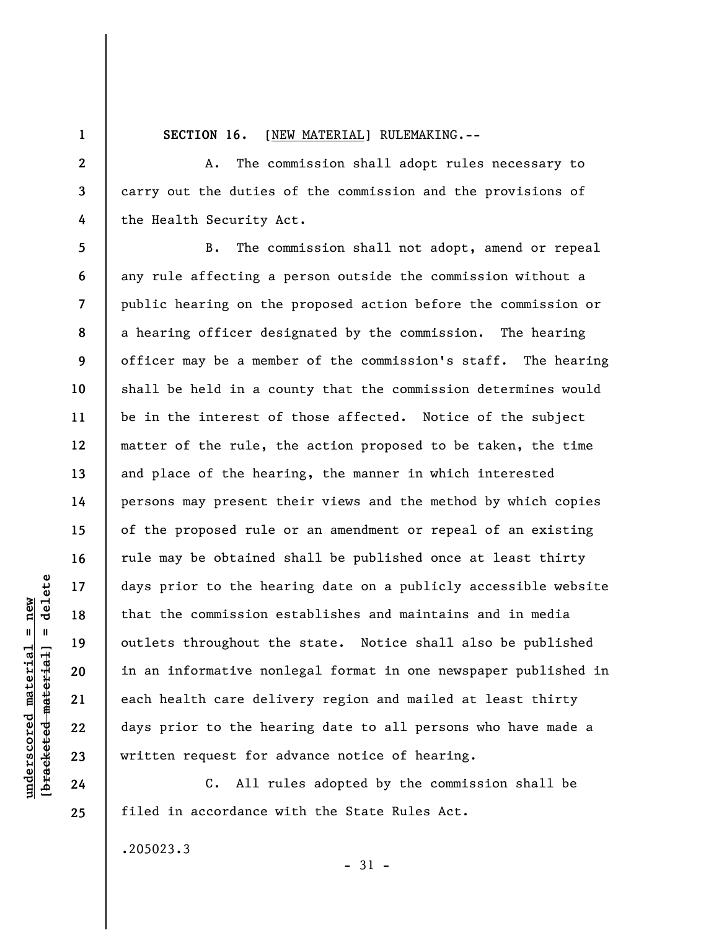**1** 

**2** 

**3** 

**4** 

**5** 

**6** 

**7** 

**8** 

**9** 

**10** 

**11** 

**12** 

**13** 

**14** 

**15** 

**16** 

**17** 

**18** 

**19** 

**20** 

**21** 

**22** 

**23** 

**24** 

**25** 

**SECTION 16.** [NEW MATERIAL] RULEMAKING.--

A. The commission shall adopt rules necessary to carry out the duties of the commission and the provisions of the Health Security Act.

B. The commission shall not adopt, amend or repeal any rule affecting a person outside the commission without a public hearing on the proposed action before the commission or a hearing officer designated by the commission. The hearing officer may be a member of the commission's staff. The hearing shall be held in a county that the commission determines would be in the interest of those affected. Notice of the subject matter of the rule, the action proposed to be taken, the time and place of the hearing, the manner in which interested persons may present their views and the method by which copies of the proposed rule or an amendment or repeal of an existing rule may be obtained shall be published once at least thirty days prior to the hearing date on a publicly accessible website that the commission establishes and maintains and in media outlets throughout the state. Notice shall also be published in an informative nonlegal format in one newspaper published in each health care delivery region and mailed at least thirty days prior to the hearing date to all persons who have made a written request for advance notice of hearing.

C. All rules adopted by the commission shall be filed in accordance with the State Rules Act.

.205023.3

- 31 -

 $\frac{1}{2}$  bracketed material = delete **[bracketed material] = delete**  $underscored material = new$ **underscored material = new**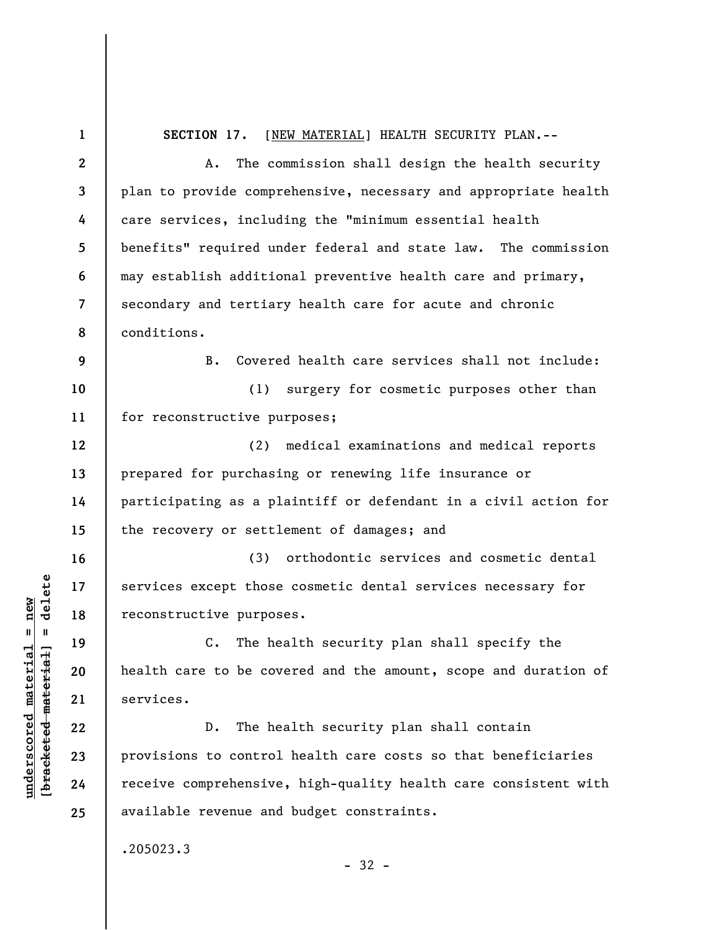**1 2 3 4 5 6 7 8 9 10 11 12 13 14 15 16 17 18 19 20 21 22 23 24 25 SECTION 17.** [NEW MATERIAL] HEALTH SECURITY PLAN.-- A. The commission shall design the health security plan to provide comprehensive, necessary and appropriate health care services, including the "minimum essential health benefits" required under federal and state law. The commission may establish additional preventive health care and primary, secondary and tertiary health care for acute and chronic conditions. B. Covered health care services shall not include: (1) surgery for cosmetic purposes other than for reconstructive purposes; (2) medical examinations and medical reports prepared for purchasing or renewing life insurance or participating as a plaintiff or defendant in a civil action for the recovery or settlement of damages; and (3) orthodontic services and cosmetic dental services except those cosmetic dental services necessary for reconstructive purposes. C. The health security plan shall specify the health care to be covered and the amount, scope and duration of services. D. The health security plan shall contain provisions to control health care costs so that beneficiaries receive comprehensive, high-quality health care consistent with available revenue and budget constraints. .205023.3 - 32 -

**underscored material = new [bracketed material] = delete**

 $\frac{1}{2}$  intereted material = delete  $underscored material = new$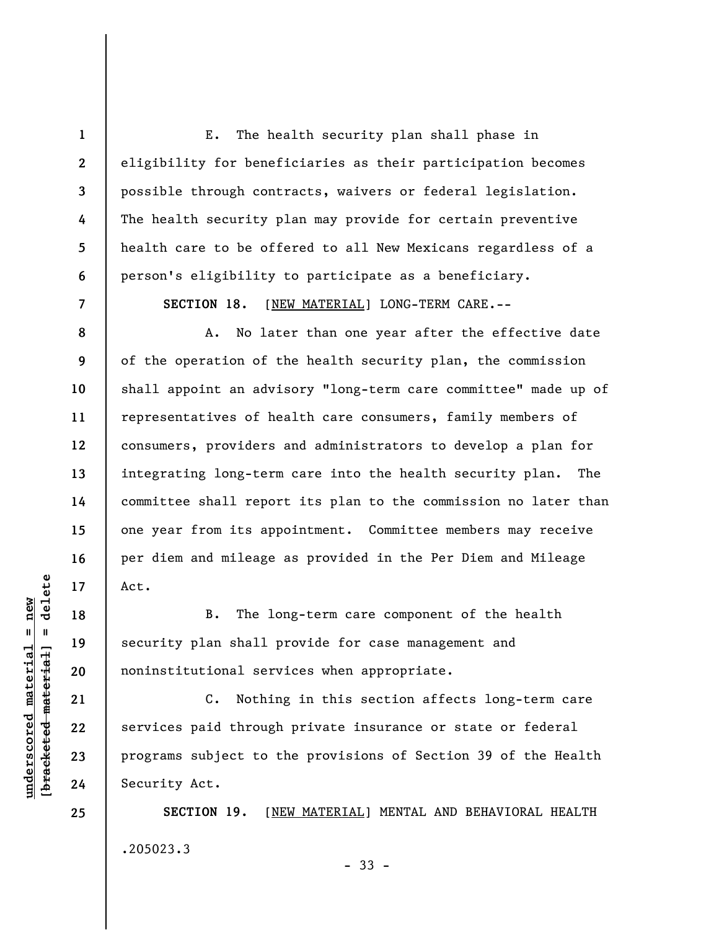E. The health security plan shall phase in eligibility for beneficiaries as their participation becomes possible through contracts, waivers or federal legislation. The health security plan may provide for certain preventive health care to be offered to all New Mexicans regardless of a person's eligibility to participate as a beneficiary.

**SECTION 18.** [NEW MATERIAL] LONG-TERM CARE.--

A. No later than one year after the effective date of the operation of the health security plan, the commission shall appoint an advisory "long-term care committee" made up of representatives of health care consumers, family members of consumers, providers and administrators to develop a plan for integrating long-term care into the health security plan. The committee shall report its plan to the commission no later than one year from its appointment. Committee members may receive per diem and mileage as provided in the Per Diem and Mileage Act.

B. The long-term care component of the health security plan shall provide for case management and noninstitutional services when appropriate.

C. Nothing in this section affects long-term care services paid through private insurance or state or federal programs subject to the provisions of Section 39 of the Health Security Act.

**SECTION 19.** [NEW MATERIAL] MENTAL AND BEHAVIORAL HEALTH .205023.3

- 33 -

 $=$  delete **[bracketed material] = delete**  $underscored material = new$ **underscored material = new** bracketed material

**25** 

**1** 

**2** 

**3** 

**4** 

**5** 

**6** 

**7** 

**8** 

**9** 

**10** 

**11** 

**12** 

**13** 

**14** 

**15** 

**16** 

**17** 

**18** 

**19** 

**20** 

**21** 

**22** 

**23**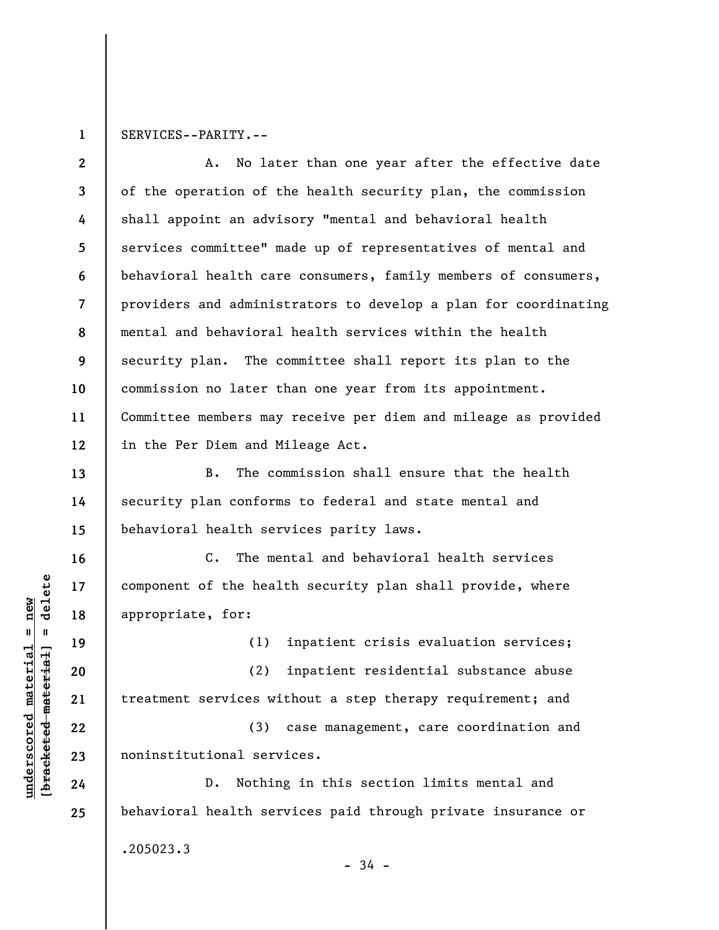**1**  SERVICES--PARITY.--

**2 3 4 5 6 7 8 9 10 11 12**  A. No later than one year after the effective date of the operation of the health security plan, the commission shall appoint an advisory "mental and behavioral health services committee" made up of representatives of mental and behavioral health care consumers, family members of consumers, providers and administrators to develop a plan for coordinating mental and behavioral health services within the health security plan. The committee shall report its plan to the commission no later than one year from its appointment. Committee members may receive per diem and mileage as provided in the Per Diem and Mileage Act.

B. The commission shall ensure that the health security plan conforms to federal and state mental and behavioral health services parity laws.

C. The mental and behavioral health services component of the health security plan shall provide, where appropriate, for:

(1) inpatient crisis evaluation services;

(2) inpatient residential substance abuse treatment services without a step therapy requirement; and

(3) case management, care coordination and noninstitutional services.

D. Nothing in this section limits mental and behavioral health services paid through private insurance or .205023.3 - 34 -

 $\frac{1}{2}$  intereted material = delete **[bracketed material] = delete**  $underscored material = new$ **underscored material = new**

**13** 

**14** 

**15** 

**16** 

**17** 

**18** 

**19** 

**20** 

**21** 

**22** 

**23** 

**24**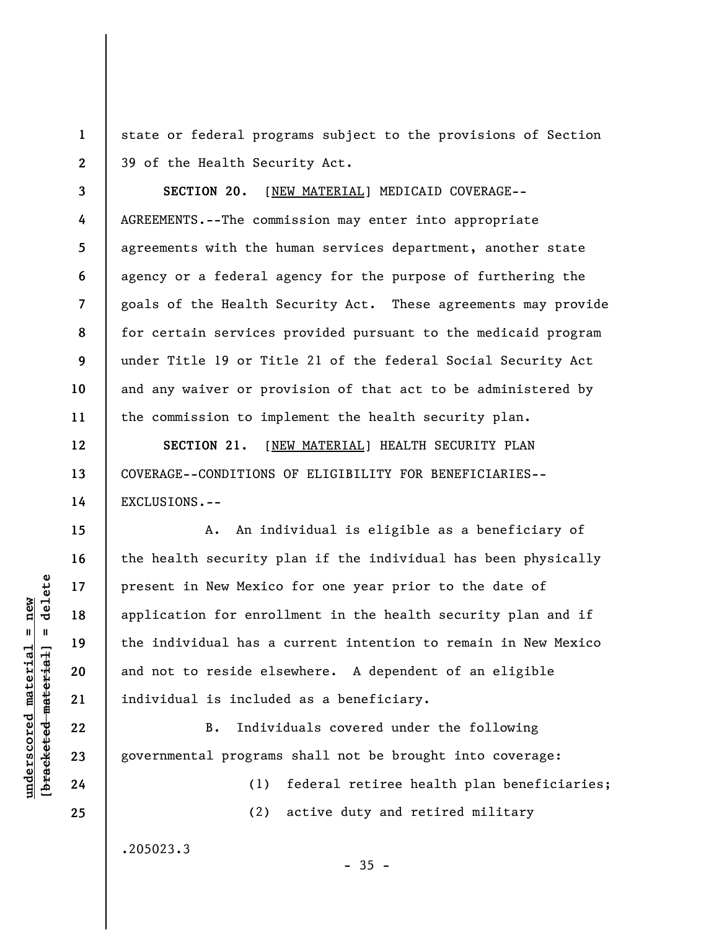**1 2**  state or federal programs subject to the provisions of Section 39 of the Health Security Act.

**SECTION 20.** [NEW MATERIAL] MEDICAID COVERAGE-- AGREEMENTS.--The commission may enter into appropriate agreements with the human services department, another state agency or a federal agency for the purpose of furthering the goals of the Health Security Act. These agreements may provide for certain services provided pursuant to the medicaid program under Title 19 or Title 21 of the federal Social Security Act and any waiver or provision of that act to be administered by the commission to implement the health security plan.

**SECTION 21.** [NEW MATERIAL] HEALTH SECURITY PLAN COVERAGE--CONDITIONS OF ELIGIBILITY FOR BENEFICIARIES-- EXCLUSIONS.--

A. An individual is eligible as a beneficiary of the health security plan if the individual has been physically present in New Mexico for one year prior to the date of application for enrollment in the health security plan and if the individual has a current intention to remain in New Mexico and not to reside elsewhere. A dependent of an eligible individual is included as a beneficiary.

B. Individuals covered under the following governmental programs shall not be brought into coverage:

 $-35 -$ 

(1) federal retiree health plan beneficiaries; (2) active duty and retired military

.205023.3

 $=$  delete **[bracketed material] = delete**  $underscored material = new$ **underscored material = new** bracketed material

**3** 

**4** 

**5** 

**6** 

**7** 

**8** 

**9** 

**10** 

**11** 

**12** 

**13** 

**14** 

**15** 

**16** 

**17** 

**18** 

**19** 

**20** 

**21** 

**22** 

**23** 

**24**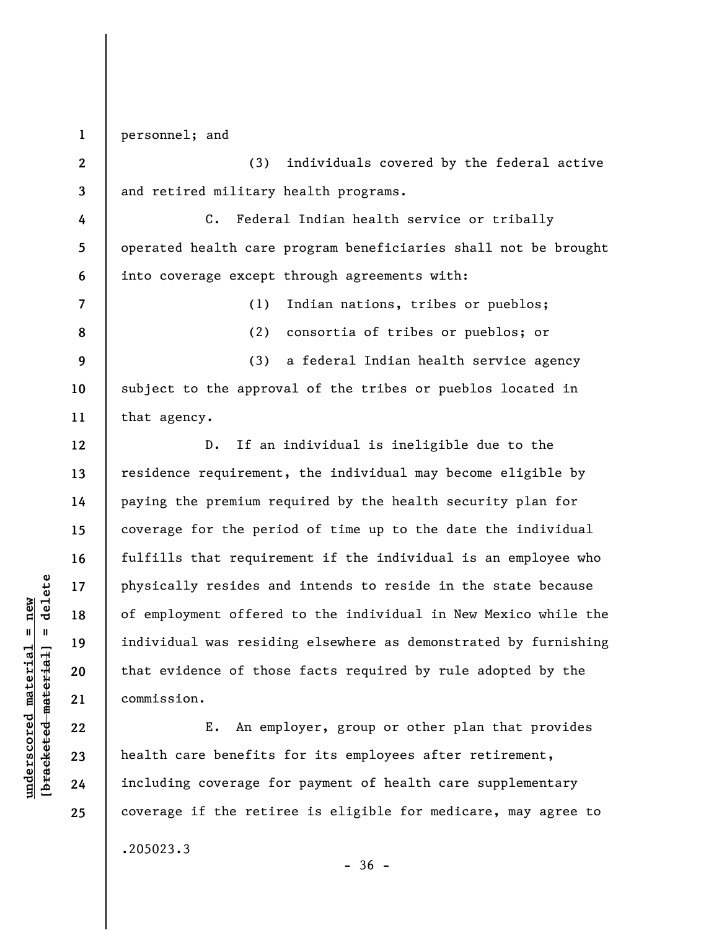**1**  personnel; and

**2 3**  (3) individuals covered by the federal active and retired military health programs.

**4 5 6**  C. Federal Indian health service or tribally operated health care program beneficiaries shall not be brought into coverage except through agreements with:

**7 8 9** 

**12** 

**13** 

**14** 

**15** 

**16** 

**17** 

**18** 

**19** 

**20** 

**21** 

**22** 

**23** 

**24** 

**25** 

(1) Indian nations, tribes or pueblos;

(2) consortia of tribes or pueblos; or

**10 11**  (3) a federal Indian health service agency subject to the approval of the tribes or pueblos located in that agency.

D. If an individual is ineligible due to the residence requirement, the individual may become eligible by paying the premium required by the health security plan for coverage for the period of time up to the date the individual fulfills that requirement if the individual is an employee who physically resides and intends to reside in the state because of employment offered to the individual in New Mexico while the individual was residing elsewhere as demonstrated by furnishing that evidence of those facts required by rule adopted by the commission.

E. An employer, group or other plan that provides health care benefits for its employees after retirement, including coverage for payment of health care supplementary coverage if the retiree is eligible for medicare, may agree to .205023.3

 $-36 -$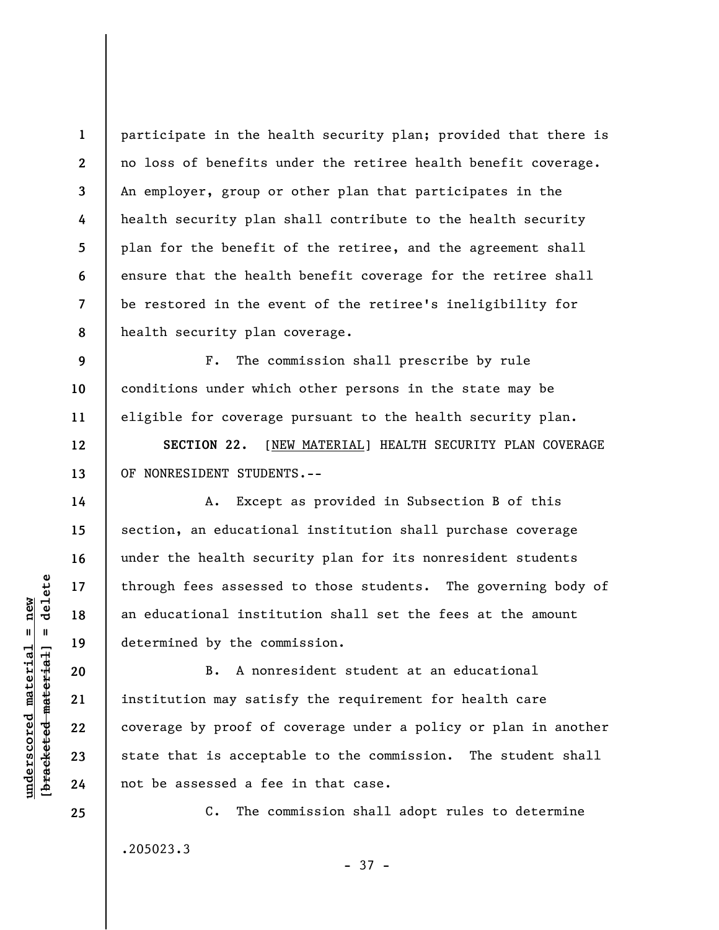**8**  participate in the health security plan; provided that there is no loss of benefits under the retiree health benefit coverage. An employer, group or other plan that participates in the health security plan shall contribute to the health security plan for the benefit of the retiree, and the agreement shall ensure that the health benefit coverage for the retiree shall be restored in the event of the retiree's ineligibility for health security plan coverage.

**9 10 11**  F. The commission shall prescribe by rule conditions under which other persons in the state may be eligible for coverage pursuant to the health security plan.

**SECTION 22.** [NEW MATERIAL] HEALTH SECURITY PLAN COVERAGE OF NONRESIDENT STUDENTS.--

A. Except as provided in Subsection B of this section, an educational institution shall purchase coverage under the health security plan for its nonresident students through fees assessed to those students. The governing body of an educational institution shall set the fees at the amount determined by the commission.

B. A nonresident student at an educational institution may satisfy the requirement for health care coverage by proof of coverage under a policy or plan in another state that is acceptable to the commission. The student shall not be assessed a fee in that case.

C. The commission shall adopt rules to determine .205023.3 - 37 -

 $\frac{1}{2}$  bracketed material = delete **[bracketed material] = delete**  $underscored material = new$ **underscored material = new**

**1** 

**2** 

**3** 

**4** 

**5** 

**6** 

**7** 

**12** 

**13** 

**14** 

**15** 

**16** 

**17** 

**18** 

**19** 

**20** 

**21** 

**22** 

**23** 

**24**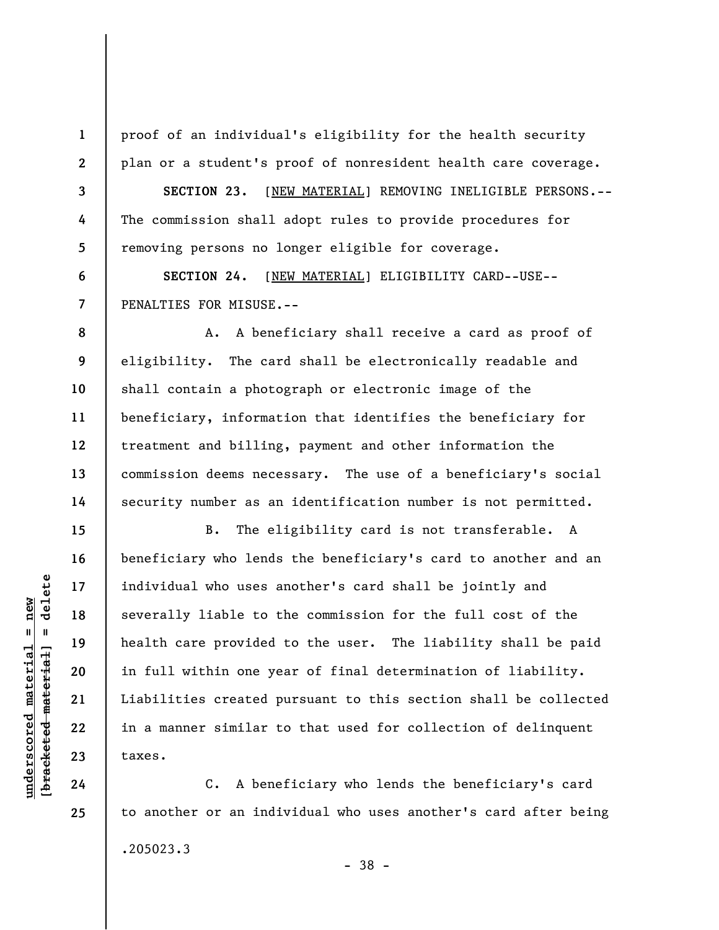proof of an individual's eligibility for the health security plan or a student's proof of nonresident health care coverage.

**SECTION 23.** [NEW MATERIAL] REMOVING INELIGIBLE PERSONS.-- The commission shall adopt rules to provide procedures for removing persons no longer eligible for coverage.

**SECTION 24.** [NEW MATERIAL] ELIGIBILITY CARD--USE-- PENALTIES FOR MISUSE.--

A. A beneficiary shall receive a card as proof of eligibility. The card shall be electronically readable and shall contain a photograph or electronic image of the beneficiary, information that identifies the beneficiary for treatment and billing, payment and other information the commission deems necessary. The use of a beneficiary's social security number as an identification number is not permitted.

B. The eligibility card is not transferable. A beneficiary who lends the beneficiary's card to another and an individual who uses another's card shall be jointly and severally liable to the commission for the full cost of the health care provided to the user. The liability shall be paid in full within one year of final determination of liability. Liabilities created pursuant to this section shall be collected in a manner similar to that used for collection of delinquent taxes.

C. A beneficiary who lends the beneficiary's card to another or an individual who uses another's card after being .205023.3 - 38 -

 $\frac{1}{2}$  bracketed material = delete **[bracketed material] = delete**  $underscored material = new$ **underscored material = new**

**1** 

**2** 

**3** 

**4** 

**5** 

**6** 

**7** 

**8** 

**9** 

**10** 

**11** 

**12** 

**13** 

**14** 

**15** 

**16** 

**17** 

**18** 

**19** 

**20** 

**21** 

**22** 

**23** 

**24**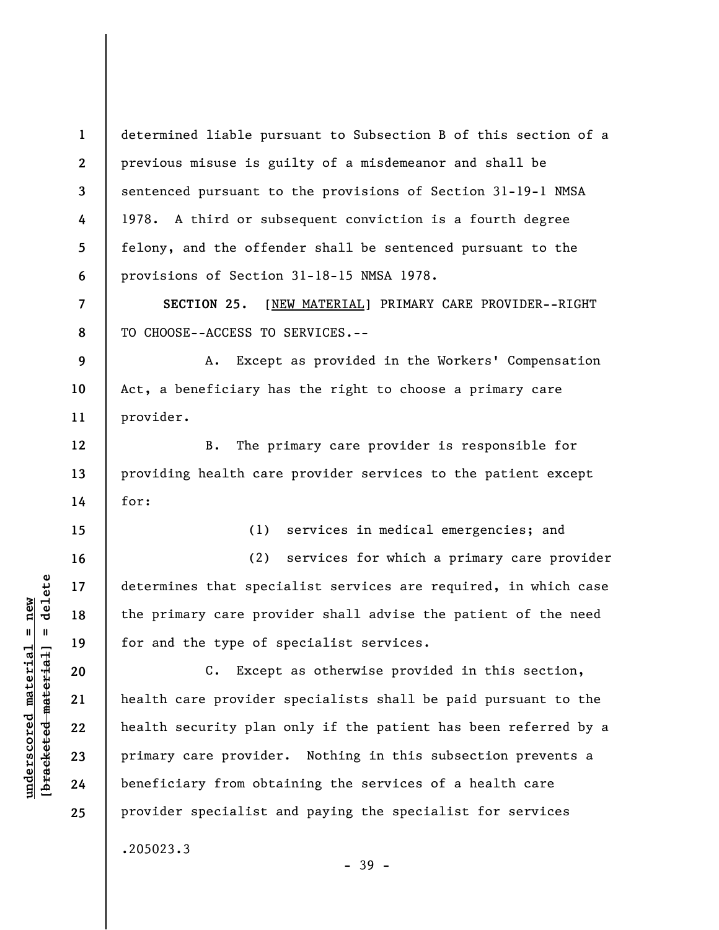**1 2 3 4 5 6**  determined liable pursuant to Subsection B of this section of a previous misuse is guilty of a misdemeanor and shall be sentenced pursuant to the provisions of Section 31-19-1 NMSA 1978. A third or subsequent conviction is a fourth degree felony, and the offender shall be sentenced pursuant to the provisions of Section 31-18-15 NMSA 1978.

**SECTION 25.** [NEW MATERIAL] PRIMARY CARE PROVIDER--RIGHT TO CHOOSE--ACCESS TO SERVICES.--

**9 10 11**  A. Except as provided in the Workers' Compensation Act, a beneficiary has the right to choose a primary care provider.

B. The primary care provider is responsible for providing health care provider services to the patient except for:

(1) services in medical emergencies; and

(2) services for which a primary care provider determines that specialist services are required, in which case the primary care provider shall advise the patient of the need for and the type of specialist services.

C. Except as otherwise provided in this section, health care provider specialists shall be paid pursuant to the health security plan only if the patient has been referred by a primary care provider. Nothing in this subsection prevents a beneficiary from obtaining the services of a health care provider specialist and paying the specialist for services .205023.3

- 39 -

**7** 

**8** 

**12** 

**13** 

**14** 

**15** 

**16** 

**17** 

**18** 

**19** 

**20** 

**21** 

**22** 

**23** 

**24**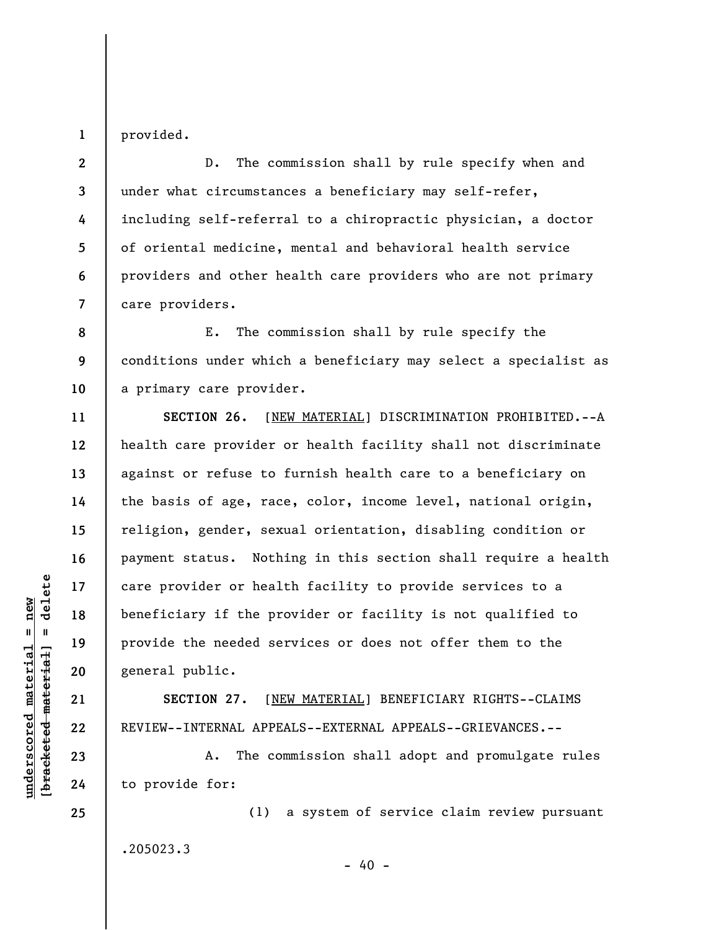**1**  provided.

**2** 

**3** 

**4** 

**5** 

**6** 

**7** 

**11** 

**12** 

**13** 

**14** 

**15** 

**16** 

**17** 

**18** 

**19** 

**20** 

**21** 

**22** 

**23** 

**24** 

**25** 

D. The commission shall by rule specify when and under what circumstances a beneficiary may self-refer, including self-referral to a chiropractic physician, a doctor of oriental medicine, mental and behavioral health service providers and other health care providers who are not primary care providers.

**8 9 10**  E. The commission shall by rule specify the conditions under which a beneficiary may select a specialist as a primary care provider.

**SECTION 26.** [NEW MATERIAL] DISCRIMINATION PROHIBITED.--A health care provider or health facility shall not discriminate against or refuse to furnish health care to a beneficiary on the basis of age, race, color, income level, national origin, religion, gender, sexual orientation, disabling condition or payment status. Nothing in this section shall require a health care provider or health facility to provide services to a beneficiary if the provider or facility is not qualified to provide the needed services or does not offer them to the general public.

**SECTION 27.** [NEW MATERIAL] BENEFICIARY RIGHTS--CLAIMS REVIEW--INTERNAL APPEALS--EXTERNAL APPEALS--GRIEVANCES.--

A. The commission shall adopt and promulgate rules to provide for:

(1) a system of service claim review pursuant .205023.3  $- 40 -$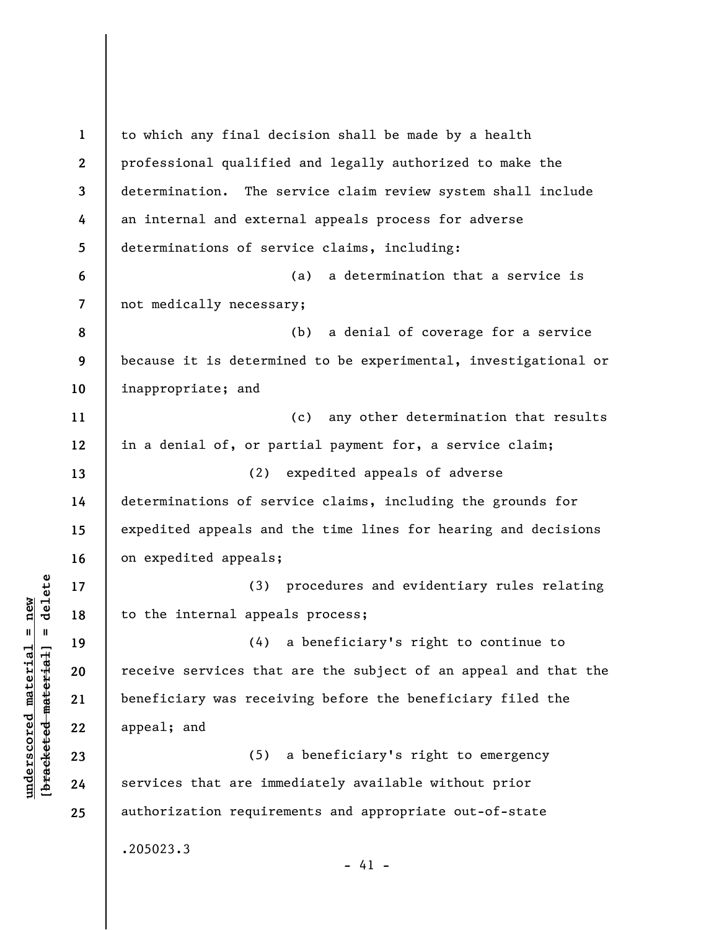**1 2 3 4 5 6 7 8 9 10 11 12 13 14 15 16 17 18 19 20 21 22 23 24 25**  to which any final decision shall be made by a health professional qualified and legally authorized to make the determination. The service claim review system shall include an internal and external appeals process for adverse determinations of service claims, including: (a) a determination that a service is not medically necessary; (b) a denial of coverage for a service because it is determined to be experimental, investigational or inappropriate; and (c) any other determination that results in a denial of, or partial payment for, a service claim; (2) expedited appeals of adverse determinations of service claims, including the grounds for expedited appeals and the time lines for hearing and decisions on expedited appeals; (3) procedures and evidentiary rules relating to the internal appeals process; (4) a beneficiary's right to continue to receive services that are the subject of an appeal and that the beneficiary was receiving before the beneficiary filed the appeal; and (5) a beneficiary's right to emergency services that are immediately available without prior authorization requirements and appropriate out-of-state .205023.3  $- 41 -$ 

**underscored material = new [bracketed material] = delete**

 $\frac{1}{2}$  intereted material = delete  $underscored material = new$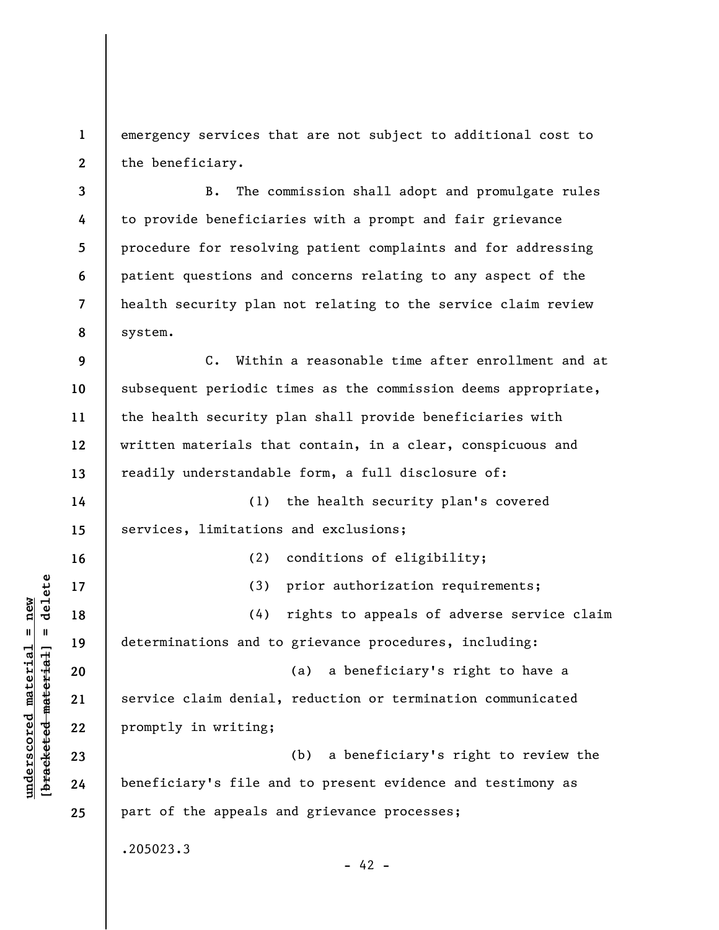**1 2**  emergency services that are not subject to additional cost to the beneficiary.

**3 4 5 6 7 8**  B. The commission shall adopt and promulgate rules to provide beneficiaries with a prompt and fair grievance procedure for resolving patient complaints and for addressing patient questions and concerns relating to any aspect of the health security plan not relating to the service claim review system.

**9 10 11 12 13**  C. Within a reasonable time after enrollment and at subsequent periodic times as the commission deems appropriate, the health security plan shall provide beneficiaries with written materials that contain, in a clear, conspicuous and readily understandable form, a full disclosure of:

**14 15**  (1) the health security plan's covered services, limitations and exclusions;

**16 17 18 19 20 21 22 23 24 25**  (2) conditions of eligibility; (3) prior authorization requirements; (4) rights to appeals of adverse service claim determinations and to grievance procedures, including: (a) a beneficiary's right to have a service claim denial, reduction or termination communicated promptly in writing; (b) a beneficiary's right to review the beneficiary's file and to present evidence and testimony as part of the appeals and grievance processes; .205023.3  $- 42 -$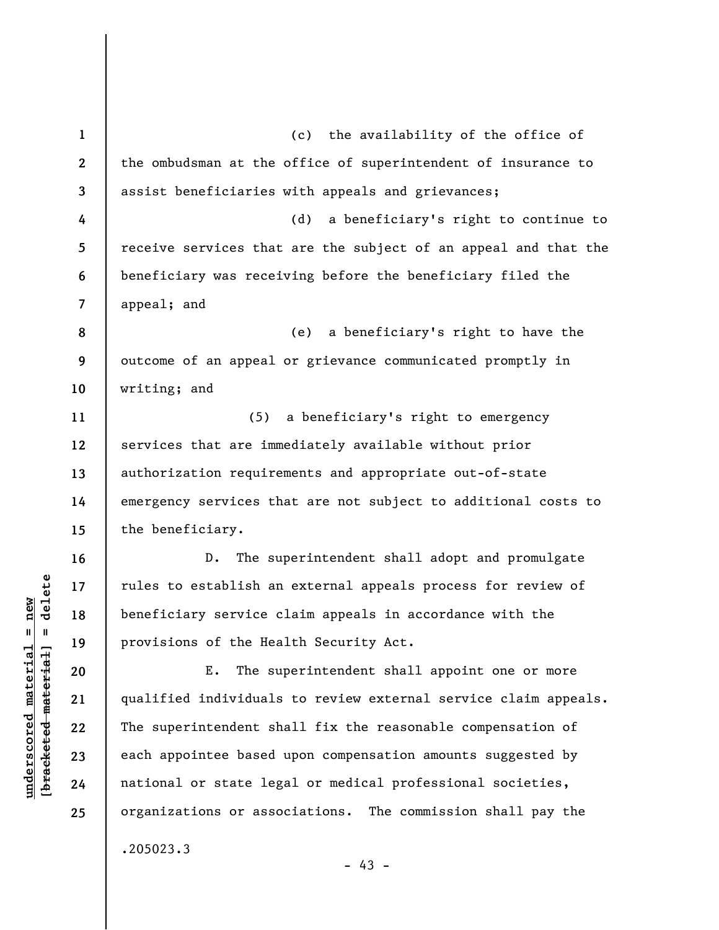**1 2 3 4 5 6 7 8 9 10 11 12 13 14 15 16 17 18 19 20 21 22 23 24 25**  (c) the availability of the office of the ombudsman at the office of superintendent of insurance to assist beneficiaries with appeals and grievances; (d) a beneficiary's right to continue to receive services that are the subject of an appeal and that the beneficiary was receiving before the beneficiary filed the appeal; and (e) a beneficiary's right to have the outcome of an appeal or grievance communicated promptly in writing; and (5) a beneficiary's right to emergency services that are immediately available without prior authorization requirements and appropriate out-of-state emergency services that are not subject to additional costs to the beneficiary. D. The superintendent shall adopt and promulgate rules to establish an external appeals process for review of beneficiary service claim appeals in accordance with the provisions of the Health Security Act. E. The superintendent shall appoint one or more qualified individuals to review external service claim appeals. The superintendent shall fix the reasonable compensation of each appointee based upon compensation amounts suggested by national or state legal or medical professional societies, organizations or associations. The commission shall pay the .205023.3

 $b$ racketed material] = delete **[bracketed material] = delete**  $underscored material = new$ **underscored material = new**

 $- 43 -$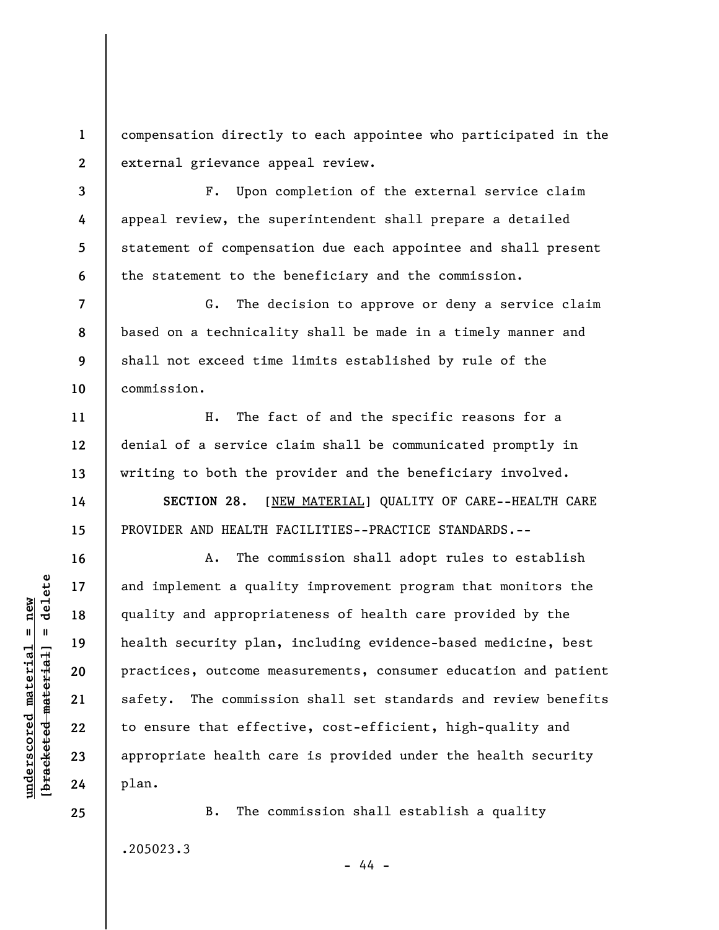**1 2**  compensation directly to each appointee who participated in the external grievance appeal review.

F. Upon completion of the external service claim appeal review, the superintendent shall prepare a detailed statement of compensation due each appointee and shall present the statement to the beneficiary and the commission.

**7 8 9 10**  G. The decision to approve or deny a service claim based on a technicality shall be made in a timely manner and shall not exceed time limits established by rule of the commission.

H. The fact of and the specific reasons for a denial of a service claim shall be communicated promptly in writing to both the provider and the beneficiary involved.

**SECTION 28.** [NEW MATERIAL] QUALITY OF CARE--HEALTH CARE PROVIDER AND HEALTH FACILITIES--PRACTICE STANDARDS.--

A. The commission shall adopt rules to establish and implement a quality improvement program that monitors the quality and appropriateness of health care provided by the health security plan, including evidence-based medicine, best practices, outcome measurements, consumer education and patient safety. The commission shall set standards and review benefits to ensure that effective, cost-efficient, high-quality and appropriate health care is provided under the health security plan.

B. The commission shall establish a quality .205023.3

- 44 -

**3** 

**4** 

**5** 

**6** 

**11** 

**12** 

**13** 

**14** 

**15** 

**16** 

**17** 

**18** 

**19** 

**20** 

**21** 

**22** 

**23** 

**24**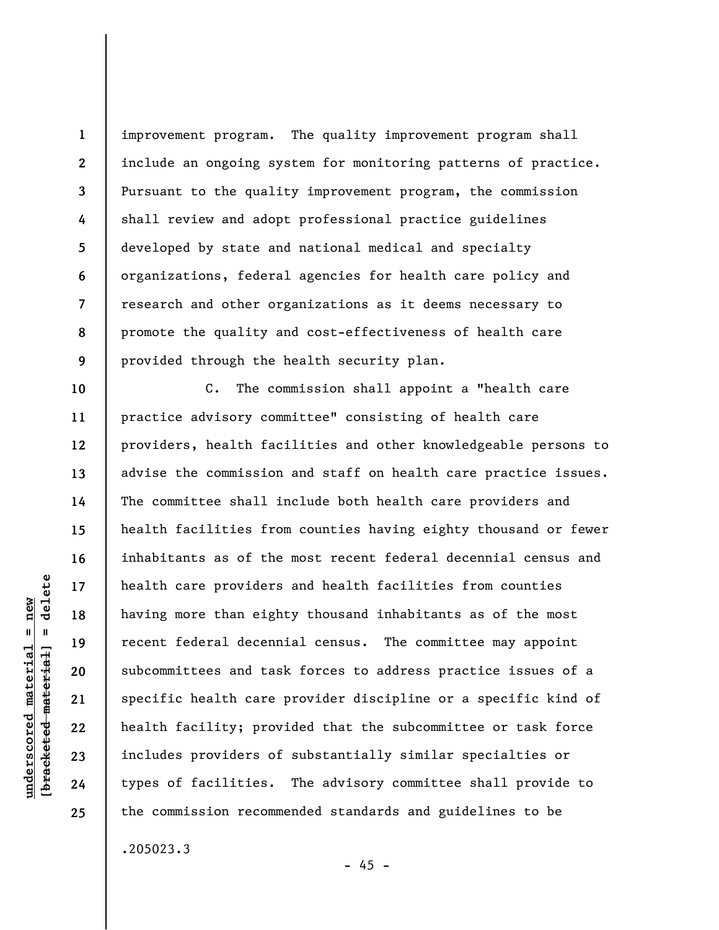**1 2 3 4 5 6 7 8 9**  improvement program. The quality improvement program shall include an ongoing system for monitoring patterns of practice. Pursuant to the quality improvement program, the commission shall review and adopt professional practice guidelines developed by state and national medical and specialty organizations, federal agencies for health care policy and research and other organizations as it deems necessary to promote the quality and cost-effectiveness of health care provided through the health security plan.

**12**  C. The commission shall appoint a "health care practice advisory committee" consisting of health care providers, health facilities and other knowledgeable persons to advise the commission and staff on health care practice issues. The committee shall include both health care providers and health facilities from counties having eighty thousand or fewer inhabitants as of the most recent federal decennial census and health care providers and health facilities from counties having more than eighty thousand inhabitants as of the most recent federal decennial census. The committee may appoint subcommittees and task forces to address practice issues of a specific health care provider discipline or a specific kind of health facility; provided that the subcommittee or task force includes providers of substantially similar specialties or types of facilities. The advisory committee shall provide to the commission recommended standards and guidelines to be

.205023.3

 $- 45 -$ 

delete **[bracketed material] = delete**  $anderscored material = new$ **underscored material = new**  $\mathbf{I}$ bracketed material

**10** 

**11** 

**13** 

**14** 

**15** 

**16** 

**17** 

**18** 

**19** 

**20** 

**21** 

**22** 

**23** 

**24**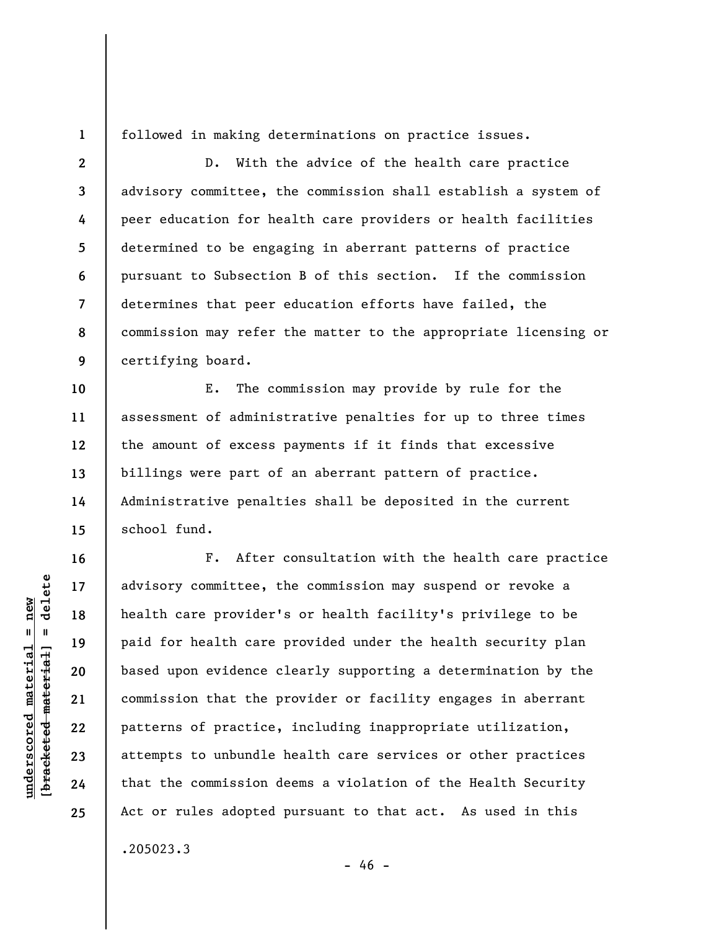**1** 

followed in making determinations on practice issues.

**2 3 4 5 6 7 8 9**  D. With the advice of the health care practice advisory committee, the commission shall establish a system of peer education for health care providers or health facilities determined to be engaging in aberrant patterns of practice pursuant to Subsection B of this section. If the commission determines that peer education efforts have failed, the commission may refer the matter to the appropriate licensing or certifying board.

**10 11 12 13 14 15**  E. The commission may provide by rule for the assessment of administrative penalties for up to three times the amount of excess payments if it finds that excessive billings were part of an aberrant pattern of practice. Administrative penalties shall be deposited in the current school fund.

F. After consultation with the health care practice advisory committee, the commission may suspend or revoke a health care provider's or health facility's privilege to be paid for health care provided under the health security plan based upon evidence clearly supporting a determination by the commission that the provider or facility engages in aberrant patterns of practice, including inappropriate utilization, attempts to unbundle health care services or other practices that the commission deems a violation of the Health Security Act or rules adopted pursuant to that act. As used in this

.205023.3

**underscored material = new [bracketed material] = delete**

 $\frac{1}{2}$  bracketed material] = delete  $underscored material = new$ 

**16** 

**17** 

**18** 

**19** 

**20** 

**21** 

**22** 

**23** 

**24** 

**25** 

 $- 46 -$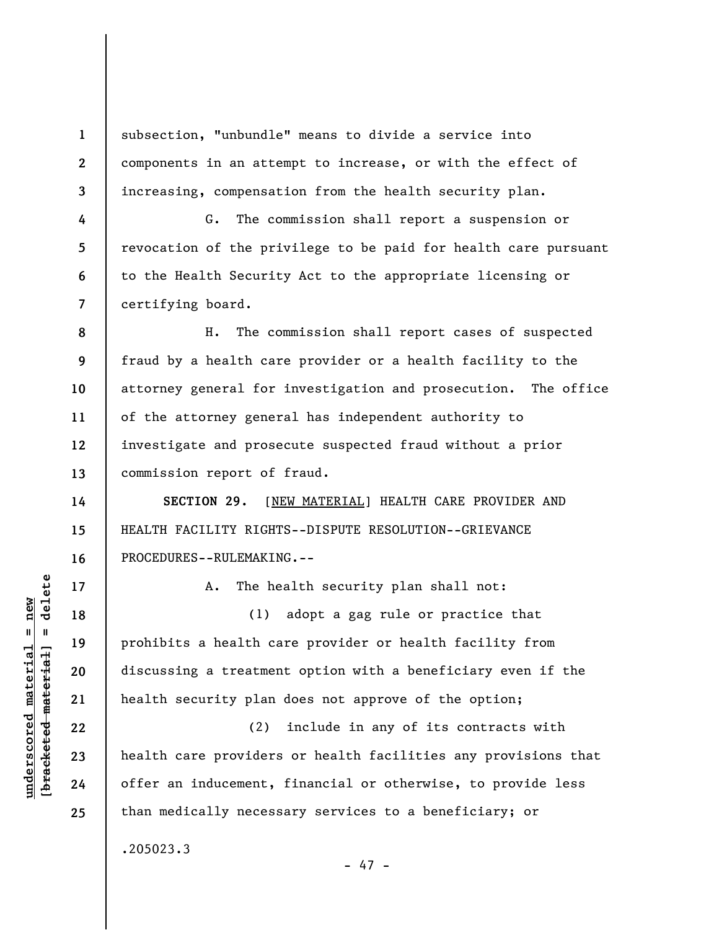**1 2 3**  subsection, "unbundle" means to divide a service into components in an attempt to increase, or with the effect of increasing, compensation from the health security plan.

G. The commission shall report a suspension or revocation of the privilege to be paid for health care pursuant to the Health Security Act to the appropriate licensing or certifying board.

**8 9 10 11 12 13**  H. The commission shall report cases of suspected fraud by a health care provider or a health facility to the attorney general for investigation and prosecution. The office of the attorney general has independent authority to investigate and prosecute suspected fraud without a prior commission report of fraud.

**SECTION 29.** [NEW MATERIAL] HEALTH CARE PROVIDER AND HEALTH FACILITY RIGHTS--DISPUTE RESOLUTION--GRIEVANCE PROCEDURES--RULEMAKING.--

A. The health security plan shall not:

(1) adopt a gag rule or practice that prohibits a health care provider or health facility from discussing a treatment option with a beneficiary even if the health security plan does not approve of the option;

(2) include in any of its contracts with health care providers or health facilities any provisions that offer an inducement, financial or otherwise, to provide less than medically necessary services to a beneficiary; or

- 47 -

.205023.3

 $\frac{1}{2}$  of  $\frac{1}{2}$  and  $\frac{1}{2}$  and  $\frac{1}{2}$  and  $\frac{1}{2}$  and  $\frac{1}{2}$  and  $\frac{1}{2}$  and  $\frac{1}{2}$  and  $\frac{1}{2}$  and  $\frac{1}{2}$  and  $\frac{1}{2}$  and  $\frac{1}{2}$  and  $\frac{1}{2}$  and  $\frac{1}{2}$  and  $\frac{1}{2}$  and  $\frac{1}{2}$  an **[bracketed material] = delete**  $underscored material = new$ **underscored material = new**

**4** 

**5** 

**6** 

**7** 

**14** 

**15** 

**16** 

**17** 

**18** 

**19** 

**20** 

**21** 

**22** 

**23** 

**24**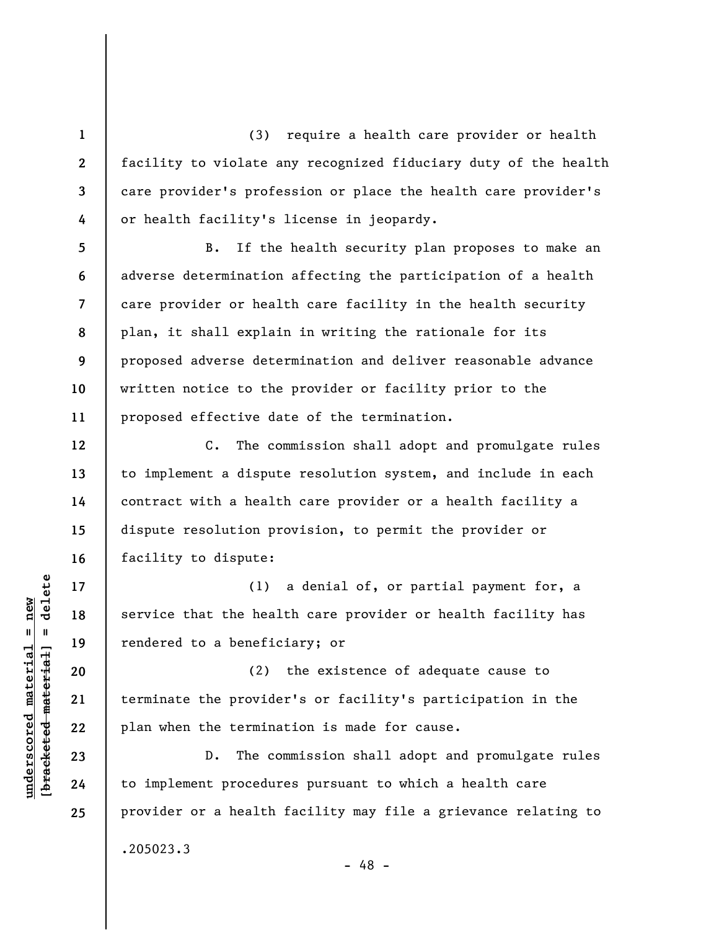(3) require a health care provider or health facility to violate any recognized fiduciary duty of the health care provider's profession or place the health care provider's or health facility's license in jeopardy.

B. If the health security plan proposes to make an adverse determination affecting the participation of a health care provider or health care facility in the health security plan, it shall explain in writing the rationale for its proposed adverse determination and deliver reasonable advance written notice to the provider or facility prior to the proposed effective date of the termination.

C. The commission shall adopt and promulgate rules to implement a dispute resolution system, and include in each contract with a health care provider or a health facility a dispute resolution provision, to permit the provider or facility to dispute:

(1) a denial of, or partial payment for, a service that the health care provider or health facility has rendered to a beneficiary; or

(2) the existence of adequate cause to terminate the provider's or facility's participation in the plan when the termination is made for cause.

D. The commission shall adopt and promulgate rules to implement procedures pursuant to which a health care provider or a health facility may file a grievance relating to .205023.3

 $\frac{1}{2}$  of  $\frac{1}{2}$  and  $\frac{1}{2}$  and  $\frac{1}{2}$  and  $\frac{1}{2}$  and  $\frac{1}{2}$  and  $\frac{1}{2}$  and  $\frac{1}{2}$  and  $\frac{1}{2}$  and  $\frac{1}{2}$  and  $\frac{1}{2}$  and  $\frac{1}{2}$  and  $\frac{1}{2}$  and  $\frac{1}{2}$  and  $\frac{1}{2}$  and  $\frac{1}{2}$  an **[bracketed material] = delete**  $underscored material = new$ **underscored material = new**

**1** 

**2** 

**3** 

**4** 

**5** 

**6** 

**7** 

**8** 

**9** 

**10** 

**11** 

**12** 

**13** 

**14** 

**15** 

**16** 

**17** 

**18** 

**19** 

**20** 

**21** 

**22** 

**23** 

**24** 

**25** 

- 48 -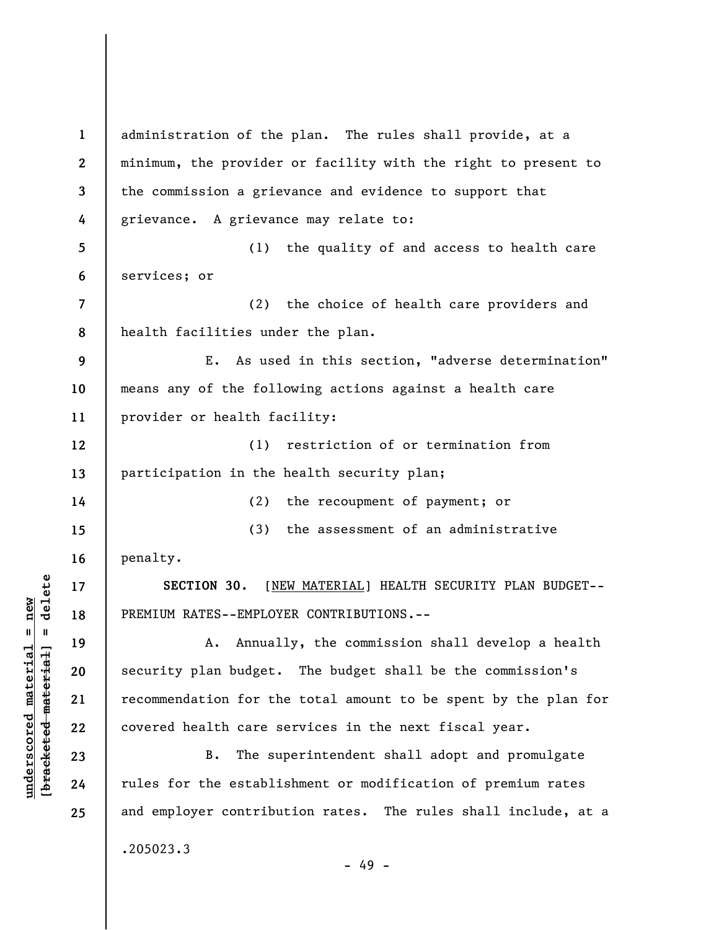**1 2 3 4 5 6 7 8 9 10 11 12 13 14 15 16 17 18 19 20 21 22 23 24 25**  administration of the plan. The rules shall provide, at a minimum, the provider or facility with the right to present to the commission a grievance and evidence to support that grievance. A grievance may relate to: (1) the quality of and access to health care services; or (2) the choice of health care providers and health facilities under the plan. E. As used in this section, "adverse determination" means any of the following actions against a health care provider or health facility: (1) restriction of or termination from participation in the health security plan; (2) the recoupment of payment; or (3) the assessment of an administrative penalty. **SECTION 30.** [NEW MATERIAL] HEALTH SECURITY PLAN BUDGET-- PREMIUM RATES--EMPLOYER CONTRIBUTIONS.-- A. Annually, the commission shall develop a health security plan budget. The budget shall be the commission's recommendation for the total amount to be spent by the plan for covered health care services in the next fiscal year. B. The superintendent shall adopt and promulgate rules for the establishment or modification of premium rates and employer contribution rates. The rules shall include, at a .205023.3 - 49 -

**underscored material = new [bracketed material] = delete**

 $\frac{1}{2}$  intereted material = delete  $underscored material = new$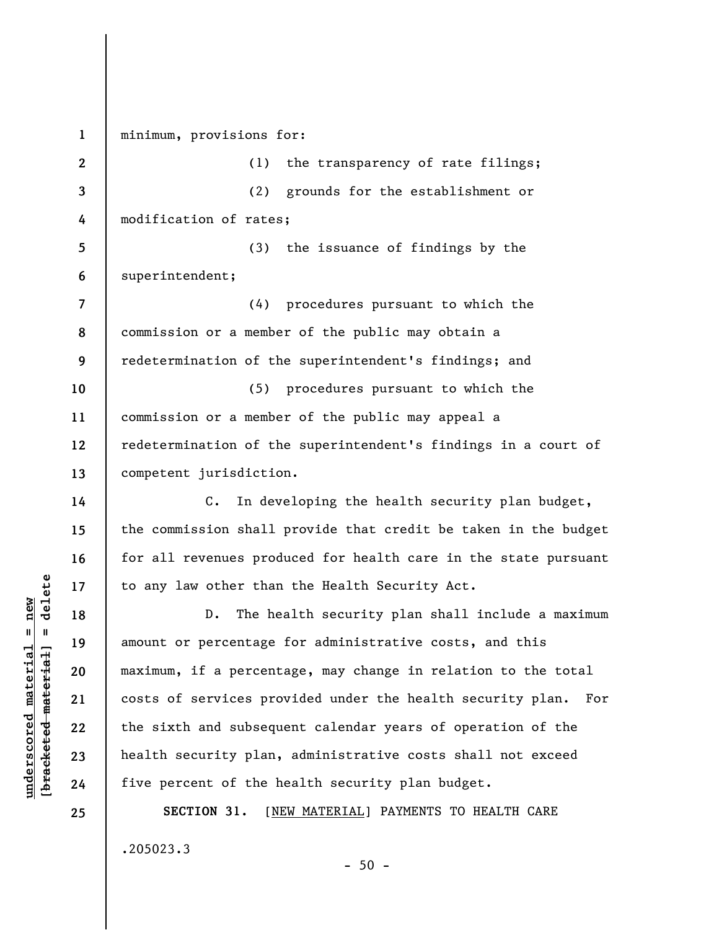**1 2 3 4 5 6 7 8 9 10 11 12 13 14 15 16 17 18 19 20 21 22 23 24 25**  minimum, provisions for: (1) the transparency of rate filings; (2) grounds for the establishment or modification of rates; (3) the issuance of findings by the superintendent; (4) procedures pursuant to which the commission or a member of the public may obtain a redetermination of the superintendent's findings; and (5) procedures pursuant to which the commission or a member of the public may appeal a redetermination of the superintendent's findings in a court of competent jurisdiction. C. In developing the health security plan budget, the commission shall provide that credit be taken in the budget for all revenues produced for health care in the state pursuant to any law other than the Health Security Act. D. The health security plan shall include a maximum amount or percentage for administrative costs, and this maximum, if a percentage, may change in relation to the total costs of services provided under the health security plan. For the sixth and subsequent calendar years of operation of the health security plan, administrative costs shall not exceed five percent of the health security plan budget. **SECTION 31.** [NEW MATERIAL] PAYMENTS TO HEALTH CARE .205023.3

 $-50 -$ 

 $\frac{1}{2}$  of  $\frac{1}{2}$  and  $\frac{1}{2}$  and  $\frac{1}{2}$  and  $\frac{1}{2}$  and  $\frac{1}{2}$  and  $\frac{1}{2}$  and  $\frac{1}{2}$  and  $\frac{1}{2}$  and  $\frac{1}{2}$  and  $\frac{1}{2}$  and  $\frac{1}{2}$  and  $\frac{1}{2}$  and  $\frac{1}{2}$  and  $\frac{1}{2}$  and  $\frac{1}{2}$  an **[bracketed material] = delete**  $underscored material = new$ **underscored material = new**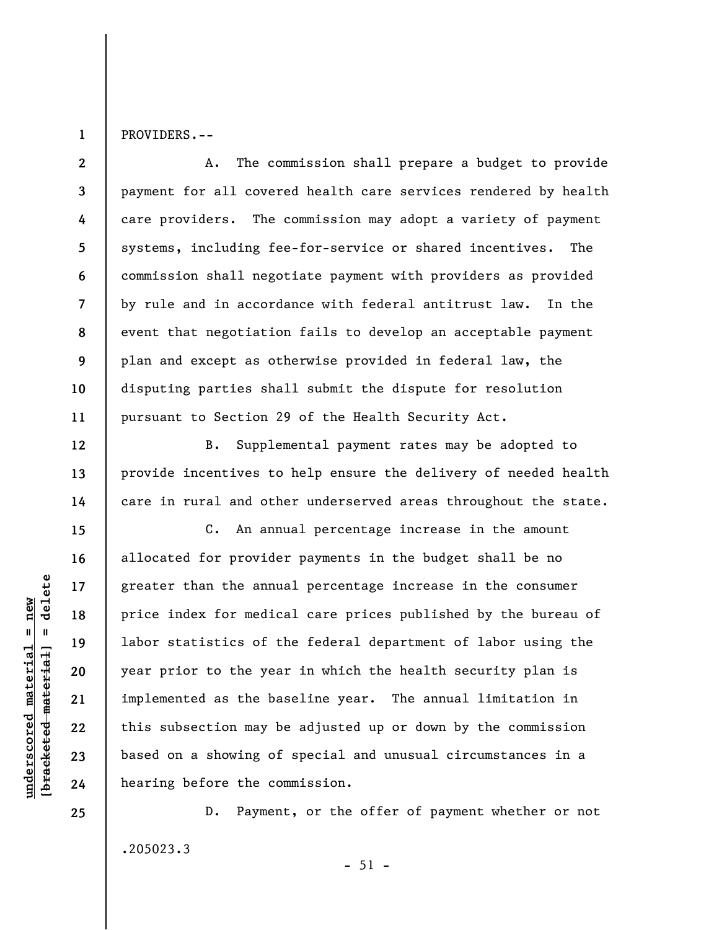PROVIDERS.--

**1** 

**12** 

**13** 

**14** 

**15** 

**16** 

**17** 

**18** 

**19** 

**20** 

**21** 

**22** 

**23** 

**24** 

**25** 

**2 3 4 5 6 7 8 9 10 11**  A. The commission shall prepare a budget to provide payment for all covered health care services rendered by health care providers. The commission may adopt a variety of payment systems, including fee-for-service or shared incentives. The commission shall negotiate payment with providers as provided by rule and in accordance with federal antitrust law. In the event that negotiation fails to develop an acceptable payment plan and except as otherwise provided in federal law, the disputing parties shall submit the dispute for resolution pursuant to Section 29 of the Health Security Act.

B. Supplemental payment rates may be adopted to provide incentives to help ensure the delivery of needed health care in rural and other underserved areas throughout the state.

C. An annual percentage increase in the amount allocated for provider payments in the budget shall be no greater than the annual percentage increase in the consumer price index for medical care prices published by the bureau of labor statistics of the federal department of labor using the year prior to the year in which the health security plan is implemented as the baseline year. The annual limitation in this subsection may be adjusted up or down by the commission based on a showing of special and unusual circumstances in a hearing before the commission.

D. Payment, or the offer of payment whether or not .205023.3  $-51 -$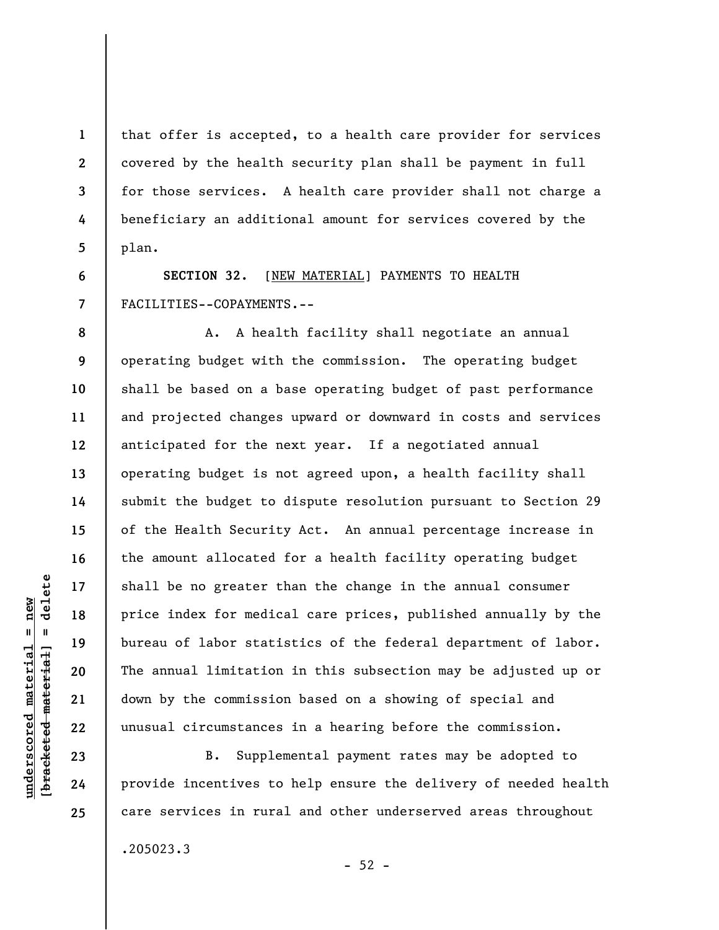that offer is accepted, to a health care provider for services covered by the health security plan shall be payment in full for those services. A health care provider shall not charge a beneficiary an additional amount for services covered by the plan.

**SECTION 32.** [NEW MATERIAL] PAYMENTS TO HEALTH FACILITIES--COPAYMENTS.--

A. A health facility shall negotiate an annual operating budget with the commission. The operating budget shall be based on a base operating budget of past performance and projected changes upward or downward in costs and services anticipated for the next year. If a negotiated annual operating budget is not agreed upon, a health facility shall submit the budget to dispute resolution pursuant to Section 29 of the Health Security Act. An annual percentage increase in the amount allocated for a health facility operating budget shall be no greater than the change in the annual consumer price index for medical care prices, published annually by the bureau of labor statistics of the federal department of labor. The annual limitation in this subsection may be adjusted up or down by the commission based on a showing of special and unusual circumstances in a hearing before the commission.

B. Supplemental payment rates may be adopted to provide incentives to help ensure the delivery of needed health care services in rural and other underserved areas throughout

 $-52 -$ 

.205023.3

 $\frac{1}{2}$  of  $\frac{1}{2}$  and  $\frac{1}{2}$  and  $\frac{1}{2}$  and  $\frac{1}{2}$  and  $\frac{1}{2}$  and  $\frac{1}{2}$  and  $\frac{1}{2}$  and  $\frac{1}{2}$  and  $\frac{1}{2}$  and  $\frac{1}{2}$  and  $\frac{1}{2}$  and  $\frac{1}{2}$  and  $\frac{1}{2}$  and  $\frac{1}{2}$  and  $\frac{1}{2}$  an **[bracketed material] = delete**  $underscored material = new$ **underscored material = new**

**1** 

**2** 

**3** 

**4** 

**5** 

**6** 

**7** 

**8** 

**9** 

**10** 

**11** 

**12** 

**13** 

**14** 

**15** 

**16** 

**17** 

**18** 

**19** 

**20** 

**21** 

**22** 

**23** 

**24**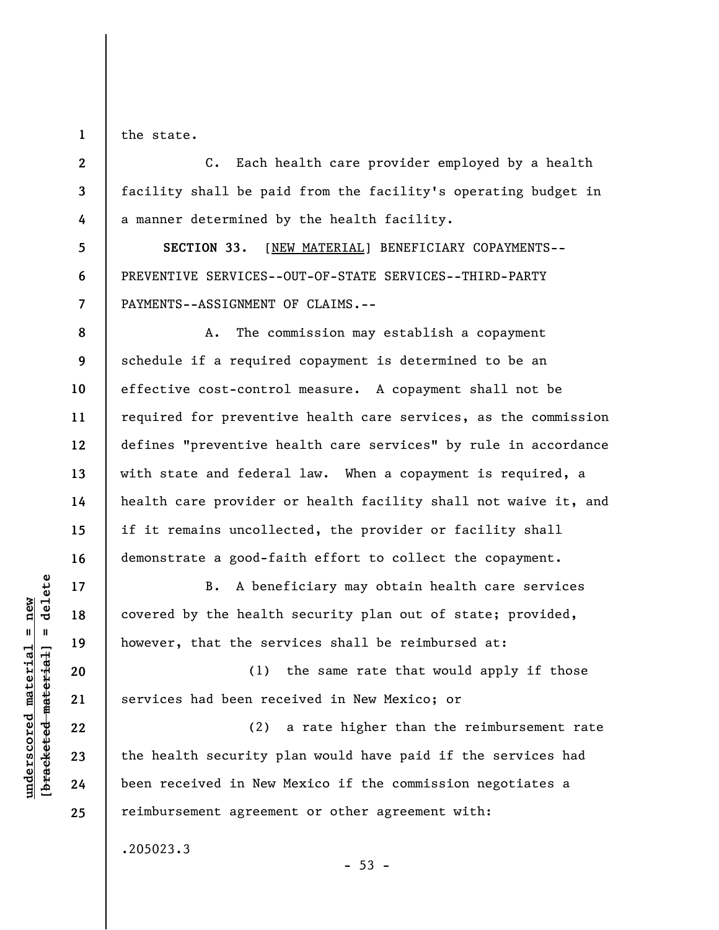**1**  the state.

**5** 

**6** 

**7** 

**8** 

**10** 

**11** 

**13** 

**14** 

**15** 

**16** 

**17** 

**18** 

**19** 

**20** 

**21** 

**22** 

**23** 

**24** 

**25** 

**2 3 4**  C. Each health care provider employed by a health facility shall be paid from the facility's operating budget in a manner determined by the health facility.

**SECTION 33.** [NEW MATERIAL] BENEFICIARY COPAYMENTS-- PREVENTIVE SERVICES--OUT-OF-STATE SERVICES--THIRD-PARTY PAYMENTS--ASSIGNMENT OF CLAIMS.--

**9 12**  A. The commission may establish a copayment schedule if a required copayment is determined to be an effective cost-control measure. A copayment shall not be required for preventive health care services, as the commission defines "preventive health care services" by rule in accordance with state and federal law. When a copayment is required, a health care provider or health facility shall not waive it, and if it remains uncollected, the provider or facility shall demonstrate a good-faith effort to collect the copayment.

B. A beneficiary may obtain health care services covered by the health security plan out of state; provided, however, that the services shall be reimbursed at:

(1) the same rate that would apply if those services had been received in New Mexico; or

(2) a rate higher than the reimbursement rate the health security plan would have paid if the services had been received in New Mexico if the commission negotiates a reimbursement agreement or other agreement with:

 $-53 -$ 

.205023.3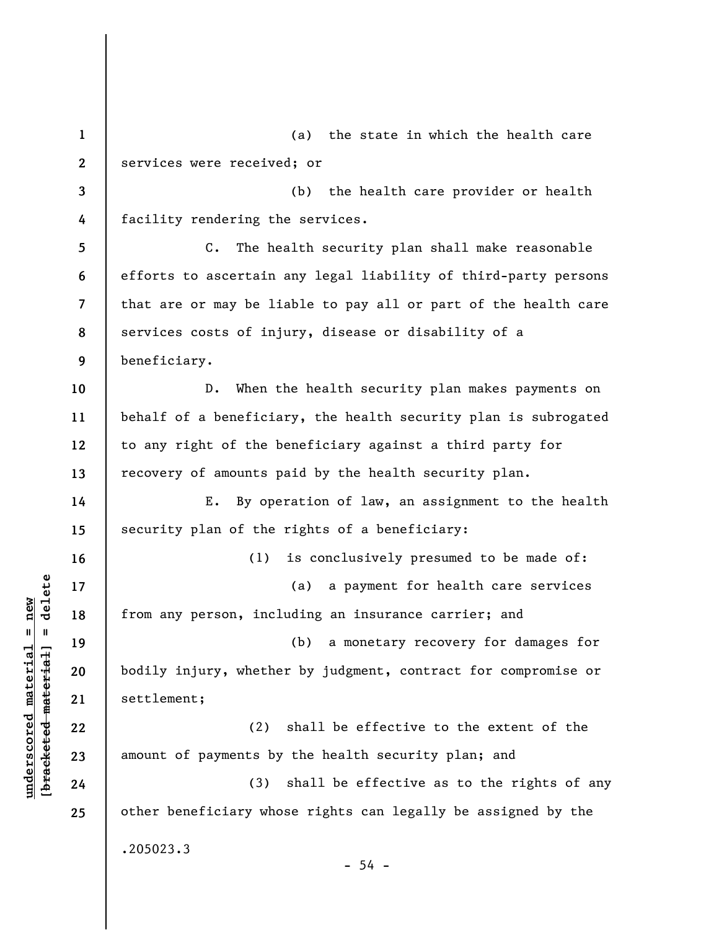**1 2 3 4 5 6 7 8 9 10 11 12 13 14 15 16 17 18 19 20 21 22 23 24 25**  (a) the state in which the health care services were received; or (b) the health care provider or health facility rendering the services. C. The health security plan shall make reasonable efforts to ascertain any legal liability of third-party persons that are or may be liable to pay all or part of the health care services costs of injury, disease or disability of a beneficiary. D. When the health security plan makes payments on behalf of a beneficiary, the health security plan is subrogated to any right of the beneficiary against a third party for recovery of amounts paid by the health security plan. E. By operation of law, an assignment to the health security plan of the rights of a beneficiary: (1) is conclusively presumed to be made of: (a) a payment for health care services from any person, including an insurance carrier; and (b) a monetary recovery for damages for bodily injury, whether by judgment, contract for compromise or settlement; (2) shall be effective to the extent of the amount of payments by the health security plan; and (3) shall be effective as to the rights of any other beneficiary whose rights can legally be assigned by the .205023.3  $-54 -$ 

**underscored material = new [bracketed material] = delete**

 $\frac{1}{2}$  intereted material = delete  $underscored material = new$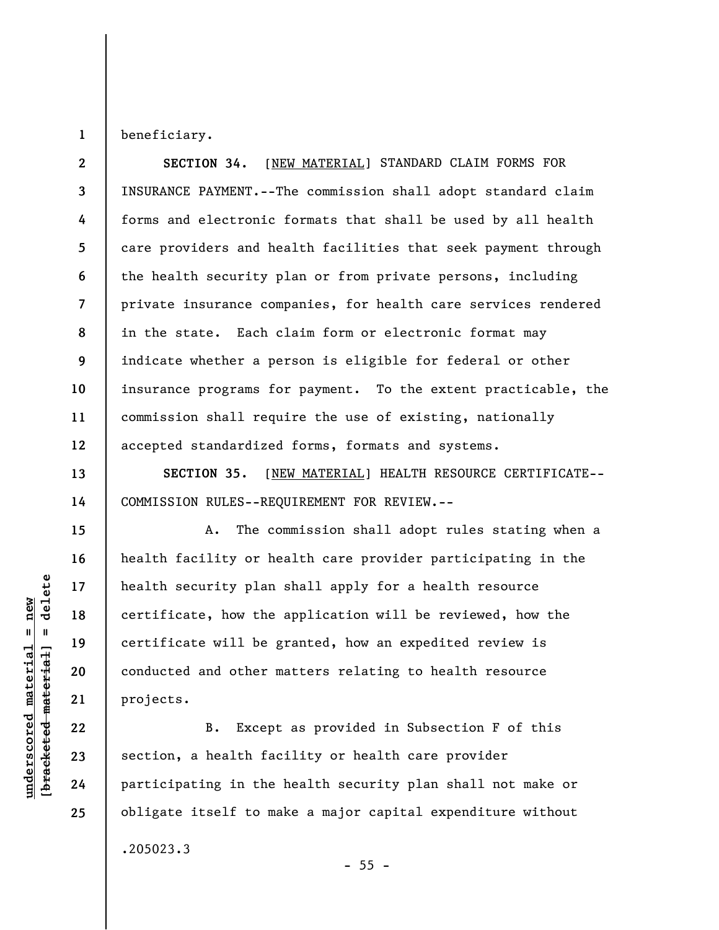beneficiary.

**1** 

**13** 

**14** 

**15** 

**16** 

**17** 

**18** 

**19** 

**20** 

**21** 

**22** 

**23** 

**24** 

**25** 

**2 3 4 5 6 7 8 9 10 11 12 SECTION 34.** [NEW MATERIAL] STANDARD CLAIM FORMS FOR INSURANCE PAYMENT.--The commission shall adopt standard claim forms and electronic formats that shall be used by all health care providers and health facilities that seek payment through the health security plan or from private persons, including private insurance companies, for health care services rendered in the state. Each claim form or electronic format may indicate whether a person is eligible for federal or other insurance programs for payment. To the extent practicable, the commission shall require the use of existing, nationally accepted standardized forms, formats and systems.

**SECTION 35.** [NEW MATERIAL] HEALTH RESOURCE CERTIFICATE-- COMMISSION RULES--REQUIREMENT FOR REVIEW.--

A. The commission shall adopt rules stating when a health facility or health care provider participating in the health security plan shall apply for a health resource certificate, how the application will be reviewed, how the certificate will be granted, how an expedited review is conducted and other matters relating to health resource projects.

B. Except as provided in Subsection F of this section, a health facility or health care provider participating in the health security plan shall not make or obligate itself to make a major capital expenditure without

 $- 55 -$ 

.205023.3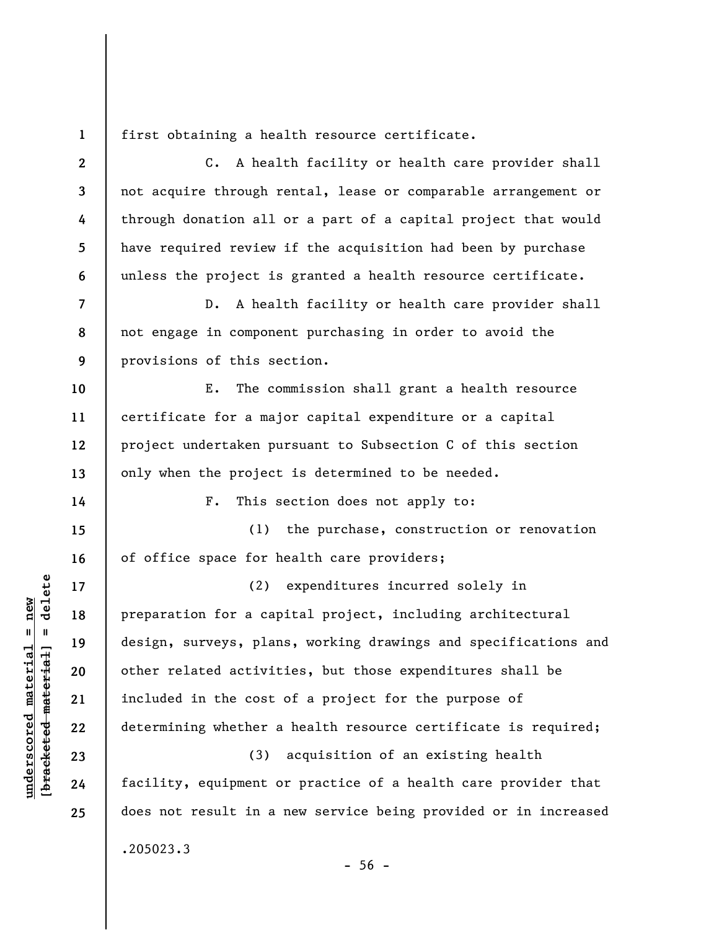**1** 

**2** 

**3** 

**4** 

**5** 

**6** 

**10** 

**11** 

**12** 

**13** 

**14** 

**17** 

**18** 

**19** 

**20** 

**21** 

**22** 

**23** 

**24** 

**25** 

first obtaining a health resource certificate.

C. A health facility or health care provider shall not acquire through rental, lease or comparable arrangement or through donation all or a part of a capital project that would have required review if the acquisition had been by purchase unless the project is granted a health resource certificate.

**7 8 9**  D. A health facility or health care provider shall not engage in component purchasing in order to avoid the provisions of this section.

E. The commission shall grant a health resource certificate for a major capital expenditure or a capital project undertaken pursuant to Subsection C of this section only when the project is determined to be needed.

F. This section does not apply to:

**15 16**  (1) the purchase, construction or renovation of office space for health care providers;

(2) expenditures incurred solely in preparation for a capital project, including architectural design, surveys, plans, working drawings and specifications and other related activities, but those expenditures shall be included in the cost of a project for the purpose of determining whether a health resource certificate is required;

(3) acquisition of an existing health facility, equipment or practice of a health care provider that does not result in a new service being provided or in increased

.205023.3

 $-56 -$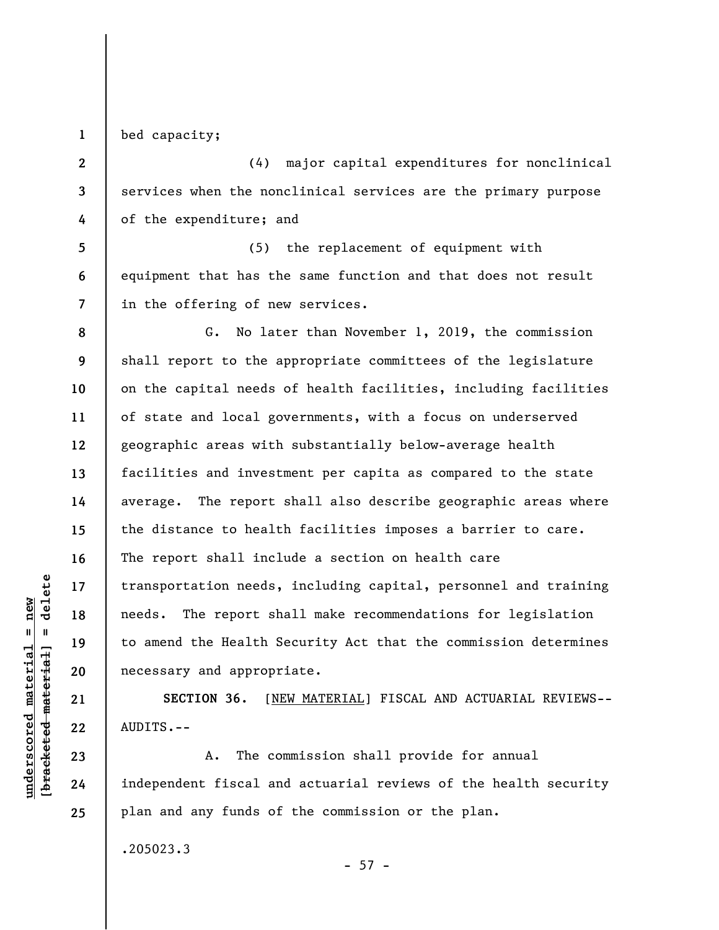**1**  bed capacity;

**2** 

**3** 

**4** 

**5** 

**6** 

**7** 

**8** 

**9** 

**10** 

**11** 

**12** 

**13** 

**14** 

**15** 

**16** 

**17** 

**18** 

**19** 

**20** 

**21** 

**22** 

**23** 

**24** 

**25** 

(4) major capital expenditures for nonclinical services when the nonclinical services are the primary purpose of the expenditure; and

(5) the replacement of equipment with equipment that has the same function and that does not result in the offering of new services.

G. No later than November 1, 2019, the commission shall report to the appropriate committees of the legislature on the capital needs of health facilities, including facilities of state and local governments, with a focus on underserved geographic areas with substantially below-average health facilities and investment per capita as compared to the state average. The report shall also describe geographic areas where the distance to health facilities imposes a barrier to care. The report shall include a section on health care transportation needs, including capital, personnel and training needs. The report shall make recommendations for legislation to amend the Health Security Act that the commission determines necessary and appropriate.

**SECTION 36.** [NEW MATERIAL] FISCAL AND ACTUARIAL REVIEWS-- AUDITS.--

A. The commission shall provide for annual independent fiscal and actuarial reviews of the health security plan and any funds of the commission or the plan.

.205023.3

 $- 57 -$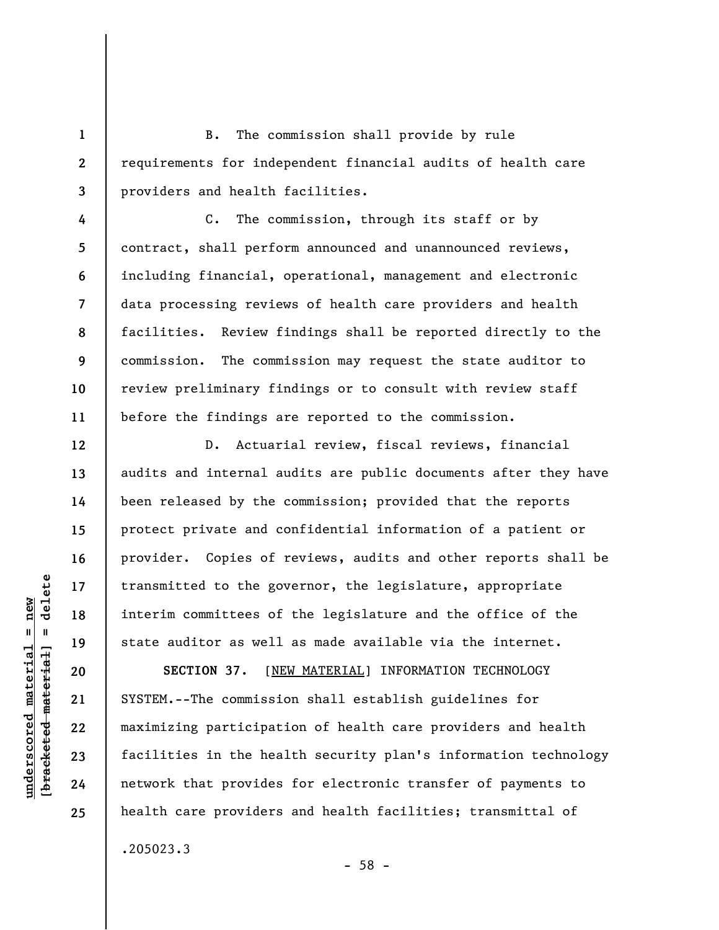B. The commission shall provide by rule requirements for independent financial audits of health care providers and health facilities.

**4 5 6 7 8 9 10 11**  C. The commission, through its staff or by contract, shall perform announced and unannounced reviews, including financial, operational, management and electronic data processing reviews of health care providers and health facilities. Review findings shall be reported directly to the commission. The commission may request the state auditor to review preliminary findings or to consult with review staff before the findings are reported to the commission.

D. Actuarial review, fiscal reviews, financial audits and internal audits are public documents after they have been released by the commission; provided that the reports protect private and confidential information of a patient or provider. Copies of reviews, audits and other reports shall be transmitted to the governor, the legislature, appropriate interim committees of the legislature and the office of the state auditor as well as made available via the internet.

SECTION 37. [NEW MATERIAL] INFORMATION TECHNOLOGY SYSTEM.--The commission shall establish guidelines for maximizing participation of health care providers and health facilities in the health security plan's information technology network that provides for electronic transfer of payments to health care providers and health facilities; transmittal of

- 58 -

.205023.3

 $\frac{1}{2}$  intereted material = delete **[bracketed material] = delete**  $underscored material = new$ **underscored material = new**

**1** 

**2** 

**3** 

**12** 

**13** 

**14** 

**15** 

**16** 

**17** 

**18** 

**19** 

**20** 

**21** 

**22** 

**23** 

**24**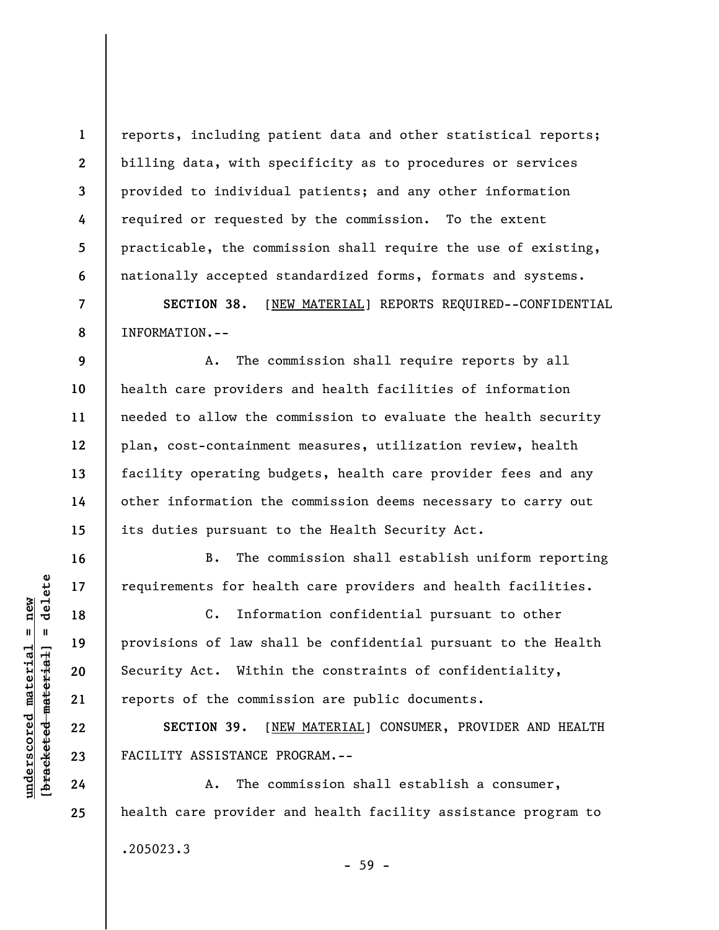reports, including patient data and other statistical reports; billing data, with specificity as to procedures or services provided to individual patients; and any other information required or requested by the commission. To the extent practicable, the commission shall require the use of existing, nationally accepted standardized forms, formats and systems.

**SECTION 38.** [NEW MATERIAL] REPORTS REQUIRED--CONFIDENTIAL INFORMATION.--

**9 10 11 12 13 14 15**  A. The commission shall require reports by all health care providers and health facilities of information needed to allow the commission to evaluate the health security plan, cost-containment measures, utilization review, health facility operating budgets, health care provider fees and any other information the commission deems necessary to carry out its duties pursuant to the Health Security Act.

B. The commission shall establish uniform reporting requirements for health care providers and health facilities.

C. Information confidential pursuant to other provisions of law shall be confidential pursuant to the Health Security Act. Within the constraints of confidentiality, reports of the commission are public documents.

**SECTION 39.** [NEW MATERIAL] CONSUMER, PROVIDER AND HEALTH FACILITY ASSISTANCE PROGRAM.--

A. The commission shall establish a consumer, health care provider and health facility assistance program to .205023.3 - 59 -

 $=$  delete **[bracketed material] = delete**  $underscored material = new$ **underscored material = new** bracketed material

**1** 

**2** 

**3** 

**4** 

**5** 

**6** 

**7** 

**8** 

**16** 

**17** 

**18** 

**19** 

**20** 

**21** 

**22** 

**23** 

**24**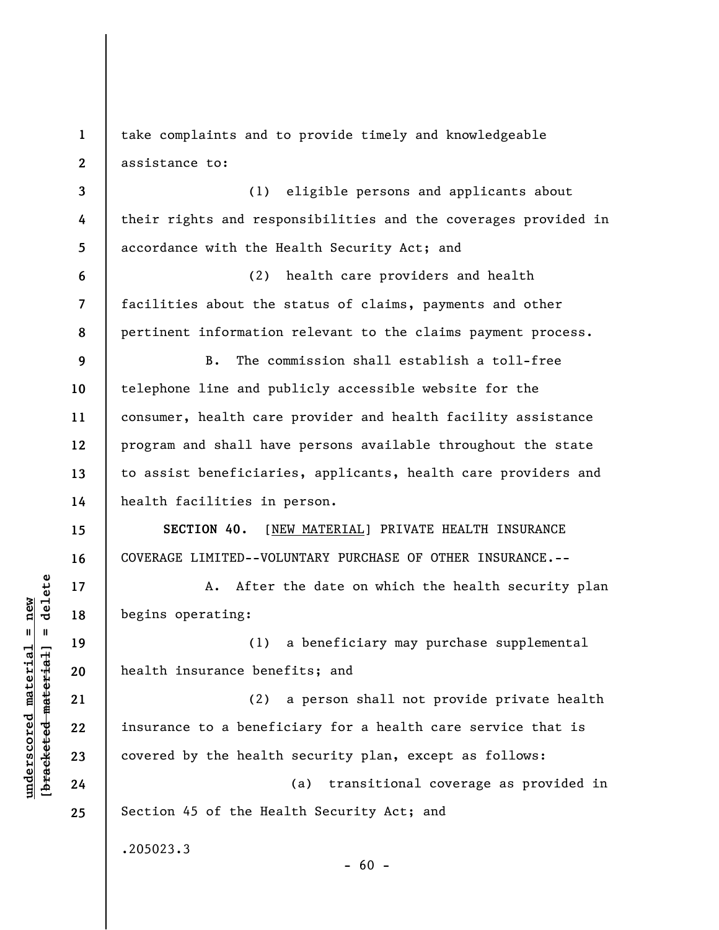**1 2**  take complaints and to provide timely and knowledgeable assistance to:

**3 4 5**  (1) eligible persons and applicants about their rights and responsibilities and the coverages provided in accordance with the Health Security Act; and

(2) health care providers and health facilities about the status of claims, payments and other pertinent information relevant to the claims payment process.

**9 10 11 12 13 14**  B. The commission shall establish a toll-free telephone line and publicly accessible website for the consumer, health care provider and health facility assistance program and shall have persons available throughout the state to assist beneficiaries, applicants, health care providers and health facilities in person.

**SECTION 40.** [NEW MATERIAL] PRIVATE HEALTH INSURANCE COVERAGE LIMITED--VOLUNTARY PURCHASE OF OTHER INSURANCE.--

A. After the date on which the health security plan begins operating:

(1) a beneficiary may purchase supplemental health insurance benefits; and

(2) a person shall not provide private health insurance to a beneficiary for a health care service that is covered by the health security plan, except as follows:

(a) transitional coverage as provided in Section 45 of the Health Security Act; and

 $- 60 -$ 

.205023.3

 $\frac{1}{2}$  intereted material = delete **[bracketed material] = delete**  $underscored material = new$ **underscored material = new**

**6** 

**7** 

**8** 

**15** 

**16** 

**17** 

**18** 

**19** 

**20** 

**21** 

**22** 

**23** 

**24**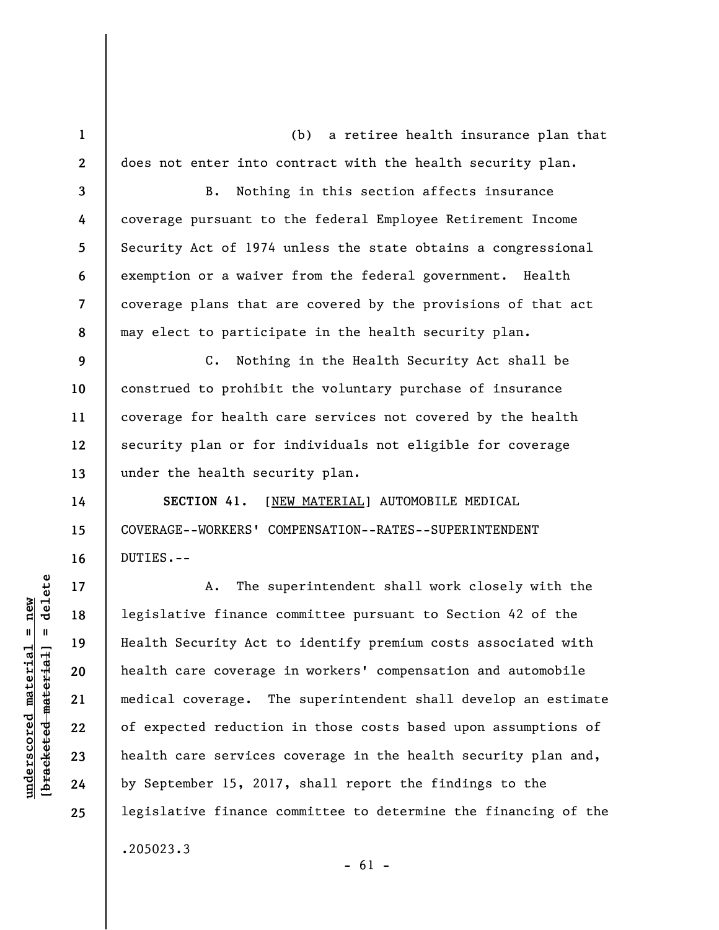(b) a retiree health insurance plan that does not enter into contract with the health security plan.

B. Nothing in this section affects insurance coverage pursuant to the federal Employee Retirement Income Security Act of 1974 unless the state obtains a congressional exemption or a waiver from the federal government. Health coverage plans that are covered by the provisions of that act may elect to participate in the health security plan.

**9 10 11 12 13**  C. Nothing in the Health Security Act shall be construed to prohibit the voluntary purchase of insurance coverage for health care services not covered by the health security plan or for individuals not eligible for coverage under the health security plan.

**SECTION 41.** [NEW MATERIAL] AUTOMOBILE MEDICAL COVERAGE--WORKERS' COMPENSATION--RATES--SUPERINTENDENT DUTIES.--

A. The superintendent shall work closely with the legislative finance committee pursuant to Section 42 of the Health Security Act to identify premium costs associated with health care coverage in workers' compensation and automobile medical coverage. The superintendent shall develop an estimate of expected reduction in those costs based upon assumptions of health care services coverage in the health security plan and, by September 15, 2017, shall report the findings to the legislative finance committee to determine the financing of the .205023.3

delete **[bracketed material] = delete**  $underscored material = new$ **underscored material = new**  $\mathbf{I}$ bracketed material

**1** 

**2** 

**3** 

**4** 

**5** 

**6** 

**7** 

**8** 

**14** 

**15** 

**16** 

**17** 

**18** 

**19** 

**20** 

**21** 

**22** 

**23** 

**24** 

**25** 

 $- 61 -$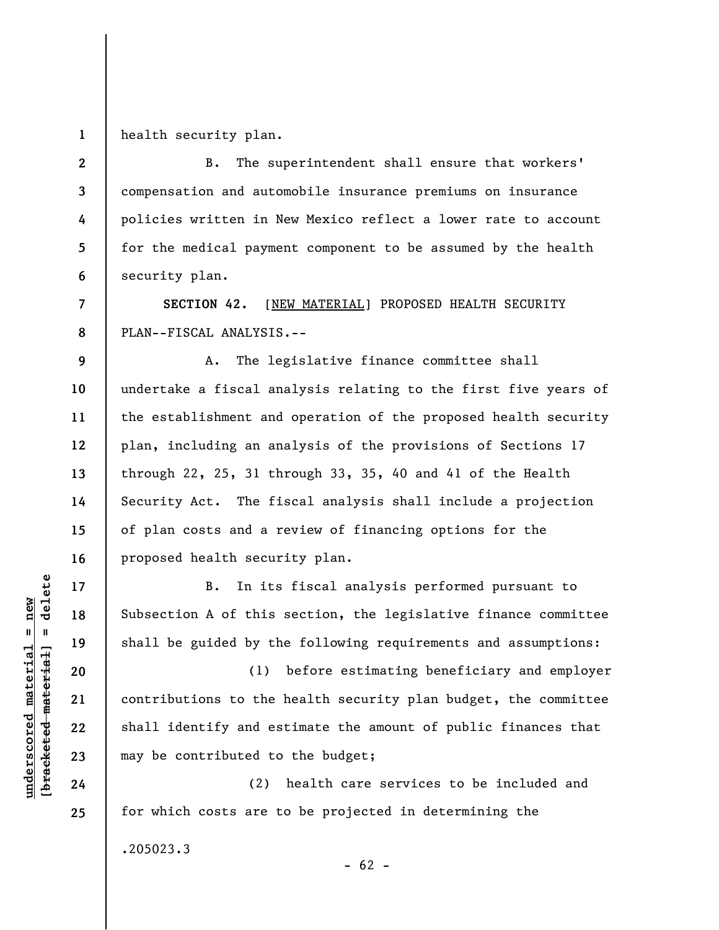**1**  health security plan.

**2 3 4 5 6**  B. The superintendent shall ensure that workers' compensation and automobile insurance premiums on insurance policies written in New Mexico reflect a lower rate to account for the medical payment component to be assumed by the health security plan.

**SECTION 42.** [NEW MATERIAL] PROPOSED HEALTH SECURITY PLAN--FISCAL ANALYSIS.--

A. The legislative finance committee shall undertake a fiscal analysis relating to the first five years of the establishment and operation of the proposed health security plan, including an analysis of the provisions of Sections 17 through 22, 25, 31 through 33, 35, 40 and 41 of the Health Security Act. The fiscal analysis shall include a projection of plan costs and a review of financing options for the proposed health security plan.

B. In its fiscal analysis performed pursuant to Subsection A of this section, the legislative finance committee shall be guided by the following requirements and assumptions:

(1) before estimating beneficiary and employer contributions to the health security plan budget, the committee shall identify and estimate the amount of public finances that may be contributed to the budget;

(2) health care services to be included and for which costs are to be projected in determining the

 $- 62 -$ 

.205023.3

 $\frac{1}{2}$  intereted material = delete **[bracketed material] = delete**  $underscored material = new$ **underscored material = new**

**7** 

**8** 

**9** 

**10** 

**11** 

**12** 

**13** 

**14** 

**15** 

**16** 

**17** 

**18** 

**19** 

**20** 

**21** 

**22** 

**23** 

**24**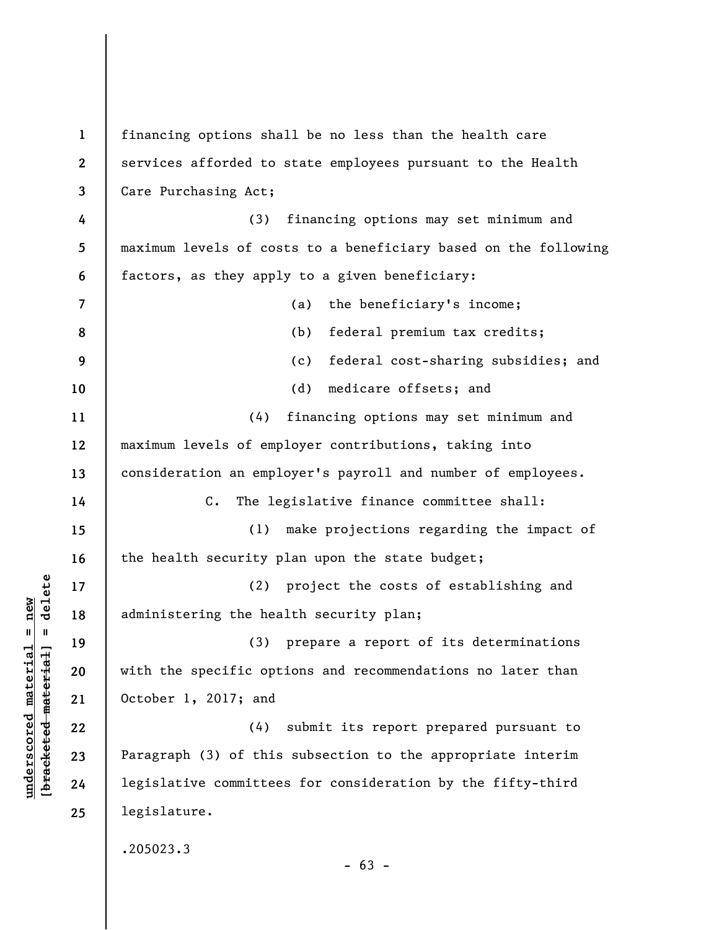**1 2 3 4 5 6 7 8 9 10 11 12 13 14 15 16 17 18 19 20 21 22 23 24 25**  financing options shall be no less than the health care services afforded to state employees pursuant to the Health Care Purchasing Act; (3) financing options may set minimum and maximum levels of costs to a beneficiary based on the following factors, as they apply to a given beneficiary: (a) the beneficiary's income; (b) federal premium tax credits; (c) federal cost-sharing subsidies; and (d) medicare offsets; and (4) financing options may set minimum and maximum levels of employer contributions, taking into consideration an employer's payroll and number of employees. C. The legislative finance committee shall: (1) make projections regarding the impact of the health security plan upon the state budget; (2) project the costs of establishing and administering the health security plan; (3) prepare a report of its determinations with the specific options and recommendations no later than October 1, 2017; and (4) submit its report prepared pursuant to Paragraph (3) of this subsection to the appropriate interim legislative committees for consideration by the fifty-third legislature. .205023.3  $- 63 -$ 

**underscored material = new [bracketed material] = delete**

 $\frac{1}{2}$  of  $\frac{1}{2}$  and  $\frac{1}{2}$  and  $\frac{1}{2}$  and  $\frac{1}{2}$  and  $\frac{1}{2}$  and  $\frac{1}{2}$  and  $\frac{1}{2}$  and  $\frac{1}{2}$  and  $\frac{1}{2}$  and  $\frac{1}{2}$  and  $\frac{1}{2}$  and  $\frac{1}{2}$  and  $\frac{1}{2}$  and  $\frac{1}{2}$  and  $\frac{1}{2}$  an  $underscored material = new$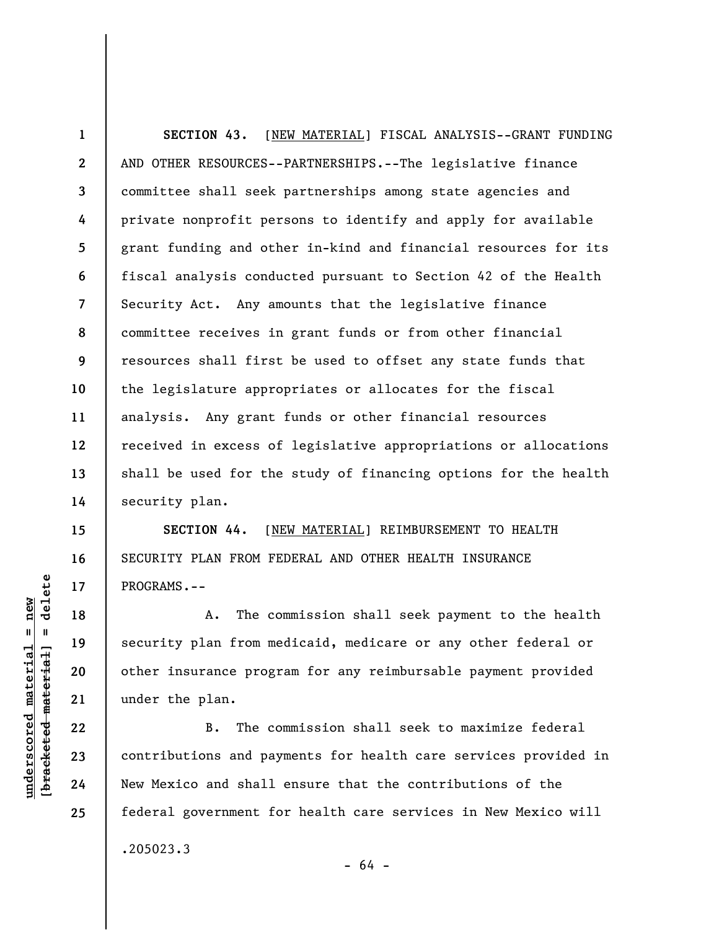**1 2 3 4 5 6 7 8 9 10 11 12 13 14 SECTION 43.** [NEW MATERIAL] FISCAL ANALYSIS--GRANT FUNDING AND OTHER RESOURCES--PARTNERSHIPS.--The legislative finance committee shall seek partnerships among state agencies and private nonprofit persons to identify and apply for available grant funding and other in-kind and financial resources for its fiscal analysis conducted pursuant to Section 42 of the Health Security Act. Any amounts that the legislative finance committee receives in grant funds or from other financial resources shall first be used to offset any state funds that the legislature appropriates or allocates for the fiscal analysis. Any grant funds or other financial resources received in excess of legislative appropriations or allocations shall be used for the study of financing options for the health security plan.

**SECTION 44.** [NEW MATERIAL] REIMBURSEMENT TO HEALTH SECURITY PLAN FROM FEDERAL AND OTHER HEALTH INSURANCE PROGRAMS.--

A. The commission shall seek payment to the health security plan from medicaid, medicare or any other federal or other insurance program for any reimbursable payment provided under the plan.

B. The commission shall seek to maximize federal contributions and payments for health care services provided in New Mexico and shall ensure that the contributions of the federal government for health care services in New Mexico will .205023.3

 $\frac{1}{2}$  intereted material = delete **[bracketed material] = delete**  $underscored material = new$ **underscored material = new**

**15** 

**16** 

**17** 

**18** 

**19** 

**20** 

**21** 

**22** 

**23** 

**24** 

**25** 

- 64 -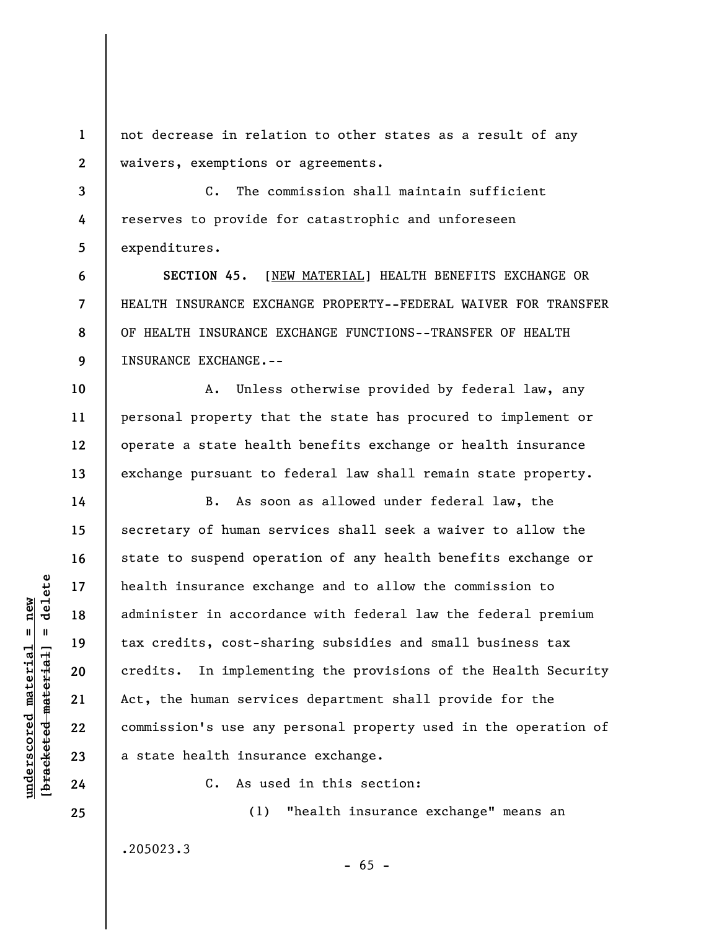**1 2**  not decrease in relation to other states as a result of any waivers, exemptions or agreements.

**3 4 5**  C. The commission shall maintain sufficient reserves to provide for catastrophic and unforeseen expenditures.

**6 7 8 9 SECTION 45.** [NEW MATERIAL] HEALTH BENEFITS EXCHANGE OR HEALTH INSURANCE EXCHANGE PROPERTY--FEDERAL WAIVER FOR TRANSFER OF HEALTH INSURANCE EXCHANGE FUNCTIONS--TRANSFER OF HEALTH INSURANCE EXCHANGE.--

**10 11 12 13**  A. Unless otherwise provided by federal law, any personal property that the state has procured to implement or operate a state health benefits exchange or health insurance exchange pursuant to federal law shall remain state property.

B. As soon as allowed under federal law, the secretary of human services shall seek a waiver to allow the state to suspend operation of any health benefits exchange or health insurance exchange and to allow the commission to administer in accordance with federal law the federal premium tax credits, cost-sharing subsidies and small business tax credits. In implementing the provisions of the Health Security Act, the human services department shall provide for the commission's use any personal property used in the operation of a state health insurance exchange.

C. As used in this section:

.205023.3

(1) "health insurance exchange" means an

 $- 65 -$ 

 $\frac{1}{2}$  of  $\frac{1}{2}$  and  $\frac{1}{2}$  and  $\frac{1}{2}$  and  $\frac{1}{2}$  and  $\frac{1}{2}$  and  $\frac{1}{2}$  and  $\frac{1}{2}$  and  $\frac{1}{2}$  and  $\frac{1}{2}$  and  $\frac{1}{2}$  and  $\frac{1}{2}$  and  $\frac{1}{2}$  and  $\frac{1}{2}$  and  $\frac{1}{2}$  and  $\frac{1}{2}$  an **[bracketed material] = delete**  $underscored material = new$ **underscored material = new**

**14** 

**15** 

**16** 

**17** 

**18** 

**19** 

**20** 

**21** 

**22** 

**23** 

**24**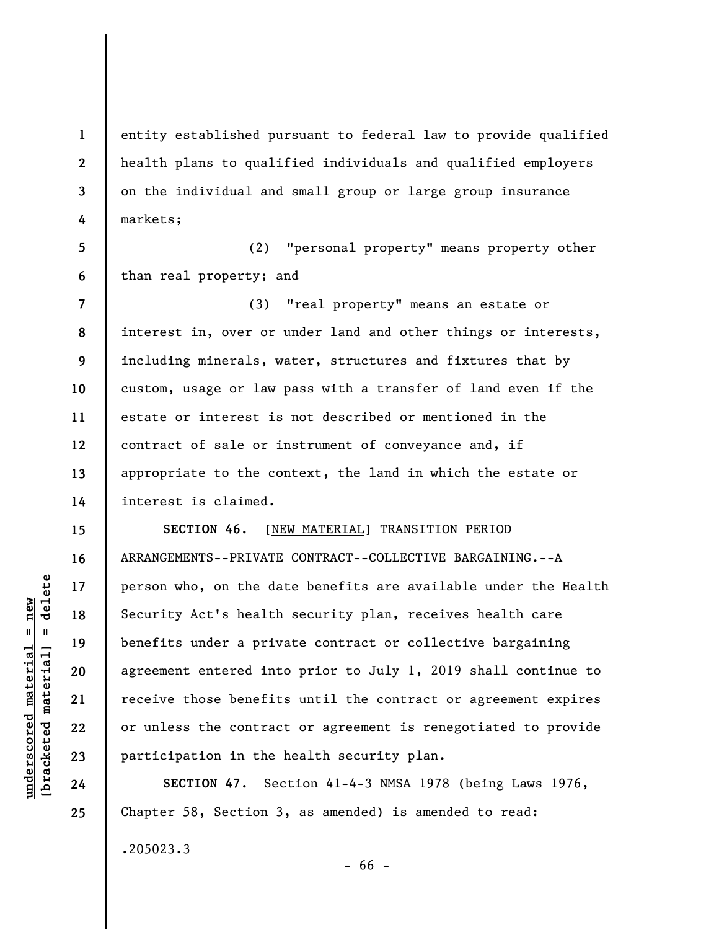**1 2 3 4**  entity established pursuant to federal law to provide qualified health plans to qualified individuals and qualified employers on the individual and small group or large group insurance markets;

**5 6**  (2) "personal property" means property other than real property; and

**7 8 9 10 11 12 13 14**  (3) "real property" means an estate or interest in, over or under land and other things or interests, including minerals, water, structures and fixtures that by custom, usage or law pass with a transfer of land even if the estate or interest is not described or mentioned in the contract of sale or instrument of conveyance and, if appropriate to the context, the land in which the estate or interest is claimed.

**SECTION 46.** [NEW MATERIAL] TRANSITION PERIOD ARRANGEMENTS--PRIVATE CONTRACT--COLLECTIVE BARGAINING.--A person who, on the date benefits are available under the Health Security Act's health security plan, receives health care benefits under a private contract or collective bargaining agreement entered into prior to July 1, 2019 shall continue to receive those benefits until the contract or agreement expires or unless the contract or agreement is renegotiated to provide participation in the health security plan.

**SECTION 47.** Section 41-4-3 NMSA 1978 (being Laws 1976, Chapter 58, Section 3, as amended) is amended to read: .205023.3

**15** 

**16** 

**17** 

**18** 

**19** 

**20** 

**21** 

**22** 

**23** 

**24** 

**25** 

- 66 -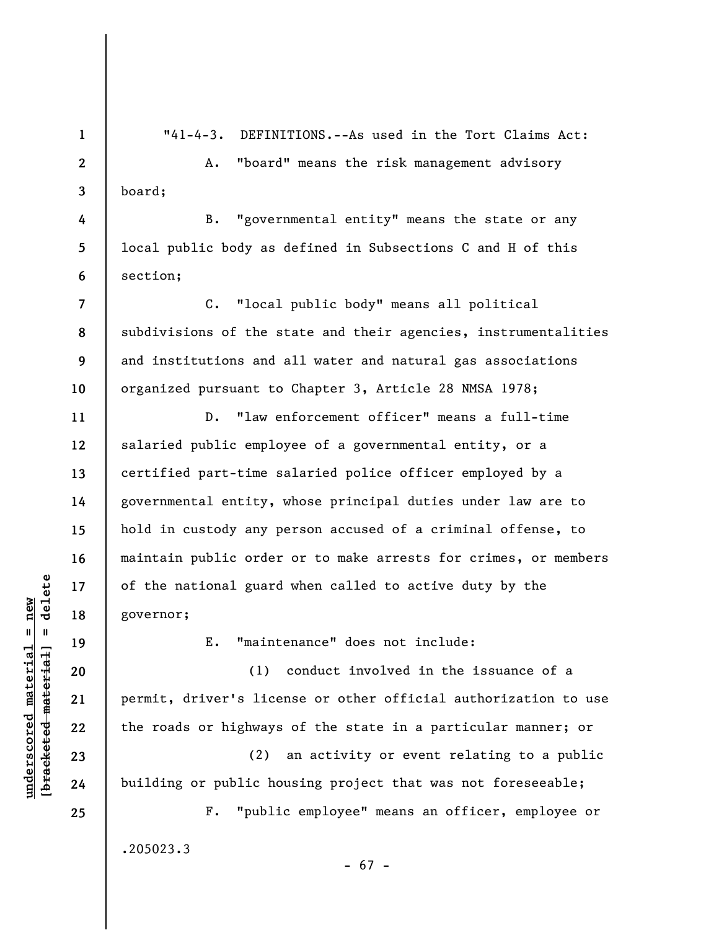**1 2** 

**3** 

**4** 

**5** 

**6** 

**7** 

**8** 

**9** 

**10** 

**11** 

**12** 

**13** 

**14** 

**15** 

**16** 

**17** 

**18** 

**19** 

**20** 

**21** 

**22** 

**23** 

"41-4-3. DEFINITIONS.--As used in the Tort Claims Act:

A. "board" means the risk management advisory board;

B. "governmental entity" means the state or any local public body as defined in Subsections C and H of this section;

C. "local public body" means all political subdivisions of the state and their agencies, instrumentalities and institutions and all water and natural gas associations organized pursuant to Chapter 3, Article 28 NMSA 1978;

D. "law enforcement officer" means a full-time salaried public employee of a governmental entity, or a certified part-time salaried police officer employed by a governmental entity, whose principal duties under law are to hold in custody any person accused of a criminal offense, to maintain public order or to make arrests for crimes, or members of the national guard when called to active duty by the governor;

E. "maintenance" does not include:

(1) conduct involved in the issuance of a permit, driver's license or other official authorization to use the roads or highways of the state in a particular manner; or

(2) an activity or event relating to a public building or public housing project that was not foreseeable;

F. "public employee" means an officer, employee or .205023.3 - 67 -

 $\frac{1}{2}$  intereted material = delete **[bracketed material] = delete**  $underscored material = new$ **underscored material = new**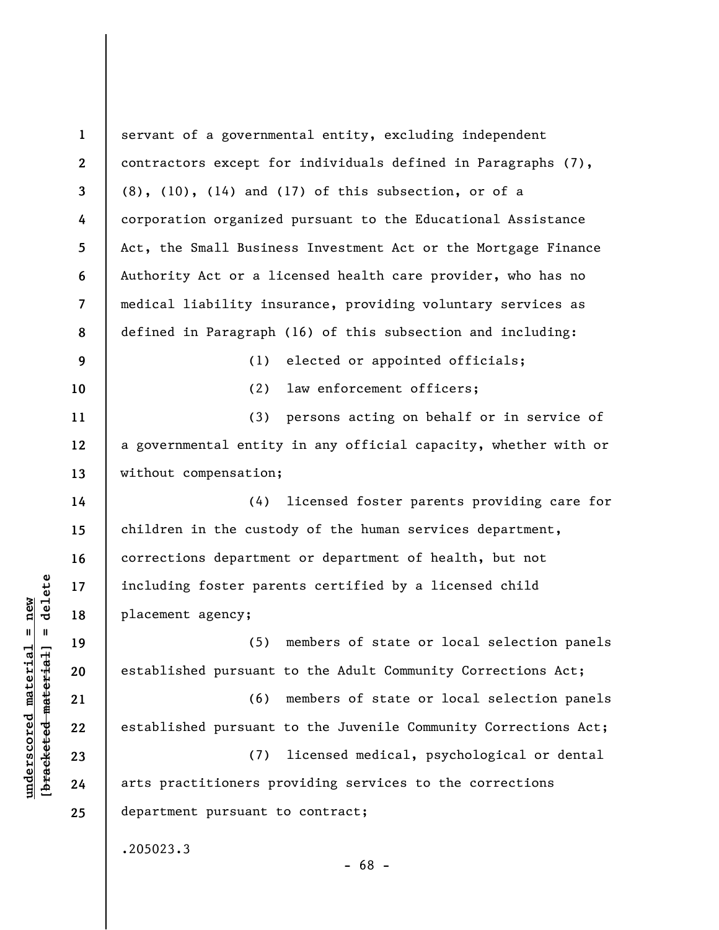| $\mathbf{1}$   | servant of a governmental entity, excluding independent         |
|----------------|-----------------------------------------------------------------|
| $\mathbf{2}$   | contractors except for individuals defined in Paragraphs (7),   |
| 3              | $(8)$ , $(10)$ , $(14)$ and $(17)$ of this subsection, or of a  |
| 4              | corporation organized pursuant to the Educational Assistance    |
| 5              | Act, the Small Business Investment Act or the Mortgage Finance  |
| 6              | Authority Act or a licensed health care provider, who has no    |
| $\overline{7}$ | medical liability insurance, providing voluntary services as    |
| 8              | defined in Paragraph (16) of this subsection and including:     |
| 9              | elected or appointed officials;<br>(1)                          |
| 10             | law enforcement officers;<br>(2)                                |
| 11             | (3) persons acting on behalf or in service of                   |
| 12             | a governmental entity in any official capacity, whether with or |
| 13             | without compensation;                                           |
| 14             | (4) licensed foster parents providing care for                  |
| 15             | children in the custody of the human services department,       |
| 16             | corrections department or department of health, but not         |
| 17             | including foster parents certified by a licensed child          |
| 18             | placement agency;                                               |
| 19             | members of state or local selection panels<br>(5)               |
| 20             | established pursuant to the Adult Community Corrections Act;    |
| 21             | members of state or local selection panels<br>(6)               |
| 22             | established pursuant to the Juvenile Community Corrections Act; |
| 23             | licensed medical, psychological or dental<br>(7)                |
| 24             | arts practitioners providing services to the corrections        |
| 25             | department pursuant to contract;                                |
|                | .205023.3<br>$-68 -$                                            |

 $[**bracket eted metert et**] = **del et e**$ **[bracketed material] = delete**  $underscored material = new$ **underscored material = new**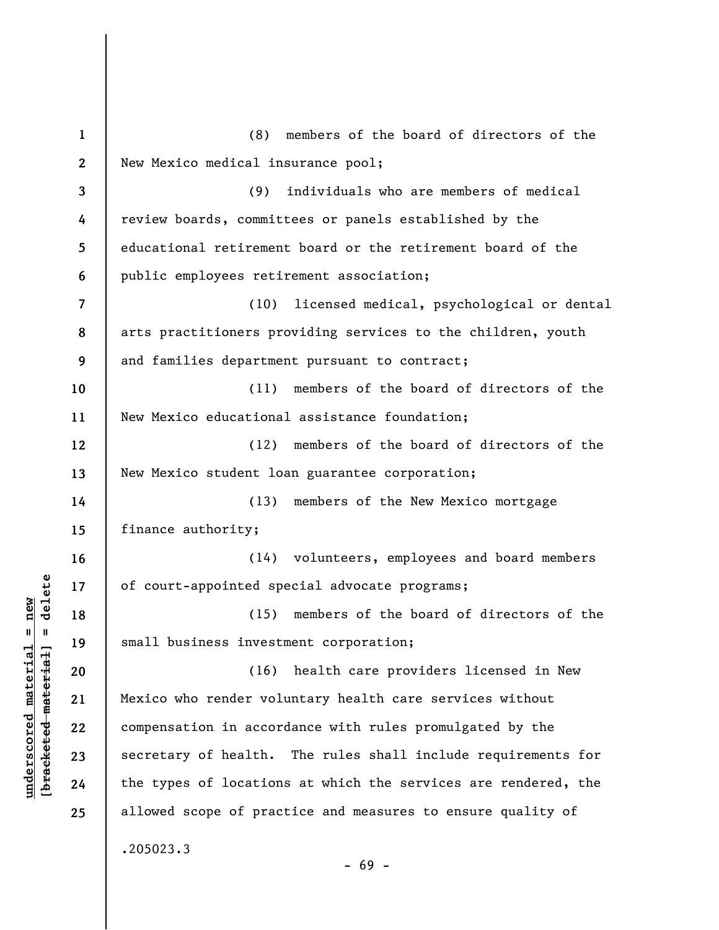| $\mathbf{1}$ | members of the board of directors of the<br>(8)                |
|--------------|----------------------------------------------------------------|
| $\mathbf{2}$ | New Mexico medical insurance pool;                             |
| 3            | (9)<br>individuals who are members of medical                  |
| 4            | review boards, committees or panels established by the         |
| 5            | educational retirement board or the retirement board of the    |
| 6            | public employees retirement association;                       |
| 7            | (10) licensed medical, psychological or dental                 |
| 8            | arts practitioners providing services to the children, youth   |
| 9            | and families department pursuant to contract;                  |
| 10           | members of the board of directors of the<br>(11)               |
| 11           | New Mexico educational assistance foundation;                  |
| 12           | (12) members of the board of directors of the                  |
| 13           | New Mexico student loan guarantee corporation;                 |
| 14           | members of the New Mexico mortgage<br>(13)                     |
| 15           | finance authority;                                             |
| 16           | (14) volunteers, employees and board members                   |
| 17           | of court-appointed special advocate programs;                  |
| 18           | members of the board of directors of the<br>(15)               |
| 19           | small business investment corporation;                         |
| 20           | health care providers licensed in New<br>(16)                  |
| 21           | Mexico who render voluntary health care services without       |
| 22           | compensation in accordance with rules promulgated by the       |
| 23           | secretary of health. The rules shall include requirements for  |
| 24           | the types of locations at which the services are rendered, the |
| 25           | allowed scope of practice and measures to ensure quality of    |
|              | .205023.3<br>$-69 -$                                           |

 $[**bracket eted metert et**] = **del et e**$ **[bracketed material] = delete**  $underscored material = new$ **underscored material = new**

- 69 -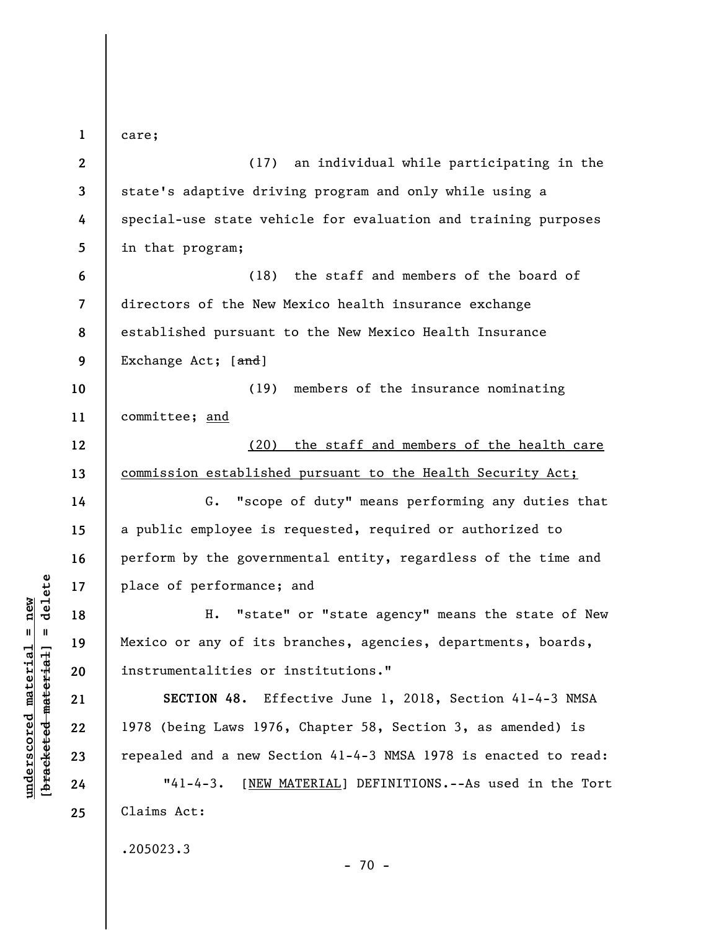**1 2 3 4 5 6 7 8 9 10 11 12 13 14 15 16 17 18 19 20 21 22 23 24 25**  care; (17) an individual while participating in the state's adaptive driving program and only while using a special-use state vehicle for evaluation and training purposes in that program; (18) the staff and members of the board of directors of the New Mexico health insurance exchange established pursuant to the New Mexico Health Insurance Exchange Act; [and] (19) members of the insurance nominating committee; and (20) the staff and members of the health care commission established pursuant to the Health Security Act; G. "scope of duty" means performing any duties that a public employee is requested, required or authorized to perform by the governmental entity, regardless of the time and place of performance; and H. "state" or "state agency" means the state of New Mexico or any of its branches, agencies, departments, boards, instrumentalities or institutions." **SECTION 48.** Effective June 1, 2018, Section 41-4-3 NMSA 1978 (being Laws 1976, Chapter 58, Section 3, as amended) is repealed and a new Section 41-4-3 NMSA 1978 is enacted to read: "41-4-3. [NEW MATERIAL] DEFINITIONS.--As used in the Tort Claims Act: .205023.3  $- 70 -$ 

**underscored material = new [bracketed material] = delete**

 $b$ racketed material] = delete  $underscored material = new$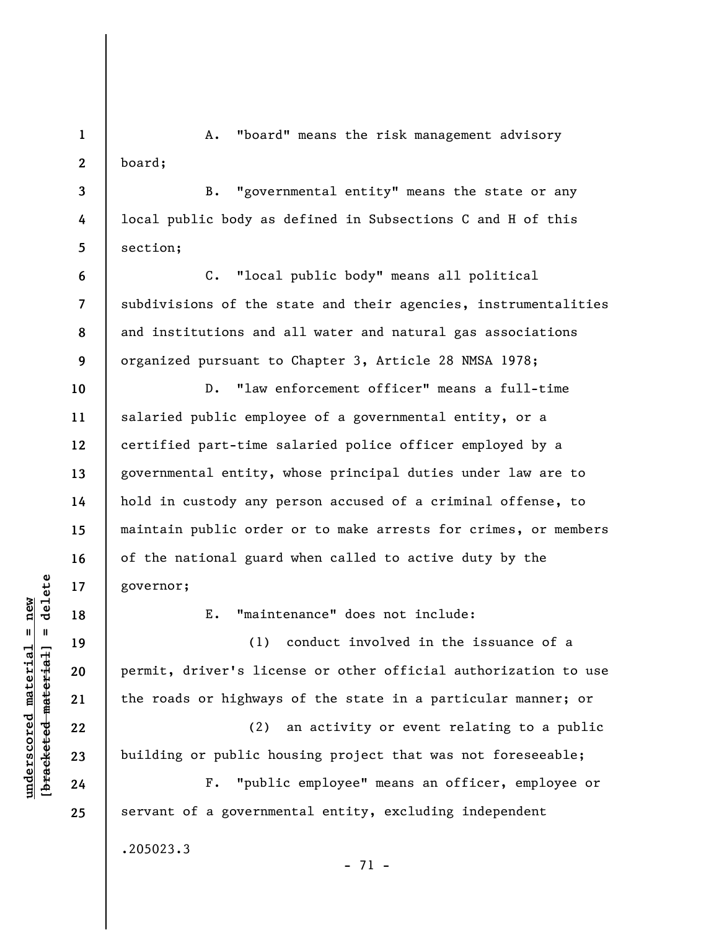**1 2**  A. "board" means the risk management advisory board;

B. "governmental entity" means the state or any local public body as defined in Subsections C and H of this section;

**6 7 8 9**  C. "local public body" means all political subdivisions of the state and their agencies, instrumentalities and institutions and all water and natural gas associations organized pursuant to Chapter 3, Article 28 NMSA 1978;

D. "law enforcement officer" means a full-time salaried public employee of a governmental entity, or a certified part-time salaried police officer employed by a governmental entity, whose principal duties under law are to hold in custody any person accused of a criminal offense, to maintain public order or to make arrests for crimes, or members of the national guard when called to active duty by the governor;

E. "maintenance" does not include:

(1) conduct involved in the issuance of a permit, driver's license or other official authorization to use the roads or highways of the state in a particular manner; or

(2) an activity or event relating to a public building or public housing project that was not foreseeable;

F. "public employee" means an officer, employee or servant of a governmental entity, excluding independent

- 71 -

.205023.3

 $\frac{1}{2}$  of  $\frac{1}{2}$  and  $\frac{1}{2}$  and  $\frac{1}{2}$  and  $\frac{1}{2}$  and  $\frac{1}{2}$  and  $\frac{1}{2}$  and  $\frac{1}{2}$  and  $\frac{1}{2}$  and  $\frac{1}{2}$  and  $\frac{1}{2}$  and  $\frac{1}{2}$  and  $\frac{1}{2}$  and  $\frac{1}{2}$  and  $\frac{1}{2}$  and  $\frac{1}{2}$  an **[bracketed material] = delete**  $underscored material = new$ **underscored material = new**

**3** 

**4** 

**5** 

**10** 

**11** 

**12** 

**13** 

**14** 

**15** 

**16** 

**17** 

**18** 

**19** 

**20** 

**21** 

**22** 

**23** 

**24**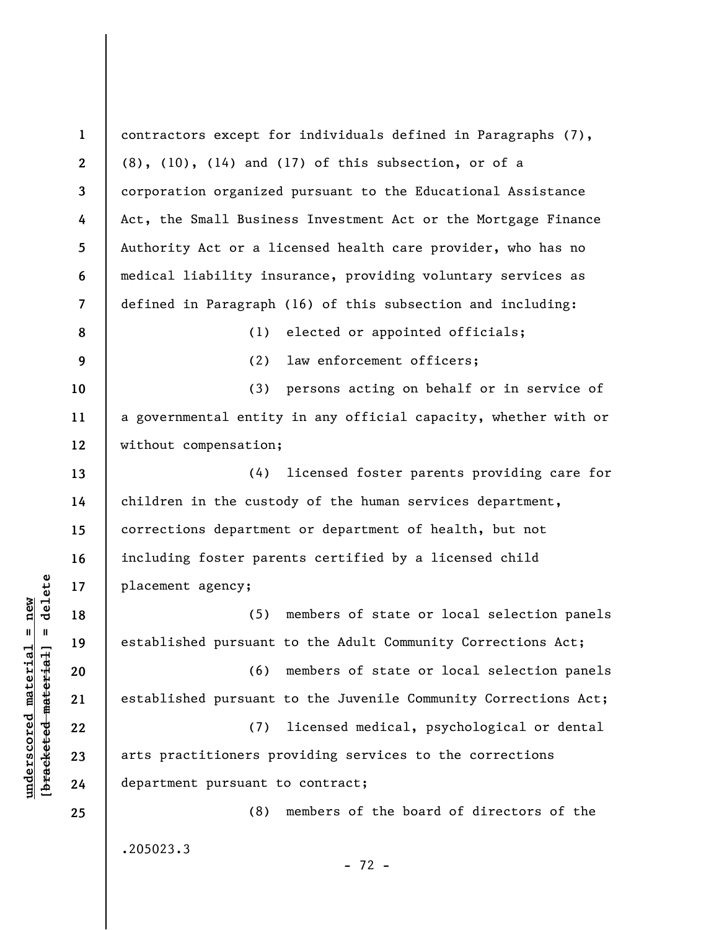**1 2 3 4 5 6 7 8 9 10 11 12 13 14 15 16 17 18 19 20 21 22 23 24 25**  contractors except for individuals defined in Paragraphs (7), (8), (10), (14) and (17) of this subsection, or of a corporation organized pursuant to the Educational Assistance Act, the Small Business Investment Act or the Mortgage Finance Authority Act or a licensed health care provider, who has no medical liability insurance, providing voluntary services as defined in Paragraph (16) of this subsection and including: (1) elected or appointed officials; (2) law enforcement officers; (3) persons acting on behalf or in service of a governmental entity in any official capacity, whether with or without compensation; (4) licensed foster parents providing care for children in the custody of the human services department, corrections department or department of health, but not including foster parents certified by a licensed child placement agency; (5) members of state or local selection panels established pursuant to the Adult Community Corrections Act; (6) members of state or local selection panels established pursuant to the Juvenile Community Corrections Act; (7) licensed medical, psychological or dental arts practitioners providing services to the corrections department pursuant to contract; (8) members of the board of directors of the .205023.3 - 72 -

**underscored material = new [bracketed material] = delete**

 $\frac{1}{2}$  of  $\frac{1}{2}$  and  $\frac{1}{2}$  and  $\frac{1}{2}$  and  $\frac{1}{2}$  and  $\frac{1}{2}$  and  $\frac{1}{2}$  and  $\frac{1}{2}$  and  $\frac{1}{2}$  and  $\frac{1}{2}$  and  $\frac{1}{2}$  and  $\frac{1}{2}$  and  $\frac{1}{2}$  and  $\frac{1}{2}$  and  $\frac{1}{2}$  and  $\frac{1}{2}$  an  $underscored material = new$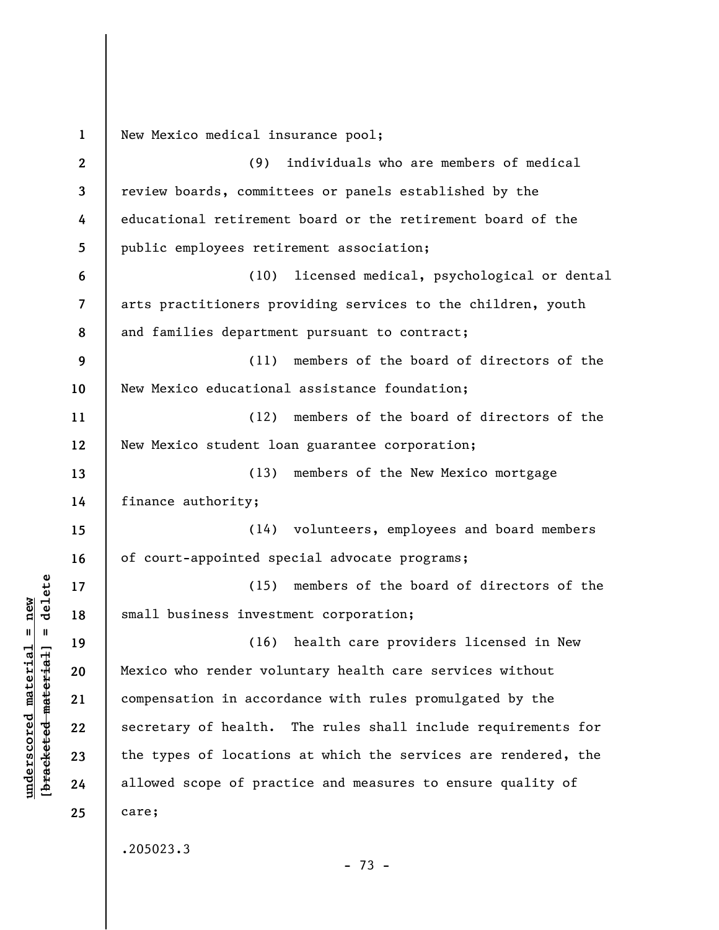**1 2 3 4 5 6 7 8 9 10 11 12 13 14 15 16 17 18 19 20 21 22 23 24 25**  New Mexico medical insurance pool; (9) individuals who are members of medical review boards, committees or panels established by the educational retirement board or the retirement board of the public employees retirement association; (10) licensed medical, psychological or dental arts practitioners providing services to the children, youth and families department pursuant to contract; (11) members of the board of directors of the New Mexico educational assistance foundation; (12) members of the board of directors of the New Mexico student loan guarantee corporation; (13) members of the New Mexico mortgage finance authority; (14) volunteers, employees and board members of court-appointed special advocate programs; (15) members of the board of directors of the small business investment corporation; (16) health care providers licensed in New Mexico who render voluntary health care services without compensation in accordance with rules promulgated by the secretary of health. The rules shall include requirements for the types of locations at which the services are rendered, the allowed scope of practice and measures to ensure quality of care; .205023.3 - 73 -

**underscored material = new [bracketed material] = delete**

 $\frac{1}{2}$  intereted material = delete  $underscored material = new$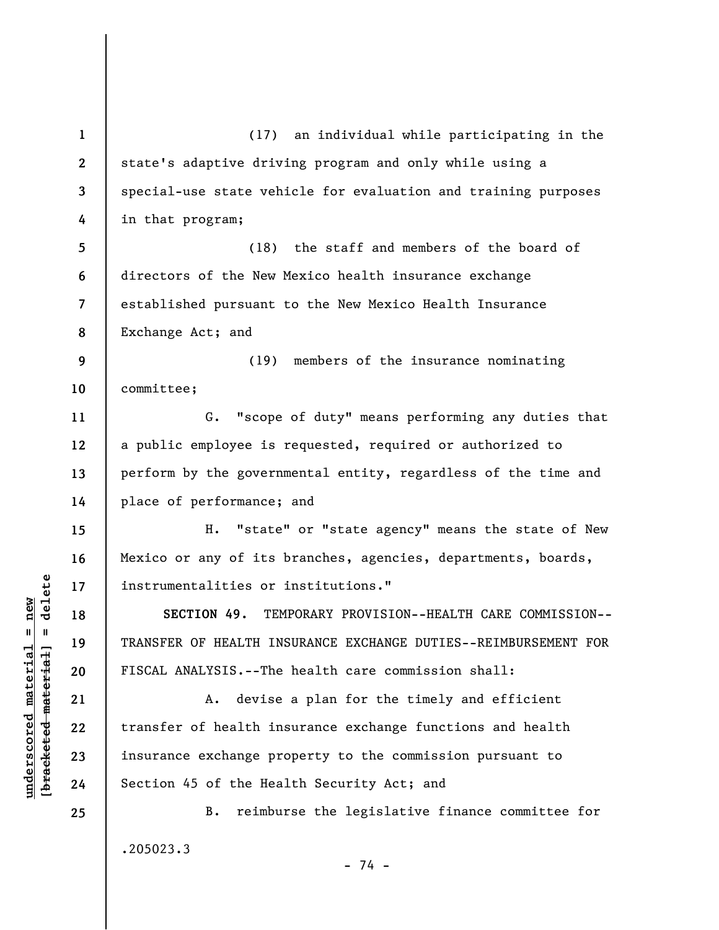**1 2 3 4 5 6 7 8 9 10 11 12 13 14 15 16 17 18 19 20 21 22 23 24 25**  (17) an individual while participating in the state's adaptive driving program and only while using a special-use state vehicle for evaluation and training purposes in that program; (18) the staff and members of the board of directors of the New Mexico health insurance exchange established pursuant to the New Mexico Health Insurance Exchange Act; and (19) members of the insurance nominating committee; G. "scope of duty" means performing any duties that a public employee is requested, required or authorized to perform by the governmental entity, regardless of the time and place of performance; and H. "state" or "state agency" means the state of New Mexico or any of its branches, agencies, departments, boards, instrumentalities or institutions." **SECTION 49.** TEMPORARY PROVISION--HEALTH CARE COMMISSION-- TRANSFER OF HEALTH INSURANCE EXCHANGE DUTIES--REIMBURSEMENT FOR FISCAL ANALYSIS.--The health care commission shall: A. devise a plan for the timely and efficient transfer of health insurance exchange functions and health insurance exchange property to the commission pursuant to Section 45 of the Health Security Act; and B. reimburse the legislative finance committee for .205023.3 - 74 -

 $\frac{1}{2}$  intereted material = delete **[bracketed material] = delete**  $underscored material = new$ **underscored material = new**